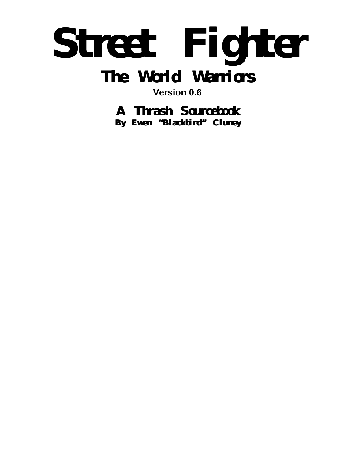# **Street Fighter The World Warriors**

**Version 0.6**

**A Thrash Sourcebook**

**By Ewen "Blackbird" Cluney**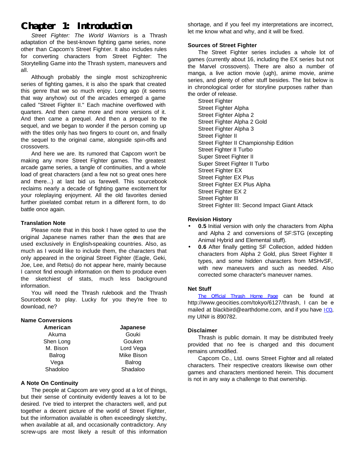# **Chapter 1: Introduction**

*Street Fighter: The World Warriors* is a Thrash adaptation of the best-known fighting game series, none other than Capcom's Street Fighter. It also includes rules for converting characters from Street Fighter: The Storytelling Game into the Thrash system, maneuvers and all.

Although probably the single most schizophrenic series of fighting games, it is also the spark that created this genre that we so much enjoy. Long ago (it seems that way anyhow) out of the arcades emerged a game called "Street Fighter II." Each machine overflowed with quarters. And then came more and more versions of it. And then came a prequel. And then a prequel to the sequel, and we began to wonder if the person coming up with the titles only has two fingers to count on, and finally the sequel to the original came, alongside spin-offs and crossovers.

And here we are. Its rumored that Capcom won't be making any more Street Fighter games. The greatest arcade game series, a tangle of continuities, and a whole load of great characters (and a few not so great ones here and there...) at last bid us farewell. This sourcebook reclaims nearly a decade of fighting game excitement for your roleplaying enjoyment. All the old favorites denied further pixelated combat return in a different form, to do battle once again.

#### **Translation Note**

Please note that in this book I have opted to use the original Japanese names rather than the ones that are used exclusively in English-speaking countries. Also, as much as I would like to include them, the characters that only appeared in the original Street Fighter (Eagle, Geki, Joe, Lee, and Retsu) do not appear here, mainly because I cannot find enough information on them to produce even the sketchiest of stats, much less background information.

You will need the Thrash rulebook and the Thrash Sourcebook to play. Lucky for you they're free to download, ne?

#### **Name Conversions**

| American  | Japanese   |
|-----------|------------|
| Akuma     | Gouki      |
| Shen Long | Gouken     |
| M. Bison  | Lord Vega  |
| Balrog    | Mike Bison |
| Vega      | Balrog     |
| Shadoloo  | Shadaloo   |

#### **A Note On Continuity**

The people at Capcom are very good at a lot of things, but their sense of continuity evidently leaves a lot to be desired. I've tried to interpret the characters well, and put together a decent picture of the world of Street Fighter, but the information available is often exceedingly sketchy, when available at all, and occasionally contradictory. Any screw-ups are most likely a result of this information shortage, and if you feel my interpretations are incorrect, let me know what and why, and it will be fixed.

#### **Sources of Street Fighter**

The Street Fighter series includes a whole lot of games (currently about 16, including the EX series but not the Marvel crossovers). There are also a number of manga, a live action movie (ugh), anime movie, anime series, and plenty of other stuff besides. The list below is in chronological order for storyline purposes rather than the order of release.

**Street Fighter** Street Fighter Alpha Street Fighter Alpha 2 Street Fighter Alpha 2 Gold Street Fighter Alpha 3 Street Fighter II Street Fighter II Championship Edition Street Fighter II Turbo Super Street Fighter II Super Street Fighter II Turbo Street Fighter EX Street Fighter EX Plus Street Fighter EX Plus Alpha Street Fighter EX 2 Street Fighter III Street Fighter III: Second Impact Giant Attack

#### **Revision History**

- **0.5** Initial version with only the characters from Alpha and Alpha 2 and conversions of SF:STG (excepting Animal Hybrid and Elemental stuff).
- **0.6** After finally getting SF Collection, added hidden characters from Alpha 2 Gold, plus Street Fighter II types, and some hidden characters from MSHvSF, with new maneuvers and such as needed. Also corrected some character's maneuver names.

#### **Net Stuff**

The Official Thrash Home Page can be found at http://www.geocities.com/tokyo/6127/thrash, I can be emailed at blackbird@earthdome.com, and if you have ICQ, my UIN# is 890782.

#### **Disclaimer**

Thrash is public domain. It may be distributed freely provided that no fee is charged and this document remains unmodified.

Capcom Co., Ltd. owns Street Fighter and all related characters. Their respective creators likewise own other games and characters mentioned herein. This document is not in any way a challenge to that ownership.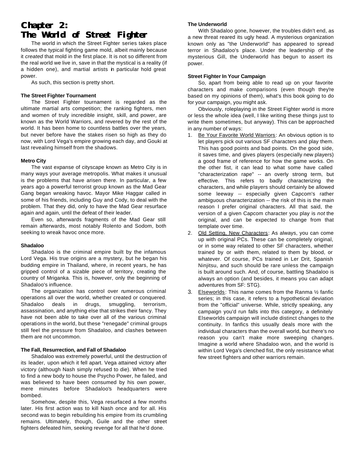# **Chapter 2: The World of Street Fighter**

The world in which the Street Fighter series takes place follows the typical fighting game mold, albeit mainly because it *created* that mold in the first place. It is not so different from the real world we live in, save in that the mystical is a reality (if a hidden one), and martial artists in particular hold great power.

As such, this section is pretty short.

#### **The Street Fighter Tournament**

The Street Fighter tournament is regarded as the ultimate martial arts competition; the ranking fighters, men and women of truly incredible insight, skill, and power, are known as the World Warriors, and revered by the rest of the world. It has been home to countless battles over the years, but never before have the stakes risen so high as they do now, with Lord Vega's empire growing each day, and Gouki at last revealing himself from the shadows.

#### **Metro City**

The vast expanse of cityscape known as Metro City is in many ways your average metropolis. What makes it unusual is the problems that have arisen there. In particular, a few years ago a powerful terrorist group known as the Mad Gear Gang began wreaking havoc. Mayor Mike Haggar called in some of his friends, including Guy and Cody, to deal with the problem. That they did, only to have the Mad Gear resurface again and again, until the defeat of their leader.

Even so, afterwards fragments of the Mad Gear still remain afterwards, most notably Rolento and Sodom, both seeking to wreak havoc once more.

#### **Shadaloo**

Shadaloo is the criminal empire built by the infamous Lord Vega. His true origins are a mystery, but he began his budding empire in Thailand, where, in recent years, he has gripped control of a sizable piece of territory, creating the country of Mriganka. This is, however, only the beginning of Shadaloo's influence.

The organization has control over numerous criminal operations all over the world, whether created or conquered. Shadaloo deals in drugs, smuggling, terrorism, assassination, and anything else that strikes their fancy. They have not been able to take over all of the various criminal operations in the world, but these "renegade" criminal groups still feel the pressure from Shadaloo, and clashes between them are not uncommon.

#### **The Fall, Resurrection, and Fall of Shadaloo**

Shadaloo was extremely powerful, until the destruction of its leader, upon which it fell apart. Vega attained victory after victory (although Nash simply refused to die). When he tried to find a new body to house the Psycho Power, he failed, and was believed to have been consumed by his own power, mere minutes before Shadaloo's headquarters were bombed.

Somehow, despite this, Vega resurfaced a few months later. His first action was to kill Nash once and for all. His second was to begin rebuilding his empire from its crumbling remains. Ultimately, though, Guile and the other street fighters defeated him, seeking revenge for all that he'd done.

#### **The Underworld**

With Shadaloo gone, however, the troubles didn't end, as a new threat reared its ugly head. A mysterious organization known only as "the Underworld" has appeared to spread terror in Shadaloo's place. Under the leadership of the mysterious Gill, the Underworld has begun to assert its power.

#### **Street Fighter In Your Campaign**

So, apart from being able to read up on your favorite characters and make comparisons (even though they're based on my opinions of them), what's this book going to do for your campaign, you might ask.

Obviously, roleplaying in the Street Fighter world is more or less the whole idea (well, I like writing these things just to write them sometimes, but anyway). This can be approached in any number of ways:

- 1. Be Your Favorite World Warriors: An obvious option is to let players pick out various SF characters and play them. This has good points and bad points. On the good side, it saves time, and gives players (especially new players) a good frame of reference for how the game works. On the other fist, it can lead to what some have called "characterization rape" -- an overly strong term, but effective. This refers to badly characterizing the characters, and while players should certainly be allowed some leeway -- especially given Capcom's rather ambiguous characterization -- the risk of this is the main reason I prefer original characters. All that said, the version of a given Capcom character you play is *not* the original, and can be expected to change from that template over time.
- 2. Old Setting, New Characters: As always, you can come up with original PCs. These can be completely original, or in some way related to other SF characters, whether trained by or with them, related to them by blood, or whatever. Of course, PCs trained in Ler Drit, Spanish Ninjitsu, and such should be rare unless the campaign is built around such. And, of course, battling Shadaloo is always an option (and besides, it means you can adapt adventures from SF: STG).
- 3. Elseworlds: This name comes from the Ranma ½ fanfic series; in this case, it refers to a hypothetical deviation from the "official" universe. While, strictly speaking, any campaign you'd run falls into this category, a definitely Elseworlds campaign will include distinct changes to the continuity. In fanfics this usually deals more with the individual characters than the overall world, but there's no reason you can't make more sweeping changes. Imagine a world where Shadaloo won, and the world is within Lord Vega's clenched fist, the only resistance what few street fighters and other warriors remain.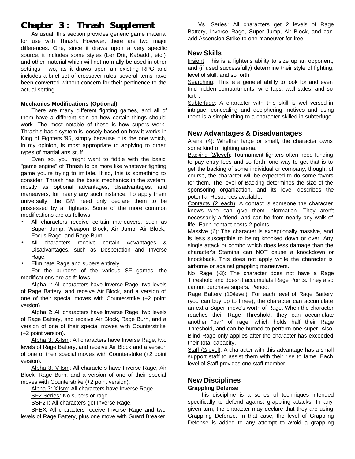# **Chapter 3: Thrash Supplement**

As usual, this section provides generic game material for use with Thrash. However, there are two major differences. One, since it draws upon a very specific source, it includes some styles (Ler Drit, Kabaddi, etc.) and other material which will not normally be used in other settings. Two, as it draws upon an existing RPG and includes a brief set of crossover rules, several items have been converted without concern for their pertinence to the actual setting.

#### **Mechanics Modifications (Optional)**

There are many different fighting games, and all of them have a different spin on how certain things should work. The most notable of these is how supers work. Thrash's basic system is loosely based on how it works in King of Fighters '95, simply because it is the one which, in my opinion, is most appropriate to applying to other types of martial arts stuff.

Even so, you might want to fiddle with the basic "game engine" of Thrash to be more like whatever fighting game you're trying to imitate. If so, this is something to consider. Thrash has the basic mechanics in the system, mostly as optional advantages, disadvantages, and maneuvers, for nearly any such instance. To apply them universally, the GM need only declare them to be possessed by all fighters. Some of the more common modifications are as follows:

- All characters receive certain maneuvers, such as Super Jump, Weapon Block, Air Jump, Air Block, Focus Rage, and Rage Burn.
- All characters receive certain Advantages & Disadvantages, such as Desperation and Inverse Rage.
- Eliminate Rage and supers entirely.

For the purpose of the various SF games, the modifications are as follows:

Alpha 1: All characters have Inverse Rage, two levels of Rage Battery, and receive Air Block, and a version of one of their special moves with Counterstrike (+2 point version).

Alpha 2: All characters have Inverse Rage, two levels of Rage Battery, and receive Air Block, Rage Burn, and a version of one of their special moves with Counterstrike (+2 point version).

Alpha 3: A-Ism: All characters have Inverse Rage, two levels of Rage Battery, and receive Air Block and a version of one of their special moves with Counterstrike (+2 point version).

Alpha 3: V-Ism: All characters have Inverse Rage, Air Block, Rage Burn, and a version of one of their special moves with Counterstrike (+2 point version).

Alpha 3: X-Ism: All characters have Inverse Rage.

SF2 Series: No supers or rage.

SSF2T: All characters get Inverse Rage.

SFEX: All characters receive Inverse Rage and two levels of Rage Battery, plus one move with Guard Breaker.

Vs. Series: All characters get 2 levels of Rage Battery, Inverse Rage, Super Jump, Air Block, and can add Ascension Strike to one maneuver for free.

## **New Skills**

Insight: This is a fighter's ability to size up an opponent, and (if used successfully) determine their style of fighting, level of skill, and so forth.

Searching: This is a general ability to look for and even find hidden compartments, wire taps, wall safes, and so forth.

Subterfuge: A character with this skill is well-versed in intrigue; concealing and deciphering motives and using them is a simple thing to a character skilled in subterfuge.

## **New Advantages & Disadvantages**

Arena (4): Whether large or small, the character owns some kind of fighting arena.

Backing (2/level): Tournament fighters often need funding to pay entry fees and so forth; one way to get that is to get the backing of some individual or company, though, of course, the character will be expected to do some favors for them. The level of Backing determines the size of the sponsoring organization, and its level describes the potential Resources available.

Contacts (2 each): A contact is someone the character knows who can give them information. They aren't necessarily a friend, and can be from nearly any walk of life. Each contact costs 2 points.

Massive (6): The character is exceptionally massive, and is less susceptible to being knocked down or over. Any single attack or combo which does less damage than the character's Stamina can NOT cause a knockdown or knockback. This does not apply while the character is airborne or against grappling maneuvers.

No Rage (-3): The character does not have a Rage Threshold and doesn't accumulate Rage Points. They also cannot purchase supers. Period.

Rage Battery (10/level): For each level of Rage Battery (you can buy up to three), the character can accumulate an extra Super move's worth of Rage. When the character reaches their Rage Threshold, they can accumulate another "bar" of rage, which holds half their Rage Threshold, and can be burned to perform one super. Also, Blind Rage only applies after the character has exceeded their total capacity.

Staff (2/level): A character with this advantage has a small support staff to assist them with their rise to fame. Each level of Staff provides one staff member.

# **New Disciplines**

## **Grappling Defense**

This discipline is a series of techniques intended specifically to defend against grappling attacks. In any given turn, the character may declare that they are using Grappling Defense. In that case, the level of Grappling Defense is added to any attempt to avoid a grappling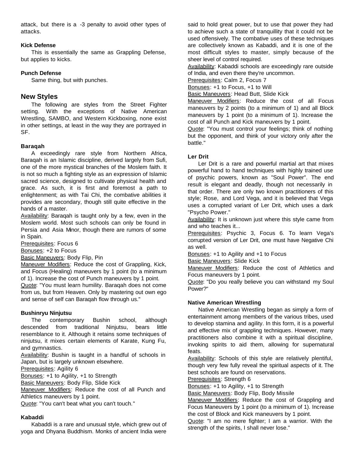attack, but there is a -3 penalty to avoid other types of attacks.

#### **Kick Defense**

This is essentially the same as Grappling Defense, but applies to kicks.

#### **Punch Defense**

Same thing, but with punches.

#### **New Styles**

The following are styles from the Street Fighter setting. With the exceptions of Native American Wrestling, SAMBO, and Western Kickboxing, none exist in other settings, at least in the way they are portrayed in SF.

#### **Baraqah**

A exceedingly rare style from Northern Africa, Baraqah is an Islamic discipline, derived largely from Sufi, one of the more mystical branches of the Moslem faith. It is not so much a fighting style as an expression of Islamic sacred science, designed to cultivate physical health and grace. As such, it is first and foremost a path to enlightenment; as with Tai Chi, the combative abilities it provides are secondary, though still quite effective in the hands of a master.

Availability: Baraqah is taught only by a few, even in the Moslem world. Most such schools can only be found in Persia and Asia Minor, though there are rumors of some in Spain.

Prerequisites: Focus 6

Bonuses: +2 to Focus

**Basic Maneuvers: Body Flip, Pin** 

Maneuver Modifiers: Reduce the cost of Grappling, Kick, and Focus (Healing) maneuvers by 1 point (to a minimum of 1). Increase the cost of Punch maneuvers by 1 point. Quote: "You must learn humility. Baraqah does not come

from us, but from Heaven. Only by mastering out own ego and sense of self can Baraqah flow through us."

#### **Bushinryu Ninjutsu**

The contemporary Bushin school, although descended from traditional Ninjutsu, bears little resemblance to it. Although it retains some techniques of ninjutsu, it mixes certain elements of Karate, Kung Fu, and gymnastics.

Availability: Bushin is taught in a handful of schools in Japan, but is largely unknown elsewhere.

Prerequisites: Agility 6

Bonuses: +1 to Agility, +1 to Strength

Basic Maneuvers: Body Flip, Slide Kick

Maneuver Modifiers: Reduce the cost of all Punch and Athletics maneuvers by 1 point.

Quote: "You can't beat what you can't touch."

#### **Kabaddi**

Kabaddi is a rare and unusual style, which grew out of yoga and Dhyana Buddhism. Monks of ancient India were

said to hold great power, but to use that power they had to achieve such a state of tranquillity that it could not be used offensively. The combative uses of these techniques are collectively known as Kabaddi, and it is one of the most difficult styles to master, simply because of the sheer level of control required.

Availability: Kabaddi schools are exceedingly rare outside of India, and even there they're uncommon.

Prerequisites: Calm 2, Focus 7

Bonuses: +1 to Focus, +1 to Will

Basic Maneuvers: Head Butt, Slide Kick

Maneuver Modifiers: Reduce the cost of all Focus maneuvers by 2 points (to a minimum of 1) and all Block maneuvers by 1 point (to a minimum of 1). Increase the cost of all Punch and Kick maneuvers by 1 point.

Quote: "You must control your feelings; think of nothing but the opponent, and think of your victory only after the battle."

#### **Ler Drit**

Ler Drit is a rare and powerful martial art that mixes powerful hand to hand techniques with highly trained use of psychic powers, known as "Soul Power". The end result is elegant and deadly, though not necessarily in that order. There are only two known practitioners of this style; Rose, and Lord Vega, and it is believed that Vega uses a corrupted variant of Ler Drit, which uses a dark "Psycho Power."

Availability: It is unknown just where this style came from and who teaches it...

Prerequisites: Psychic 3, Focus 6. To learn Vega's corrupted version of Ler Drit, one must have Negative Chi as well.

Bonuses: +1 to Agility and +1 to Focus

Basic Maneuvers: Slide Kick

Maneuver Modifiers: Reduce the cost of Athletics and Focus maneuvers by 1 point.

Quote: "Do you really believe you can withstand my Soul Power?"

#### **Native American Wrestling**

Native American Wrestling began as simply a form of entertainment among members of the various tribes, used to develop stamina and agility. In this form, it is a powerful and effective mix of grappling techniques. However, many practitioners also combine it with a spiritual discipline, invoking spirits to aid them, allowing for supernatural feats.

Availability: Schools of this style are relatively plentiful, though very few fully reveal the spiritual aspects of it. The best schools are found on reservations.

Prerequisites: Strength 6

Bonuses: +1 to Agility, +1 to Strength

**Basic Maneuvers: Body Flip, Body Missile** 

Maneuver Modifiers: Reduce the cost of Grappling and Focus Maneuvers by 1 point (to a minimum of 1). Increase the cost of Block and Kick maneuvers by 1 point.

Quote: "I am no mere fighter; I am a warrior. With the strength of the spirits, I shall never lose."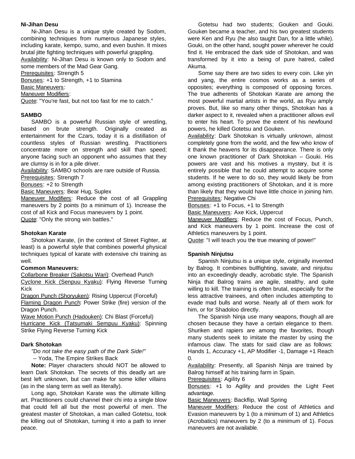#### **Ni-Jihan Desu**

Ni-Jihan Desu is a unique style created by Sodom, combining techniques from numerous Japanese styles, including karate, kempo, sumo, and even bushin. It mixes brutal jitte fighting techniques with powerful grappling. Availability: Ni-Jihan Desu is known only to Sodom and

some members of the Mad Gear Gang.

Prerequisites: Strength 5

Bonuses: +1 to Strength, +1 to Stamina

Basic Maneuvers:

Maneuver Modifiers:

Quote: "You're fast, but not too fast for me to catch."

#### **SAMBO**

SAMBO is a powerful Russian style of wrestling, based on brute strength. Originally created as entertainment for the Czars, today it is a distillation of countless styles of Russian wrestling. Practitioners concentrate more on strength and skill than speed; anyone facing such an opponent who assumes that they are clumsy is in for a pile driver.

Availability: SAMBO schools are rare outside of Russia.

Prerequisites: Strength 7

Bonuses: +2 to Strength

Basic Maneuvers: Bear Hug, Suplex

Maneuver Modifiers: Reduce the cost of all Grappling maneuvers by 2 points (to a minimum of 1). Increase the cost of all Kick and Focus maneuvers by 1 point. Quote: "Only the strong win battles."

#### **Shotokan Karate**

Shotokan Karate, (in the context of Street Fighter, at least) is a powerful style that combines powerful physical techniques typical of karate with extensive chi training as well.

#### **Common Maneuvers:**

Collarbone Breaker (Sakotsu Wari): Overhead Punch Cyclone Kick (Senpuu Kyaku): Flying Reverse Turning Kick

Dragon Punch (Shoryuken): Rising Uppercut (Forceful) Flaming Dragon Punch: Power Strike (fire) version of the Dragon Punch.

Wave Motion Punch (Hadouken): Chi Blast (Forceful) Hurricane Kick (Tatsumaki Sempuu Kyaku): Spinning Strike Flying Reverse Turning Kick

#### **Dark Shotokan**

*"Do not take the easy path of the Dark Side!"*

-- Yoda, The Empire Strikes Back

**Note:** Player characters should NOT be allowed to learn Dark Shotokan. The secrets of this deadly art are best left unknown, but can make for some killer villains (as in the slang term as well as literally).

Long ago, Shotokan Karate was the ultimate killing art. Practitioners could channel their chi into a single blow that could fell all but the most powerful of men. The greatest master of Shotokan, a man called Gotetsu, took the killing out of Shotokan, turning it into a path to inner peace.

Gotetsu had two students; Gouken and Gouki. Gouken became a teacher, and his two greatest students were Ken and Ryu (he also taught Dan, for a little while). Gouki, on the other hand, sought power wherever he could find it. He embraced the dark side of Shotokan, and was transformed by it into a being of pure hatred, called Akuma.

Some say there are two sides to every coin. Like yin and yang, the entire cosmos works as a series of opposites; everything is composed of opposing forces. The true adherents of Shotokan Karate are among the most powerful martial artists in the world, as Ryu amply proves. But, like so many other things, Shotokan has a darker aspect to it, revealed when a practitioner allows evil to enter his heart. To prove the extent of his newfound powers, he killed Gotetsu and Gouken.

Availability: Dark Shotokan is virtually unknown, almost completely gone from the world, and the few who know of it thank the heavens for its disappearance. There is only one known practitioner of Dark Shotokan -- Gouki. His powers are vast and his motives a mystery, but it is entirely possible that he could attempt to acquire some students. If he were to do so, they would likely be from among existing practitioners of Shotokan, and it is more than likely that they would have little choice in joining him. Prerequisites: Negative Chi

Bonuses: +1 to Focus, +1 to Strength

Basic Maneuvers: Axe Kick, Uppercut

Maneuver Modifiers: Reduce the cost of Focus, Punch, and Kick maneuvers by 1 point. Increase the cost of Athletics maneuvers by 1 point.

Quote: "I will teach you the true meaning of power!"

#### **Spanish Ninjutsu**

Spanish Ninjutsu is a unique style, originally invented by Balrog. It combines bullfighting, savate, and ninjutsu into an exceedingly deadly, acrobatic style. The Spanish Ninja that Balrog trains are agile, stealthy, and quite willing to kill. The training is often brutal, especially for the less attractive trainees, and often includes attempting to evade mad bulls and worse. Nearly all of them work for him, or for Shadoloo directly.

The Spanish Ninja use many weapons, though all are chosen because they have a certain elegance to them. Shuriken and rapiers are among the favorites, though many students seek to imitate the master by using the infamous claw. The stats for said claw are as follows: Hands 1, Accuracy +1, AP Modifier -1, Damage +1 Reach  $\Omega$ .

Availability: Presently, all Spanish Ninja are trained by Balrog himself at his training farm in Spain.

Prerequisites: Agility 6

Bonuses: +1 to Agility and provides the Light Feet advantage.

Basic Maneuvers: Backflip, Wall Spring

Maneuver Modifiers: Reduce the cost of Athletics and Evasion maneuvers by 1 (to a minimum of 1) and Athletics (Acrobatics) maneuvers by 2 (to a minimum of 1). Focus maneuvers are not available.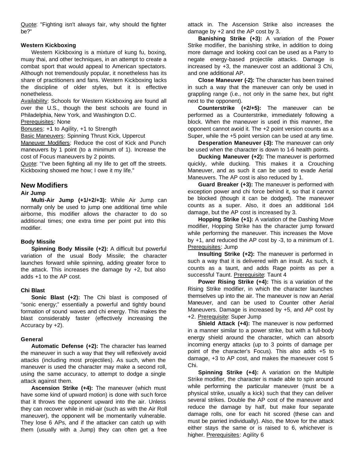Quote: "Fighting isn't always fair, why should the fighter be?"

#### **Western Kickboxing**

Western Kickboxing is a mixture of kung fu, boxing, muay thai, and other techniques, in an attempt to create a combat sport that would appeal to American spectators. Although not tremendously popular, it nonetheless has its share of practitioners and fans. Western Kickboxing lacks the discipline of older styles, but it is effective nonetheless.

Availability: Schools for Western Kickboxing are found all over the U.S., though the best schools are found in Philadelphia, New York, and Washington D.C.

Prerequisites: None

Bonuses: +1 to Agility, +1 to Strength

Basic Maneuvers: Spinning Thrust Kick, Uppercut

Maneuver Modifiers: Reduce the cost of Kick and Punch maneuvers by 1 point (to a minimum of 1). Increase the cost of Focus maneuvers by 2 points.

Quote: "I've been fighting all my life to get off the streets. Kickboxing showed me how; I owe it my life."

#### **New Modifiers**

#### **Air Jump**

**Multi-Air Jump (+1/+2/+3):** While Air Jump can normally only be used to jump one additional time while airborne, this modifier allows the character to do so additional times; one extra time per point put into this modifier.

#### **Body Missile**

**Spinning Body Missile (+2):** A difficult but powerful variation of the usual Body Missile; the character launches forward while spinning, adding greater force to the attack. This increases the damage by +2, but also adds +1 to the AP cost.

#### **Chi Blast**

**Sonic Blast (+2):** The Chi blast is composed of "sonic energy;" essentially a powerful and tightly bound formation of sound waves and chi energy. This makes the blast considerably faster (effectively increasing the Accuracy by +2).

#### **General**

**Automatic Defense (+2):** The character has learned the maneuver in such a way that they will reflexively avoid attacks (including most projectiles). As such, when the maneuver is used the character may make a second roll, using the same accuracy, to attempt to dodge a single attack against them.

**Ascension Strike (+4):** The maneuver (which must have some kind of upward motion) is done with such force that it throws the opponent upward into the air. Unless they can recover while in mid-air (such as with the Air Roll maneuver), the opponent will be momentarily vulnerable. They lose 6 APs, and if the attacker can catch up with them (usually with a Jump) they can often get a free

attack in. The Ascension Strike also increases the damage by +2 and the AP cost by 3.

**Banishing Strike (+3):** A variation of the Power Strike modifier, the banishing strike, in addition to doing more damage and looking cool can be used as a Parry to negate energy-based projectile attacks. Damage is increased by +3, the maneuver cost an additional 3 Chi, and one additional AP.

**Close Maneuver (-2):** The character has been trained in such a way that the maneuver can only be used in grappling range (i.e., not only in the same hex, but right next to the opponent).

**Counterstrike (+2/+5):** The maneuver can be performed as a Counterstrike, immediately following a block. When the maneuver is used in this manner, the opponent cannot avoid it. The +2 point version counts as a Super, while the +5 point version can be used at any time.

**Desperation Maneuver (-3):** The maneuver can only be used when the character is down to 1-6 health points.

**Ducking Maneuver (+2):** The maneuver is performed quickly, while ducking. This makes it a Crouching Maneuver, and as such it can be used to evade Aerial Maneuvers. The AP cost is also reduced by 1.

**Guard Breaker (+3):** The maneuver is performed with exception power and chi force behind it, so that it cannot be blocked (though it can be dodged). The maneuver counts as a super. Also, it does an additional 1d4 damage, but the AP cost is increased by 3.

**Hopping Strike (+1):** A variation of the Dashing Move modifier, Hopping Strike has the character jump forward while performing the maneuver. This increases the Move by +1, and reduced the AP cost by -3, to a minimum of 1. Prerequisites: Jump

**Insulting Strike (+2):** The maneuver is performed in such a way that it is delivered with an insult. As such, it counts as a taunt, and adds Rage points as per a successful Taunt. Prerequisite: Taunt 4

**Power Rising Strike (+4):** This is a variation of the Rising Strike modifier, in which the character launches themselves up into the air. The maneuver is now an Aerial Maneuver, and can be used to Counter other Aerial Maneuvers. Damage is increased by +5, and AP cost by +2. Prerequisite: Super Jump

**Shield Attack (+4):** The maneuver is now performed in a manner similar to a power strike, but with a full-body energy shield around the character, which can absorb incoming energy attacks (up to 3 points of damage per point of the character's Focus). This also adds +5 to damage, +3 to AP cost, and makes the maneuver cost 5 Chi.

**Spinning Strike (+4):** A variation on the Multiple Strike modifier, the character is made able to spin around while performing the particular maneuver (must be a physical strike, usually a kick) such that they can deliver several strikes. Double the AP cost of the maneuver and reduce the damage by half, but make four separate damage rolls, one for each hit scored (these can and must be parried individually). Also, the Move for the attack either stays the same or is raised to 6, whichever is higher. Prerequisites: Agility 6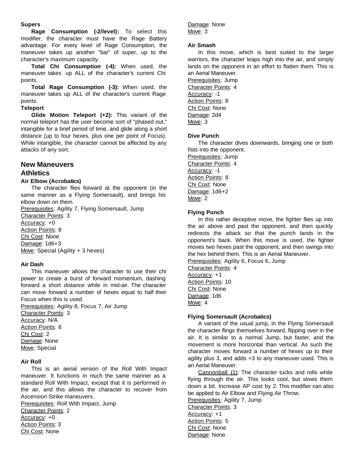#### **Supers**

**Rage Consumption (-2/level):** To select this modifier, the character must have the Rage Battery advantage. For every level of Rage Consumption, the maneuver takes up another "bar" of super, up to the character's maximum capacity.

**Total Chi Consumption (-4):** When used, the maneuver takes up ALL of the character's current Chi points.

**Total Rage Consumption (-3):** When used, the maneuver takes up ALL of the character's current Rage points.

#### **Teleport**

**Glide Motion Teleport (+2):** This variant of the normal teleport has the user become sort of "phased out," intangible for a brief period of time, and glide along a short distance (up to four hexes, plus one per point of Focus). While intangible, the character cannot be affected by any attacks of any sort.

# **New Maneuvers**

#### **Athletics**

#### **Air Elbow (Acrobatics)**

The character flies forward at the opponent (in the same manner as a Flying Somersault), and brings his elbow down on them.

Prerequisites: Agility 7, Flying Somersault, Jump

Character Points: 3 Accuracy: +0 Action Points: 8 Chi Cost: None Damage: 1d6+3

Move: Special (Agility + 3 hexes)

#### **Air Dash**

This maneuver allows the character to use their chi power to create a burst of forward momentum, dashing forward a short distance while in mid-air. The character can move forward a number of hexes equal to half their Focus when this is used.

Prerequisites: Agility 8, Focus 7, Air Jump Character Points: 3 Accuracy: N/A Action Points: 8 Chi Cost: 2 Damage: None Move: Special

#### **Air Roll**

This is an aerial version of the Roll With Impact maneuver. It functions in much the same manner as a standard Roll With Impact, except that it is performed in the air, and this allows the character to recover from Ascension Strike maneuvers.

Prerequisites: Roll With Impact, Jump Character Points: 2 Accuracy: +0 Action Points: 3 Chi Cost: None

#### Damage: None Move: 3

#### **Air Smash**

In this move, which is best suited to the larger warriors, the character leaps high into the air, and simply lands on the opponent in an effort to flatten them. This is an Aerial Maneuver.

Prerequisites: Jump Character Points: 4 Accuracy: -1 Action Points: 8 Chi Cost: None Damage: 2d4 Move: 3

#### **Dive Punch**

The character dives downwards, bringing one or both fists into the opponent.

Prerequisites: Jump Character Points: 4 Accuracy: -1 Action Points: 8 Chi Cost: None Damage: 1d6+2 Move: 2

#### **Flying Punch**

In this rather deceptive move, the fighter flies up into the air above and past the opponent, and then quickly redirects the attack so that the punch lands in the opponent's back. When this move is used, the fighter moves two hexes past the opponent, and then swings into the hex behind them. This is an Aerial Maneuver.

Prerequisites: Agility 6, Focus 6, Jump

Character Points: 4 Accuracy: +1 Action Points: 10 Chi Cost: None Damage: 1d6 Move: 4

#### **Flying Somersault (Acrobatics)**

A variant of the usual jump, in the Flying Somersault the character flings themselves forward, flipping over in the air. It is similar to a normal Jump, but faster, and the movement is more horizontal than vertical. As such the character moves forward a number of hexes up to their agility plus 3, and adds +3 to any maneuver used. This is an Aerial Maneuver.

Cannonball (1): The character tucks and rolls while flying through the air. This looks cool, but slows them down a bit. Increase AP cost by 2. This modifier can also be applied to Air Elbow and Flying Air Throw.

Prerequisites: Agility 7, Jump Character Points: 3 Accuracy: +1 Action Points: 5 Chi Cost: None Damage: None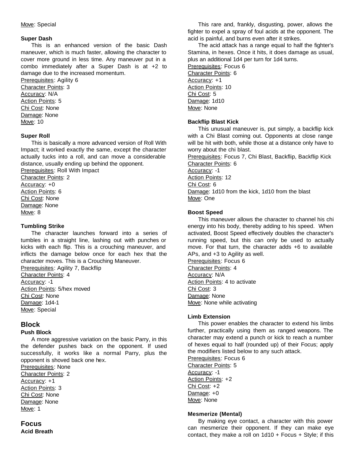#### Move: Special

#### **Super Dash**

This is an enhanced version of the basic Dash maneuver, which is much faster, allowing the character to cover more ground in less time. Any maneuver put in a combo immediately after a Super Dash is at +2 to damage due to the increased momentum.

Prerequisites: Agility 6 Character Points: 3 Accuracy: N/A Action Points: 5 Chi Cost: None Damage: None Move: 10

#### **Super Roll**

This is basically a more advanced version of Roll With Impact; it worked exactly the same, except the character actually tucks into a roll, and can move a considerable distance, usually ending up behind the opponent. Prerequisites: Roll With Impact

Character Points: 2 Accuracy: +0 Action Points: 6 Chi Cost: None Damage: None

Move: 8

#### **Tumbling Strike**

The character launches forward into a series of tumbles in a straight line, lashing out with punches or kicks with each flip. This is a crouching maneuver, and inflicts the damage below once for each hex that the character moves. This is a Crouching Maneuver.

Prerequisites: Agility 7, Backflip Character Points: 4 Accuracy: -1 Action Points: 5/hex moved Chi Cost: None Damage: 1d4-1 Move: Special

## **Block**

#### **Push Block**

A more aggressive variation on the basic Parry, in this the defender pushes back on the opponent. If used successfully, it works like a normal Parry, plus the opponent is shoved back one hex.

Prerequisites: None Character Points: 2 Accuracy: +1 Action Points: 3 Chi Cost: None Damage: None Move: 1

#### **Focus Acid Breath**

This rare and, frankly, disgusting, power, allows the fighter to expel a spray of foul acids at the opponent. The acid is painful, and burns even after it strikes.

The acid attack has a range equal to half the fighter's Stamina, in hexes. Once it hits, it does damage as usual, plus an additional 1d4 per turn for 1d4 turns.

Prerequisites: Focus 6 Character Points: 6 Accuracy: +1 Action Points: 10 Chi Cost: 5 Damage: 1d10 Move: None

#### **Backflip Blast Kick**

This unusual maneuver is, put simply, a backflip kick with a Chi Blast coming out. Opponents at close range will be hit with both, while those at a distance only have to worry about the chi blast.

Prerequisites: Focus 7, Chi Blast, Backflip, Backflip Kick Character Points: 6

Accuracy: -1 Action Points: 12

Chi Cost: 6

Damage: 1d10 from the kick, 1d10 from the blast Move: One

#### **Boost Speed**

This maneuver allows the character to channel his chi energy into his body, thereby adding to his speed. When activated, Boost Speed effectively doubles the character's running speed, but this can only be used to actually move. For that turn, the character adds +6 to available APs, and +3 to Agility as well.

Prerequisites: Focus 6 Character Points: 4 Accuracy: N/A Action Points: 4 to activate Chi Cost: 3 Damage: None Move: None while activating

#### **Limb Extension**

This power enables the character to extend his limbs further, practically using them as ranged weapons. The character may extend a punch or kick to reach a number of hexes equal to half (rounded up) of their Focus; apply the modifiers listed below to any such attack.

Prerequisites: Focus 6 Character Points: 5 Accuracy: -1 Action Points: +2 Chi Cost: +2 Damage: +0 Move: None

#### **Mesmerize (Mental)**

By making eye contact, a character with this power can mesmerize their opponent. If they can make eye contact, they make a roll on  $1d10 +$  Focus + Style; if this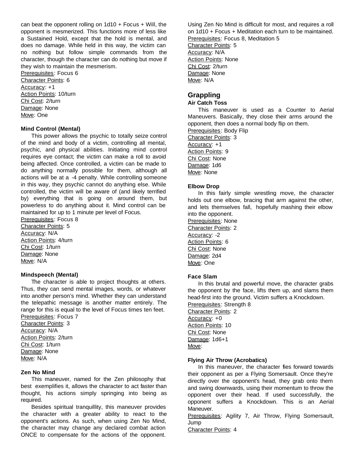can beat the opponent rolling on  $1d10 + Focus + Will$ , the opponent is mesmerized. This functions more of less like a Sustained Hold, except that the hold is mental, and does no damage. While held in this way, the victim can no nothing but follow simple commands from the character, though the character can do nothing but move if they wish to maintain the mesmerism.

Prerequisites: Focus 6 Character Points: 6 Accuracy: +1 Action Points: 10/turn Chi Cost: 2/turn Damage: None Move: One

#### **Mind Control (Mental)**

This power allows the psychic to totally seize control of the mind and body of a victim, controlling all mental, psychic, and physical abilities. Initiating mind control requires eye contact; the victim can make a roll to avoid being affected. Once controlled, a victim can be made to do anything normally possible for them, although all actions will be at a -4 penalty. While controlling someone in this way, they psychic cannot do anything else. While controlled, the victim will be aware of (and likely terrified by) everything that is going on around them, but powerless to do anything about it. Mind control can be maintained for up to 1 minute per level of Focus.

Prerequisites: Focus 8 Character Points: 5 Accuracy: N/A Action Points: 4/turn Chi Cost: 1/turn Damage: None Move: N/A

#### **Mindspeech (Mental)**

The character is able to project thoughts at others. Thus, they can send mental images, words, or whatever into another person's mind. Whether they can understand the telepathic message is another matter entirely. The range for this is equal to the level of Focus times ten feet. Prerequisites: Focus 7

Character Points: 3 Accuracy: N/A Action Points: 2/turn Chi Cost: 1/turn Damage: None Move: N/A

#### **Zen No Mind**

This maneuver, named for the Zen philosophy that best exemplifies it, allows the character to act faster than thought, his actions simply springing into being as required.

Besides spiritual tranquillity, this maneuver provides the character with a greater ability to react to the opponent's actions. As such, when using Zen No Mind, the character may change any declared combat action ONCE to compensate for the actions of the opponent.

Using Zen No Mind is difficult for most, and requires a roll on 1d10 + Focus + Meditation each turn to be maintained. Prerequisites: Focus 8, Meditation 5 Character Points: 5 Accuracy: N/A Action Points: None Chi Cost: 2/turn Damage: None Move: N/A

#### **Grappling**

#### **Air Catch Toss**

This maneuver is used as a Counter to Aerial Maneuvers. Basically, they close their arms around the opponent, then does a normal body flip on them. Prerequisites: Body Flip Character Points: 3 Accuracy: +1 Action Points: 9 Chi Cost: None Damage: 1d6 Move: None

#### **Elbow Drop**

In this fairly simple wrestling move, the character holds out one elbow, bracing that arm against the other, and lets themselves fall, hopefully mashing their elbow into the opponent.

Prerequisites: None Character Points: 2 Accuracy: -2 Action Points: 6 Chi Cost: None Damage: 2d4 Move: One

#### **Face Slam**

In this brutal and powerful move, the character grabs the opponent by the face, lifts them up, and slams them head-first into the ground. Victim suffers a Knockdown. Prerequisites: Strength 8 Character Points: 2 Accuracy: +0 Action Points: 10 Chi Cost: None Damage: 1d6+1 Move:

#### **Flying Air Throw (Acrobatics)**

In this maneuver, the character fies forward towards their opponent as per a Flying Somersault. Once they're directly over the opponent's head, they grab onto them and swing downwards, using their momentum to throw the opponent over their head. If used successfully, the opponent suffers a Knockdown. This is an Aerial Maneuver.

Prerequisites: Agility 7, Air Throw, Flying Somersault, Jump

Character Points: 4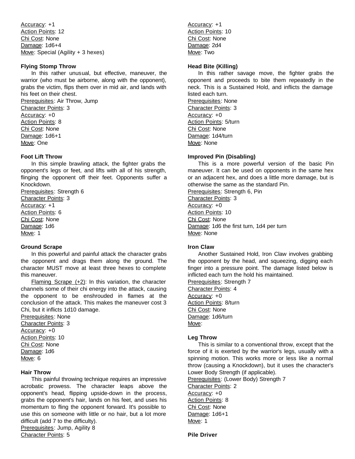Accuracy: +1 Action Points: 12 Chi Cost: None Damage: 1d6+4 Move: Special (Agility + 3 hexes)

#### **Flying Stomp Throw**

In this rather unusual, but effective, maneuver, the warrior (who must be airborne, along with the opponent), grabs the victim, flips them over in mid air, and lands with his feet on their chest. Prerequisites: Air Throw, Jump Character Points: 3 Accuracy: +0 Action Points: 8 Chi Cost: None Damage: 1d6+1

Move: One

#### **Foot Lift Throw**

In this simple brawling attack, the fighter grabs the opponent's legs or feet, and lifts with all of his strength, flinging the opponent off their feet. Opponents suffer a Knockdown.

Prerequisites: Strength 6 Character Points: 3 Accuracy: +1 Action Points: 6 Chi Cost: None Damage: 1d6 Move: 1

#### **Ground Scrape**

In this powerful and painful attack the character grabs the opponent and drags them along the ground. The character MUST move at least three hexes to complete this maneuver.

Flaming Scrape  $(+2)$ : In this variation, the character channels some of their chi energy into the attack, causing the opponent to be enshrouded in flames at the conclusion of the attack. This makes the maneuver cost 3 Chi, but it inflicts 1d10 damage.

Prerequisites: None Character Points: 3 Accuracy: +0 Action Points: 10 Chi Cost: None Damage: 1d6 Move: 6

#### **Hair Throw**

This painful throwing technique requires an impressive acrobatic prowess. The character leaps above the opponent's head, flipping upside-down in the process, grabs the opponent's hair, lands on his feet, and uses his momentum to fling the opponent forward. It's possible to use this on someone with little or no hair, but a lot more difficult (add 7 to the difficulty). Prerequisites: Jump, Agility 8 Character Points: 5

Accuracy: +1 Action Points: 10 Chi Cost: None Damage: 2d4 Move: Two

#### **Head Bite (Killing)**

In this rather savage move, the fighter grabs the opponent and proceeds to bite them repeatedly in the neck. This is a Sustained Hold, and inflicts the damage listed each turn. Prerequisites: None Character Points: 3 Accuracy: +0 Action Points: 5/turn Chi Cost: None Damage: 1d4/turn Move: None

#### **Improved Pin (Disabling)**

This is a more powerful version of the basic Pin maneuver. It can be used on opponents in the same hex or an adjacent hex, and does a little more damage, but is otherwise the same as the standard Pin.

Prerequisites: Strength 6, Pin Character Points: 3 Accuracy: +0 Action Points: 10 Chi Cost: None Damage: 1d6 the first turn, 1d4 per turn Move: None

#### **Iron Claw**

Another Sustained Hold, Iron Claw involves grabbing the opponent by the head, and squeezing, digging each finger into a pressure point. The damage listed below is inflicted each turn the hold his maintained.

Prerequisites: Strength 7 Character Points: 4 Accuracy: +0 Action Points: 8/turn Chi Cost: None Damage: 1d6/turn Move:

#### **Leg Throw**

This is similar to a conventional throw, except that the force of it is exerted by the warrior's legs, usually with a spinning motion. This works more or less like a normal throw (causing a Knockdown), but it uses the character's Lower Body Strength (if applicable). Prerequisites: (Lower Body) Strength 7

Character Points: 2 Accuracy: +0 Action Points: 8 Chi Cost: None Damage: 1d6+1 Move: 1

**Pile Driver**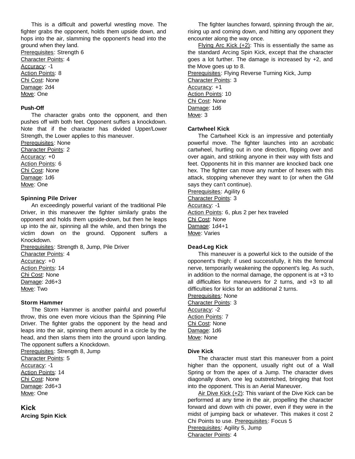This is a difficult and powerful wrestling move. The fighter grabs the opponent, holds them upside down, and hops into the air, slamming the opponent's head into the ground when they land. Prerequisites: Strength 6

Character Points: 4 Accuracy: -1 Action Points: 8 Chi Cost: None Damage: 2d4 Move: One

#### **Push-Off**

The character grabs onto the opponent, and then pushes off with both feet. Opponent suffers a knockdown. Note that if the character has divided Upper/Lower Strength, the Lower applies to this maneuver.

Prerequisites: None Character Points: 2 Accuracy: +0 Action Points: 6 Chi Cost: None Damage: 1d6 Move: One

#### **Spinning Pile Driver**

An exceedingly powerful variant of the traditional Pile Driver, in this maneuver the fighter similarly grabs the opponent and holds them upside-down, but then he leaps up into the air, spinning all the while, and then brings the victim down on the ground. Opponent suffers a Knockdown.

Prerequisites: Strength 8, Jump, Pile Driver Character Points: 4 Accuracy: +0 Action Points: 14 Chi Cost: None Damage: 2d6+3 Move: Two

#### **Storm Hammer**

The Storm Hammer is another painful and powerful throw, this one even more vicious than the Spinning Pile Driver. The fighter grabs the opponent by the head and leaps into the air, spinning them around in a circle by the head, and then slams them into the ground upon landing. The opponent suffers a Knockdown.

Prerequisites: Strength 8, Jump

Character Points: 5 Accuracy: -1 Action Points: 14 Chi Cost: None Damage: 2d6+3 Move: One

**Kick Arcing Spin Kick**

The fighter launches forward, spinning through the air, rising up and coming down, and hitting any opponent they encounter along the way once.

Flying Arc Kick (+2): This is essentially the same as the standard Arcing Spin Kick, except that the character goes a lot further. The damage is increased by +2, and the Move goes up to 8. Prerequisites: Flying Reverse Turning Kick, Jump Character Points: 3 Accuracy: +1 Action Points: 10 Chi Cost: None Damage: 1d6 Move: 3

#### **Cartwheel Kick**

The Cartwheel Kick is an impressive and potentially powerful move. The fighter launches into an acrobatic cartwheel, hurtling out in one direction, flipping over and over again, and striking anyone in their way with fists and feet. Opponents hit in this manner are knocked back one hex. The fighter can move any number of hexes with this attack, stopping whenever they want to (or when the GM says they can't continue).

Prerequisites: Agility 6 Character Points: 3 Accuracy: -1 Action Points: 6, plus 2 per hex traveled Chi Cost: None Damage: 1d4+1 Move: Varies

#### **Dead-Leg Kick**

This maneuver is a powerful kick to the outside of the opponent's thigh; if used successfully, it hits the femoral nerve, temporarily weakening the opponent's leg. As such, in addition to the normal damage, the opponent is at +3 to all difficulties for maneuvers for 2 turns, and +3 to all difficulties for kicks for an additional 2 turns.

Prerequisites: None Character Points: 3 Accuracy: -2 Action Points: 7 Chi Cost: None Damage: 1d6 Move: None

#### **Dive Kick**

The character must start this maneuver from a point higher than the opponent, usually right out of a Wall Spring or from the apex of a Jump. The character dives diagonally down, one leg outstretched, bringing that foot into the opponent. This is an Aerial Maneuver.

Air Dive Kick (+2): This variant of the Dive Kick can be performed at any time in the air, propelling the character forward and down with chi power, even if they were in the midst of jumping back or whatever. This makes it cost 2 Chi Points to use. Prerequisites: Focus 5 Prerequisites: Agility 5, Jump

Character Points: 4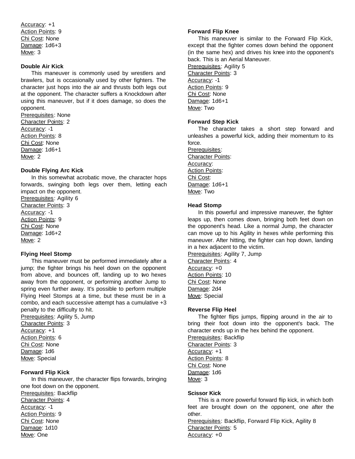Accuracy: +1 Action Points: 9 Chi Cost: None Damage: 1d6+3 Move: 3

#### **Double Air Kick**

This maneuver is commonly used by wrestlers and brawlers, but is occasionally used by other fighters. The character just hops into the air and thrusts both legs out at the opponent. The character suffers a Knockdown after using this maneuver, but if it does damage, so does the opponent.

Prerequisites: None Character Points: 2 Accuracy: -1 Action Points: 8 Chi Cost: None Damage: 1d6+1 Move: 2

#### **Double Flying Arc Kick**

In this somewhat acrobatic move, the character hops forwards, swinging both legs over them, letting each impact on the opponent.

Prerequisites: Agility 6 Character Points: 3 Accuracy: -1 Action Points: 9 Chi Cost: None Damage: 1d6+2 Move: 2

#### **Flying Heel Stomp**

This maneuver must be performed immediately after a jump; the fighter brings his heel down on the opponent from above, and bounces off, landing up to two hexes away from the opponent, or performing another Jump to spring even further away. It's possible to perform multiple Flying Heel Stomps at a time, but these must be in a combo, and each successive attempt has a cumulative +3 penalty to the difficulty to hit.

Prerequisites: Agility 5, Jump Character Points: 3 Accuracy: +1 Action Points: 6 Chi Cost: None Damage: 1d6 Move: Special

#### **Forward Flip Kick**

In this maneuver, the character flips forwards, bringing one foot down on the opponent. Prerequisites: Backflip Character Points: 4 Accuracy: -1 Action Points: 9 Chi Cost: None Damage: 1d10 Move: One

#### **Forward Flip Knee**

This maneuver is similar to the Forward Flip Kick, except that the fighter comes down behind the opponent (in the same hex) and drives his knee into the opponent's back. This is an Aerial Maneuver.

Prerequisites: Agility 5 Character Points: 3 Accuracy: -1 Action Points: 9 Chi Cost: None Damage: 1d6+1 Move: Two

#### **Forward Step Kick**

The character takes a short step forward and unleashes a powerful kick, adding their momentum to its force.

Prerequisites: Character Points: Accuracy: Action Points: Chi Cost: Damage: 1d6+1 Move: Two

#### **Head Stomp**

In this powerful and impressive maneuver, the fighter leaps up, then comes down, bringing both feet down on the opponent's head. Like a normal Jump, the character can move up to his Agility in hexes while performing this maneuver. After hitting, the fighter can hop down, landing in a hex adjacent to the victim.

Prerequisites: Agility 7, Jump Character Points: 4 Accuracy: +0 Action Points: 10 Chi Cost: None Damage: 2d4 Move: Special

#### **Reverse Flip Heel**

The fighter flips jumps, flipping around in the air to bring their foot down into the opponent's back. The character ends up in the hex behind the opponent. Prerequisites: Backflip

Character Points: 3 Accuracy: +1 Action Points: 8 Chi Cost: None Damage: 1d6 Move: 3

#### **Scissor Kick**

This is a more powerful forward flip kick, in which both feet are brought down on the opponent, one after the other.

Prerequisites: Backflip, Forward Flip Kick, Agility 8 Character Points: 5 Accuracy: +0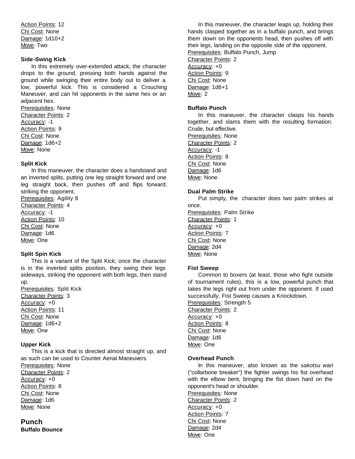Action Points: 12 Chi Cost: None Damage: 1d10+2 Move: Two

#### **Side-Swing Kick**

In this extremely over-extended attack, the character drops to the ground, pressing both hands against the ground while swinging their entire body out to deliver a low, powerful kick. This is considered a Crouching Maneuver, and can hit opponents in the same hex or an adjacent hex.

Prerequisites: None Character Points: 2 Accuracy: -1 Action Points: 9 Chi Cost: None Damage: 1d6+2 Move: None

#### **Split Kick**

In this maneuver, the character does a handstand and an inverted splits, putting one leg straight forward and one leg straight back, then pushes off and flips forward, striking the opponent.

Prerequisites: Agility 8 Character Points: 4 Accuracy: -1 Action Points: 10 Chi Cost: None Damage: 1d6 Move: One

#### **Split Spin Kick**

This is a variant of the Split Kick; once the character is in the inverted splits position, they swing their legs sideways, striking the opponent with both legs, then stand up.

Prerequisites: Split Kick Character Points: 3 Accuracy: +0 Action Points: 11 Chi Cost: None Damage: 1d6+2 Move: One

#### **Upper Kick**

This is a kick that is directed almost straight up, and as such can be used to Counter Aerial Maneuvers. Prerequisites: None Character Points: 2 Accuracy: +0 Action Points: 8 Chi Cost: None Damage: 1d6 Move: None

**Punch Buffalo Bounce**

In this maneuver, the character leaps up, holding their hands clasped together as in a buffalo punch, and brings them down on the opponents head, then pushes off with their legs, landing on the opposite side of the opponent. Prerequisites: Buffalo Punch, Jump Character Points: 2 Accuracy: +0 Action Points: 9 Chi Cost: None Damage: 1d6+1 Move: 2

#### **Buffalo Punch**

In this maneuver, the character clasps his hands together, and slams them with the resulting formation. Crude, but effective. Prerequisites: None Character Points: 2 Accuracy: -1 Action Points: 8 Chi Cost: None Damage: 1d6

#### **Dual Palm Strike**

Move: None

Put simply, the character does two palm strikes at once.

Prerequisites: Palm Strike Character Points: 1 Accuracy: +0 Action Points: 7 Chi Cost: None Damage: 2d4 Move: None

#### **Fist Sweep**

Common to boxers (at least, those who fight outside of tournament rules), this is a low, powerful punch that takes the legs right out from under the opponent. If used successfully, Fist Sweep causes a Knockdown. Prerequisites: Strength 5 Character Points: 2 Accuracy: +0 Action Points: 8 Chi Cost: None Damage: 1d6 Move: One

#### **Overhead Punch**

In this maneuver, also known as the *sakotsu wari*  ("collarbone breaker") the fighter swings his fist overhead with the elbow bent, bringing the fist down hard on the opponent's head or shoulder.

Prerequisites: None Character Points: 2 Accuracy: +0 Action Points: 7 Chi Cost: None Damage: 2d4 Move: One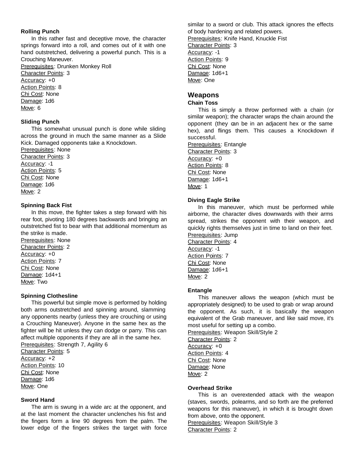#### **Rolling Punch**

In this rather fast and deceptive move, the character springs forward into a roll, and comes out of it with one hand outstretched, delivering a powerful punch. This is a Crouching Maneuver.

Prerequisites: Drunken Monkey Roll Character Points: 3 Accuracy: +0 Action Points: 8 Chi Cost: None Damage: 1d6 Move: 6

#### **Sliding Punch**

This somewhat unusual punch is done while sliding across the ground in much the same manner as a Slide Kick. Damaged opponents take a Knockdown.

Prerequisites: None Character Points: 3 Accuracy: -1 Action Points: 5 Chi Cost: None Damage: 1d6 Move: 2

#### **Spinning Back Fist**

In this move, the fighter takes a step forward with his rear foot, pivoting 180 degrees backwards and bringing an outstretched fist to bear with that additional momentum as the strike is made.

Prerequisites: None Character Points: 2 Accuracy: +0 Action Points: 7 Chi Cost: None Damage: 1d4+1 Move: Two

#### **Spinning Clothesline**

This powerful but simple move is performed by holding both arms outstretched and spinning around, slamming any opponents nearby (unless they are crouching or using a Crouching Maneuver). Anyone in the same hex as the fighter will be hit unless they can dodge or parry. This can affect multiple opponents if they are all in the same hex. Prerequisites: Strength 7, Agility 6

Character Points: 5 Accuracy: +2 Action Points: 10 Chi Cost: None Damage: 1d6 Move: One

#### **Sword Hand**

The arm is swung in a wide arc at the opponent, and at the last moment the character unclenches his fist and the fingers form a line 90 degrees from the palm. The lower edge of the fingers strikes the target with force similar to a sword or club. This attack ignores the effects of body hardening and related powers. Prerequisites: Knife Hand, Knuckle Fist Character Points: 3 Accuracy: -1 Action Points: 9 Chi Cost: None Damage: 1d6+1 Move: One

#### **Weapons**

#### **Chain Toss**

This is simply a throw performed with a chain (or similar weapon); the character wraps the chain around the opponent (they can be in an adjacent hex or the same hex), and flings them. This causes a Knockdown if successful.

Prerequisites: Entangle Character Points: 3 Accuracy: +0 Action Points: 8 Chi Cost: None Damage: 1d6+1 Move: 1

#### **Diving Eagle Strike**

In this maneuver, which must be performed while airborne, the character dives downwards with their arms spread, strikes the opponent with their weapon, and quickly rights themselves just in time to land on their feet. Prerequisites: Jump Character Points: 4

Accuracy: -1 **Action Points: 7** Chi Cost: None Damage: 1d6+1 Move: 2

#### **Entangle**

This maneuver allows the weapon (which must be appropriately designed) to be used to grab or wrap around the opponent. As such, it is basically the weapon equivalent of the Grab maneuver, and like said move, it's most useful for setting up a combo.

Prerequisites: Weapon Skill/Style 2

Character Points: 2 Accuracy: +0 Action Points: 4 Chi Cost: None Damage: None Move: 2

#### **Overhead Strike**

This is an overextended attack with the weapon (staves, swords, polearms, and so forth are the preferred weapons for this maneuver), in which it is brought down from above, onto the opponent. Prerequisites: Weapon Skill/Style 3 Character Points: 2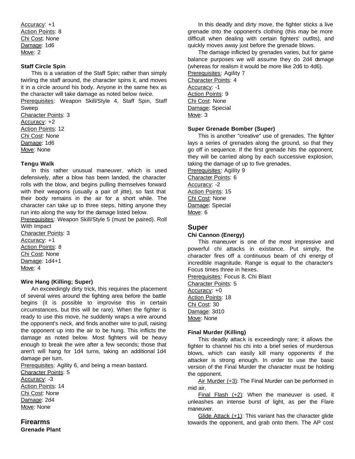Accuracy: +1 Action Points: 8 Chi Cost: None Damage: 1d6 Move: 2

#### **Staff Circle Spin**

This is a variation of the Staff Spin; rather than simply twirling the staff around, the character spins it, and moves it in a circle around his body. Anyone in the same hex as the character will take damage as noted below *twice*.

Prerequisites: Weapon Skill/Style 4, Staff Spin, Staff Sweep

Character Points: 3 Accuracy: +2 Action Points: 12 Chi Cost: None Damage: 1d6 Move: None

#### **Tengu Walk**

In this rather unusual maneuver, which is used defensively, after a blow has been landed, the character rolls with the blow, and begins pulling themselves forward with their weapons (usually a pair of jitte), so fast that their body remains in the air for a short while. The character can take up to three steps, hitting anyone they run into along the way for the damage listed below.

Prerequisites: Weapon Skill/Style 5 (must be paired). Roll With Impact

Character Points: 3 Accuracy: +1 Action Points: 8 Chi Cost: None Damage: 1d4+1 Move: 4

#### **Wire Hang (Killing; Super)**

An exceedingly dirty trick, this requires the placement of several wires around the fighting area before the battle begins (it is possible to improvise this in certain circumstances, but this will be rare). When the fighter is ready to use this move, he suddenly wraps a wire around the opponent's neck, and finds another wire to pull, raising the opponent up into the air to be hung. This inflicts the damage as noted below. Most fighters will be heavy enough to break the wire after a few seconds; those that aren't will hang for 1d4 turns, taking an additional 1d4 damage per turn.

Prerequisites: Agility 6, and being a mean bastard.

Character Points: 5 Accuracy: -3 Action Points: 14 Chi Cost: None Damage: 2d4 Move: None

### **Firearms Grenade Plant**

In this deadly and dirty move, the fighter sticks a live grenade onto the opponent's clothing (this may be more difficult when dealing with certain fighters' outfits), and quickly moves away just before the grenade blows.

The damage inflicted by grenades varies, but for game balance purposes we will assume they do 2d4 damage (whereas for realism it would be more like 2d6 to 4d6). Prerequisites: Agility 7 Character Points: 4 Accuracy: -1 Action Points: 9 Chi Cost: None Damage: Special Move: 3

#### **Super Grenade Bomber (Super)**

This is another "creative" use of grenades. The fighter lays a series of grenades along the ground, so that they go off in sequence. If the first grenade hits the opponent, they will be carried along by each successive explosion, taking the damage of up to five grenades.

Prerequisites: Agility 9 Character Points: 6 Accuracy: -2 Action Points: 15 Chi Cost: None Damage: Special Move: 6

#### **Super**

#### **Chi Cannon (Energy)**

This maneuver is one of the most impressive and powerful chi attacks in existance. Put simply, the character fires off a continuous beam of chi energy of incredible magnitude. Range is equal to the character's Focus times three in hexes.

Prerequisites: Focus 8, Chi Blast Character Points: 5 Accuracy: +0 Action Points: 18 Chi Cost: 30 Damage: 3d10 Move: None

#### **Final Murder (Killing)**

This deadly attack is exceedingly rare; it allows the fighter to channel his chi into a brief series of murderous blows, which can easily kill many opponents if the attacker is strong enough. In order to use the basic version of the Final Murder the character must be holding the opponent.

Air Murder (+3): The Final Murder can be performed in mid air.

Final Flash  $(+2)$ : When the maneuver is used, it unleashes an intense burst of light, as per the Flare maneuver.

Glide Attack (+1): This variant has the character glide towards the opponent, and grab onto them. The AP cost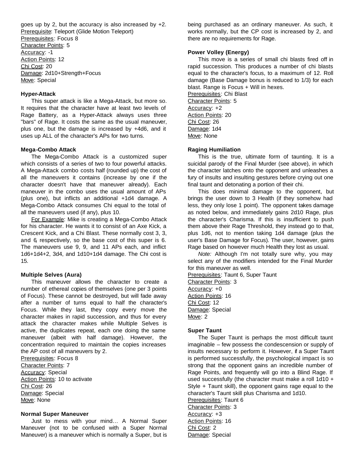goes up by 2, but the accuracy is also increased by  $+2$ . Prerequisite: Teleport (Glide Motion Teleport) Prerequisites: Focus 8 Character Points: 5 Accuracy: -1 Action Points: 12 Chi Cost: 20 Damage: 2d10+Strength+Focus Move: Special

#### **Hyper-Attack**

This super attack is like a Mega-Attack, but more so. It requires that the character have at least two levels of Rage Battery, as a Hyper-Attack always uses three "bars" of Rage. It costs the same as the usual maneuver, plus one, but the damage is increased by +4d6, and it uses up ALL of the character's APs for two turns.

#### **Mega-Combo Attack**

The Mega-Combo Attack is a customized super which consists of a series of two to four powerful attacks. A Mega-Attack combo costs half (rounded up) the cost of all the maneuvers it contains (increase by one if the character doesn't have that maneuver already). Each maneuver in the combo uses the usual amount of APs (plus one), but inflicts an additional +1d4 damage. A Mega-Combo Attack consumes Chi equal to the total of all the maneuvers used (if any), plus 10.

For Example: Mike is creating a Mega-Combo Attack for his character. He wants it to consist of an Axe Kick, a Crescent Kick, and a Chi Blast. These normally cost 3, 3, and 6, respectively, so the base cost of this super is 6. The maneuvers use 9, 9, and 11 APs each, and inflict 1d6+1d4+2, 3d4, and 1d10+1d4 damage. The Chi cost is 15.

#### **Multiple Selves (Aura)**

This maneuver allows the character to create a number of ethereal copies of themselves (one per 3 points of Focus). These cannot be destroyed, but will fade away after a number of turns equal to half the character's Focus. While they last, they copy every move the character makes in rapid succession, and thus for every attack the character makes while Multiple Selves is active, the duplicates repeat, each one doing the same maneuver (albeit with half damage). However, the concentration required to maintain the copies increases the AP cost of all maneuvers by 2.

Prerequisites: Focus 8 Character Points: 7 **Accuracy: Special** Action Points: 10 to activate Chi Cost: 26 Damage: Special Move: None

#### **Normal Super Maneuver**

Just to mess with your mind… A Normal Super Maneuver (not to be confused with a Super Normal Maneuver) is a maneuver which is normally a Super, but is

being purchased as an ordinary maneuver. As such, it works normally, but the CP cost is increased by 2, and there are no requirements for Rage.

#### **Power Volley (Energy)**

This move is a series of small chi blasts fired off in rapid succession. This produces a number of chi blasts equal to the character's focus, to a maximum of 12. Roll damage (Base Damage bonus is reduced to 1/3) for each blast. Range is Focus + Will in hexes. Prerequisites: Chi Blast Character Points: 5

Accuracy: +2 Action Points: 20 Chi Cost: 26 Damage: 1d4 Move: None

#### **Raging Humiliation**

This is the true, ultimate form of taunting. It is a suicidal parody of the Final Murder (see above), in which the character latches onto the opponent and unleashes a fury of insults and insulting gestures before crying out one final taunt and detonating a portion of their chi.

This does minimal damage to the opponent, but brings the user down to 3 Health (if they somehow had less, they only lose 1 point). The opponent takes damage as noted below, and immediately gains 2d10 Rage, plus the character's Charisma. If this is insufficient to push them above their Rage Threshold, they instead go to that, plus 1d6, not to mention taking 1d4 damage (plus the user's Base Damage for Focus). The user, however, gains Rage based on however much Health they lost as usual.

*Note:* Although I'm not totally sure why, you may select any of the modifiers intended for the Final Murder for this maneuver as well.

Prerequisites: Taunt 6, Super Taunt Character Points: 3 Accuracy: +0 Action Points: 16 Chi Cost: 12 Damage: Special Move: 2

#### **Super Taunt**

The Super Taunt is perhaps the most difficult taunt imaginable – few possess the condescension or supply of insults necessary to perform it. However, if a Super Taunt is performed successfully, the psychological impact is so strong that the opponent gains an incredible number of Rage Points, and frequently will go into a Blind Rage. If used successfully (the character must make a roll 1d10 + Style + Taunt skill), the opponent gains rage equal to the character's Taunt skill plus Charisma and 1d10.

Prerequisites: Taunt 6 Character Points: 3 Accuracy: +3 Action Points: 16 Chi Cost: 2 Damage: Special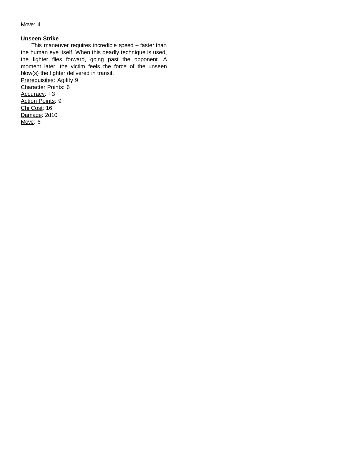#### Move: 4

#### **Unseen Strike**

This maneuver requires incredible speed -- faster than the human eye itself. When this deadly technique is used, the fighter flies forward, going past the opponent. A moment later, the victim feels the force of the unseen blow(s) the fighter delivered in transit. Prerequisites: Agility 9 Character Points: 6 Accuracy: +3 Action Points: 9 Chi Cost: 16 Damage: 2d10 Move: 6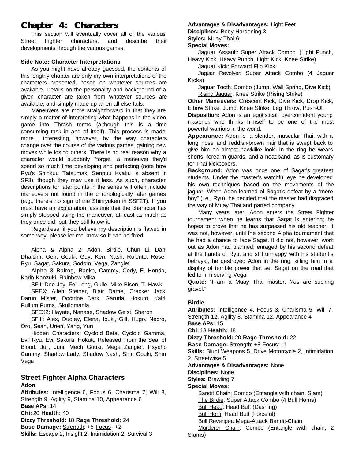# **Chapter 4: Characters**

This section will eventually cover all of the various Street Fighter characters, and describe their developments through the various games.

#### **Side Note: Character Interpretations**

As you might have already guessed, the contents of this lengthy chapter are only my own interpretations of the characters presented, based on whatever sources are available. Details on the personality and background of a given character are taken from whatever sources are available, and simply made up when all else fails.

Maneuvers are more straightforward in that they are simply a matter of interpreting what happens in the video game into Thrash terms (although this is a time consuming task in and of itself). This process is made more... interesting, however, by the way characters change over the course of the various games, gaining new moves while losing others. There is no real reason why a character would suddenly "forget" a maneuver they'd spend so much time developing and perfecting (note how Ryu's Shinkuu Tatsumaki Senpuu Kyaku is absent in SF3), though they may use it less. As such, character descriptions for later points in the series will often include maneuvers not found in the chronologically later games (e.g., there's no sign of the Shinryuken in SSF2T). If you must have an explanation, assume that the character has simply stopped using the maneuver, at least as much as they once did, but they still know it.

Regardless, if you believe my description is flawed in some way, please let me know so it can be fixed.

Alpha & Alpha 2: Adon, Birdie, Chun Li, Dan, Dhalsim, Gen, Gouki, Guy, Ken, Nash, Rolento, Rose, Ryu, Sagat, Sakura, Sodom, Vega, Zangief

Alpha 3: Balrog, Blanka, Cammy, Cody, E. Honda, Karin Kanzuki, Rainbow Mika

SFII: Dee Jay, Fei Long, Guile, Mike Bison, T. Hawk

SFEX: Allen Steiner, Blair Dame, Cracker Jack, Darun Mister, Doctrine Dark, Garuda, Hokuto, Kairi, Pullum Purna, Skullomania

SFEX2: Hayate, Nanase, Shadow Geist, Sharon

SFIII: Alex, Dudley, Elena, Ibuki, Gill, Hugo, Necro, Oro, Sean, Urien, Yang, Yun

Hidden Characters: Cycloid Beta, Cycloid Gamma, Evil Ryu, Evil Sakura, Hokuto Released From the Seal of Blood, Juli, Juni, Mech Gouki, Mega Zangief, Psycho Cammy, Shadow Lady, Shadow Nash, Shin Gouki, Shin Vega

#### **Street Fighter Alpha Characters Adon**

**Attributes:** Intelligence 6, Focus 6, Charisma 7, Will 8, Strength 9, Agility 9, Stamina 10, Appearance 6 **Base APs:** 14 **Chi:** 20 **Health:** 40 **Dizzy Threshold:** 18 **Rage Threshold:** 24 **Base Damage:** Strength: +5 Focus: +2 **Skills:** Escape 2, Insight 2, Intimidation 2, Survival 3

#### **Advantages & Disadvantages:** Light Feet

**Disciplines:** Body Hardening 3

**Styles:** Muay Thai 6

#### **Special Moves:**

Jaguar Assault: Super Attack Combo (Light Punch, Heavy Kick, Heavy Punch, Light Kick, Knee Strike)

Jaguar Kick: Forward Flip Kick

Jaguar Revolver: Super Attack Combo (4 Jaguar Kicks)

Jaguar Tooth: Combo (Jump, Wall Spring, Dive Kick) Rising Jaguar: Knee Strike (Rising Strike)

**Other Maneuvers:** Crescent Kick, Dive Kick, Drop Kick, Elbow Strike, Jump, Knee Strike, Leg Throw, Push-Off

**Disposition:** Adon is an egotistical, overconfident young maverick who thinks himself to be one of the most powerful warriors in the world.

**Appearance:** Adon is a slender, muscular Thai, with a long nose and reddish-brown hair that is swept back to give him an almost hawklike look. In the ring he wears shorts, forearm guards, and a headband, as is customary for Thai kickboxers.

**Background:** Adon was once one of Sagat's greatest students. Under the master's watchful eye he developed his own techniques based on the movements of the jaguar. When Adon learned of Sagat's defeat by a "mere boy" (i.e., Ryu), he decided that the master had disgraced the way of Muay Thai and parted company.

Many years later, Adon enters the Street Fighter tournament when he learns that Sagat is entering; he hopes to prove that he has surpassed his old teacher. It was not, however, until the second Alpha tournament that he had a chance to face Sagat. It did not, however, work out as Adon had planned; enraged by his second defeat at the hands of Ryu, and still unhappy with his student's betrayal, he destroyed Adon in the ring, killing him in a display of terrible power that set Sagat on the road that led to him serving Vega.

**Quote:** "I am a Muay Thai master. *You* are sucking gravel."

#### **Birdie**

**Attributes:** Intelligence 4, Focus 3, Charisma 5, Will 7, Strength 12, Agility 8, Stamina 12, Appearance 4 **Base APs:** 15 **Chi:** 13 **Health:** 48 **Dizzy Threshold:** 20 **Rage Threshold:** 22 **Base Damage:** Strength: +8 Focus: -1 **Skills:** Blunt Weapons 5, Drive Motorcycle 2, Intimidation 2, Streetwise 5 **Advantages & Disadvantages:** None **Disciplines:** None **Styles:** Brawling 7 **Special Moves:** Bandit Chain: Combo (Entangle with chain, Slam) The Birdie: Super Attack Combo (4 Bull Horns) Bull Head: Head Butt (Dashing) **Bull Horn: Head Butt (Forceful) Bull Revenger: Mega-Attack Bandit-Chain** Murderer Chain: Combo (Entangle with chain, 2 Slams)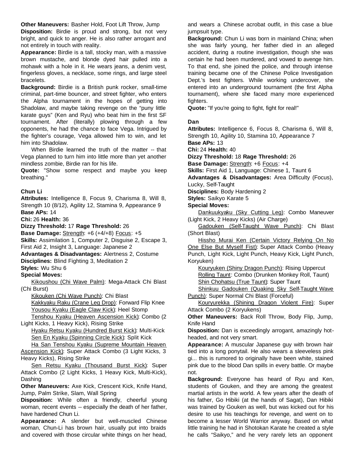**Other Maneuvers:** Basher Hold, Foot Lift Throw, Jump

**Disposition:** Birdie is proud and strong, but not very bright, and quick to anger. He is also rather arrogant and not entirely in touch with reality.

**Appearance:** Birdie is a tall, stocky man, with a massive brown mustache, and blonde dyed hair pulled into a mohawk with a hole in it. He wears jeans, a denim vest, fingerless gloves, a necklace, some rings, and large steel bracelets.

**Background:** Birdie is a British punk rocker, small-time criminal, part-time bouncer, and street fighter, who enters the Alpha tournament in the hopes of getting into Shadolaw, and maybe taking revenge on the "puny little karate guys" (Ken and Ryu) who beat him in the first SF tournament. After (literally) plowing through a few opponents, he had the chance to face Vega. Intrigued by the fighter's courage, Vega allowed him to win, and let him into Shadolaw.

When Birdie learned the truth of the matter -- that Vega planned to turn him into little more than yet another mindless zombie, Birdie ran for his life.

**Quote:** "Show some respect and maybe you keep breathing."

#### **Chun Li**

**Attributes:** Intelligence 8, Focus 9, Charisma 8, Will 8, Strength 10 (8/12), Agility 12, Stamina 9, Appearance 9 **Base APs:** 14

**Chi:** 26 **Health:** 36

**Dizzy Threshold:** 17 **Rage Threshold:** 26

**Base Damage:** Strength: +6 (+4/+8) Focus: +5 **Skills:** Assimilation 1, Computer 2, Disguise 2, Escape 3,

First Aid 2, Insight 3, Language: Japanese 2

**Advantages & Disadvantages:** Alertness 2, Costume **Disciplines:** Blind Fighting 3, Meditation 2

**Styles:** Wu Shu 6

**Special Moves:**

Kikoushou (Chi Wave Palm): Mega-Attack Chi Blast (Chi Burst)

Kikouken (Chi Wave Punch): Chi Blast Kakkyaku Raku (Crane Leg Drop): Forward Flip Knee Yousou Kyaku (Eagle Claw Kick): Heel Stomp

Tenshou Kyaku (Heaven Ascension Kick): Combo (2 Light Kicks, 1 Heavy Kick), Rising Strike

Hyaku Retsu Kyaku (Hundred Burst Kick): Multi-Kick Sen En Kyaku (Spinning Circle Kick): Split Kick

Ha San Tenshou Kyaku (Supreme Mountain Heaven Ascension Kick): Super Attack Combo (3 Light Kicks, 3 Heavy Kicks), Rising Strike

Sen Retsu Kyaku (Thousand Burst Kick): Super Attack Combo (2 Light Kicks, 1 Heavy Kick, Multi-Kick), Dashing

**Other Maneuvers:** Axe Kick, Crescent Kick, Knife Hand, Jump, Palm Strike, Slam, Wall Spring

**Disposition:** While often a friendly, cheerful young woman, recent events -- especially the death of her father, have hardened Chun Li.

**Appearance:** A slender but well-muscled Chinese woman, Chun-Li has brown hair, usually put into braids and covered with those circular white things on her head, and wears a Chinese acrobat outfit, in this case a blue jumpsuit type.

**Background:** Chun Li was born in mainland China; when she was fairly young, her father died in an alleged accident, during a routine investigation, though she was certain he had been murdered, and vowed to avenge him. To that end, she joined the police, and through intense training became one of the Chinese Police Investigation Dept.'s best fighters. While working undercover, she entered into an underground tournament (the first Alpha tournament), where she faced many more experienced fighters.

**Quote:** "If you're going to fight, fight for real!"

#### **Dan**

**Attributes:** Intelligence 6, Focus 8, Charisma 6, Will 8, Strength 10, Agility 10, Stamina 10, Appearance 7 **Base APs:** 13

**Chi:** 24 **Health:** 40

**Dizzy Threshold:** 18 **Rage Threshold:** 26

**Base Damage:** Strength: +6 Focus: +4

**Skills:** First Aid 1, Language: Chinese 1, Taunt 6

**Advantages & Disadvantages:** Area Difficulty (Focus), Lucky, Self-Taught

**Disciplines:** Body Hardening 2

**Styles:** Saikyo Karate 5

**Special Moves:**

Dankuukyaku (Sky Cutting Leg): Combo Maneuver (Light Kick, 2 Heavy Kicks) (Air Charge)

Gadouken (Self-Taught Wave Punch): Chi Blast (Short Blast)

Hissho Murai Ken (Certain Victory Relying On No One Else But Myself Fist): Super Attack Combo (Heavy Punch, Light Kick, Light Punch, Heavy Kick, Light Punch, Koryuken)

Kouryuken (Shiny Dragon Punch): Rising Uppercut Rolling Taunt: Combo (Drunken Monkey Roll, Taunt) Shin Chohatsu (True Taunt): Super Taunt

Shinkuu Gadouken (Quaking Sky Self-Taught Wave Punch): Super Normal Chi Blast (Forceful)

Kouryurekka (Shining Dragon Violent Fire): Super Attack Combo (2 Koryukens)

**Other Maneuvers:** Back Roll Throw, Body Flip, Jump, Knife Hand

**Disposition:** Dan is exceedingly arrogant, amazingly hotheaded, and not very smart.

**Appearance:** A muscular Japanese guy with brown hair tied into a long ponytail. He also wears a sleeveless pink gi... this is rumored to originally have been white, stained pink due to the blood Dan spills in every battle. Or maybe not.

**Background:** Everyone has heard of Ryu and Ken, students of Gouken, and they are among the greatest martial artists in the world. A few years after the death of his father, Go Hibiki (at the hands of Sagat), Dan Hibiki was trained by Gouken as well, but was kicked out for his desire to use his teachings for revenge, and went on to become a lesser World Warrior anyway. Based on what little training he had in Shotokan Karate he created a style he calls "Saikyo," and he very rarely lets an opponent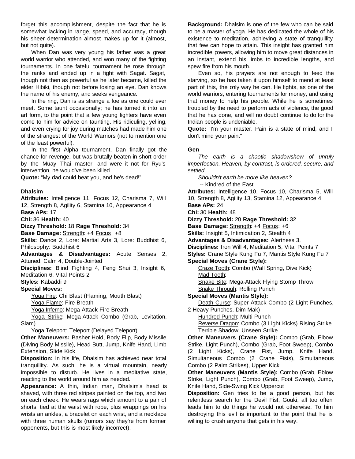forget this accomplishment, despite the fact that he is somewhat lacking in range, speed, and accuracy, though his sheer determination almost makes up for it (almost, but not quite).

When Dan was very young his father was a great world warrior who attended, and won many of the fighting tournaments. In one fateful tournament he rose through the ranks and ended up in a fight with Sagat. Sagat, though not then as powerful as he later became, killed the elder Hibiki, though not before losing an eye. Dan knows the name of his enemy, and seeks vengeance.

In the ring, Dan is as strange a foe as one could ever meet. Some taunt occasionally; he has turned it into an art form, to the point that a few young fighters have even come to him for advice on taunting. His ridiculing, yelling, and even crying for joy during matches had made him one of the strangest of the World Warriors (not to mention one of the least powerful).

In the first Alpha tournament, Dan finally got the chance for revenge, but was brutally beaten in short order by the Muay Thai master, and were it not for Ryu's intervention, he would've been killed.

**Quote:** "My dad could beat you, and he's dead!"

#### **Dhalsim**

**Attributes:** Intelligence 11, Focus 12, Charisma 7, Will 12, Strength 8, Agility 6, Stamina 10, Appearance 4

**Base APs:** 17

**Chi:** 36 **Health:** 40

**Dizzy Threshold:** 18 **Rage Threshold:** 34

**Base Damage:** Strength: +4 Focus: +8

**Skills:** Dance 2, Lore: Martial Arts 3, Lore: Buddhist 6, Philosophy: Buddhist 6

**Advantages & Disadvantages:** Acute Senses 2, Attuned, Calm 4, Double-Jointed

**Disciplines:** Blind Fighting 4, Feng Shui 3, Insight 6, Meditation 6, Vital Points 2

**Styles:** Kabaddi 9

**Special Moves:**

Yoga Fire: Chi Blast (Flaming, Mouth Blast) Yoga Flame: Fire Breath

Yoga Inferno: Mega-Attack Fire Breath

Yoga Strike: Mega-Attack Combo (Grab, Levitation, Slam)

Yoga Teleport: Teleport (Delayed Teleport)

**Other Maneuvers:** Basher Hold, Body Flip, Body Missile (Diving Body Missile), Head Butt, Jump, Knife Hand, Limb Extension, Slide Kick

**Disposition:** In his life, Dhalsim has achieved near total tranquillity. As such, he is a virtual mountain, nearly impossible to disturb. He lives in a meditative state, reacting to the world around him as needed.

**Appearance:** A thin, Indian man, Dhalsim's head is shaved, with three red stripes painted on the top, and two on each cheek. He wears rags which amount to a pair of shorts, tied at the waist with rope, plus wrappings on his wrists an ankles, a bracelet on each wrist, and a necklace with three human skulls (rumors say they're from former opponents, but this is most likely incorrect).

**Background:** Dhalsim is one of the few who can be said to be a master of yoga. He has dedicated the whole of his existence to meditation, achieving a state of tranquillity that few can hope to attain. This insight has granted him incredible powers, allowing him to move great distances in an instant, extend his limbs to incredible lengths, and spew fire from his mouth.

Even so, his prayers are not enough to feed the starving, so he has taken it upon himself to mend at least part of this, the only way he can. He fights, as one of the world warriors, entering tournaments for money, and using that money to help his people. While he is sometimes troubled by the need to perform acts of violence, the good that he has done, and will no doubt continue to do for the Indian people is undeniable.

**Quote:** "I'm your master. Pain is a state of mind, and I don't mind your pain."

#### **Gen**

*The earth is a chaotic shadowshow of unruly imperfection. Heaven, by contrast, is ordered, secure, and settled.*

*Shouldn't earth be more like heaven?*

-- Kindred of the East

**Attributes:** Intelligence 10, Focus 10, Charisma 5, Will 10, Strength 8, Agility 13, Stamina 12, Appearance 4

**Base APs:** 24

**Chi:** 30 **Health:** 48

**Dizzy Threshold:** 20 **Rage Threshold:** 32

**Base Damage:** Strength: +4 Focus: +6

**Skills:** Insight 5, Intimidation 2, Stealth 4

**Advantages & Disadvantages:** Alertness 3,

**Disciplines:** Iron Will 4, Meditation 5, Vital Points 7

**Styles:** Crane Style Kung Fu 7, Mantis Style Kung Fu 7

## **Special Moves (Crane Style):**

Craze Tooth: Combo (Wall Spring, Dive Kick) Mad Tooth:

Snake Bite: Mega-Attack Flying Stomp Throw Snake Through: Rolling Punch

#### **Special Moves (Mantis Style):**

Death Curse: Super Attack Combo (2 Light Punches, 2 Heavy Punches, Dim Mak)

Hundred Punch: Multi-Punch Reverse Dragon: Combo (3 Light Kicks) Rising Strike Terrible Shadow: Unseen Strike

**Other Maneuvers (Crane Style):** Combo (Grab, Elbow Strike, Light Punch), Combo (Grab, Foot Sweep), Combo (2 Light Kicks), Crane Fist, Jump, Knife Hand, Simultaneous Combo (2 Crane Fists), Simultaneous Combo (2 Palm Strikes), Upper Kick

**Other Maneuvers (Mantis Style):** Combo (Grab, Eblow Strike, Light Punch), Combo (Grab, Foot Sweep), Jump, Knife Hand, Side-Swing Kick Uppercut

**Disposition:** Gen tries to be a good person, but his relentless search for the Devil Fist, Gouki, all too often leads him to do things he would not otherwise. To him destroying this evil is important to the point that he is willing to crush anyone that gets in his way.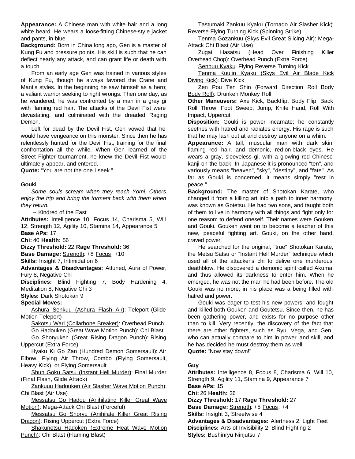**Appearance:** A Chinese man with white hair and a long white beard. He wears a loose-fitting Chinese-style jacket and pants, in blue.

**Background:** Born in China long ago, Gen is a master of Kung Fu and pressure points. His skill is such that he can deflect nearly any attack, and can grant life or death with a touch.

From an early age Gen was trained in various styles of Kung Fu, though he always favored the Crane and Mantis styles. In the beginning he saw himself as a hero; a valiant warrior seeking to right wrongs. Then one day, as he wandered, he was confronted by a man in a gray gi with flaming red hair. The attacks of the Devil Fist were devastating, and culminated with the dreaded Raging Demon.

Left for dead by the Devil Fist, Gen vowed that he would have vengeance on this monster. Since then he has relentlessly hunted for the Devil Fist, training for the final confrontation all the while. When Gen learned of the Street Fighter tournament, he knew the Devil Fist would ultimately appear, and entered.

**Quote:** "You are not the one I seek."

#### **Gouki**

*Some souls scream when they reach Yomi. Others enjoy the trip and bring the torment back with them when they return.*

-- Kindred of the East

**Attributes:** Intelligence 10, Focus 14, Charisma 5, Will 12, Strength 12, Agility 10, Stamina 14, Appearance 5 **Base APs:** 17

**Chi:** 40 **Health:** 56

**Dizzy Threshold:** 22 **Rage Threshold:** 36

**Base Damage:** Strength: +8 Focus: +10

**Skills:** Insight 7, Intimidation 6

**Advantages & Disadvantages:** Attuned, Aura of Power, Fury 8, Negative Chi

**Disciplines:** Blind Fighting 7, Body Hardening 4, Meditation 8, Negative Chi 3

**Styles:** Dark Shotokan 9

#### **Special Moves:**

Ashura Senkuu (Ashura Flash Air): Teleport (Glide Motion Teleport)

Sakotsu Wari (Collarbone Breaker): Overhead Punch Go Hadouken (Great Wave Motion Punch): Chi Blast Go Shoryuken (Great Rising Dragon Punch): Rising

Uppercut (Extra Force) Hyaku Ki Go Zan (Hundred Demon Somersault): Air

Elbow, Flying Air Throw, Combo (Flying Somersault, Heavy Kick), or Flying Somersault

Shun Goku Satsu (Instant Hell Murder): Final Murder (Final Flash, Glide Attack)

Zankuuu Hadouken (Air Slasher Wave Motion Punch): Chi Blast (Air Use)

Messatsu Go Hadou (Anihilating Killer Great Wave Motion): Mega-Attack Chi Blast (Forceful)

Messatsu Go Shoryu (Anihilate Killer Great Rising Dragon): Rising Uppercut (Extra Force)

Shakunetsu Hadoken (Extreme Heat Wave Motion Punch): Chi Blast (Flaming Blast)

Tastumaki Zankuu Kyaku (Tornado Air Slasher Kick): Reverse Flying Turning Kick (Spinning Strike)

Tenma Gozankuu (Skys Evil Great Slicing Air): Mega-Attack Chi Blast (Air Use)

Zugai Hasatsu (Head Over Finishing Killer Overhead Chop): Overhead Punch (Extra Force)

Senpuu Kyaku: Flying Reverse Turning Kick

Tenma Kuujin Kyaku (Skys Evil Air Blade Kick Diving Kick): Dive Kick

Zen Pou Ten Shin (Forward Direction Roll Body Body Roll): Drunken Monkey Roll

**Other Maneuvers:** Axe Kick, Backflip, Body Flip, Back Roll Throw, Foot Sweep, Jump, Knife Hand, Roll With Impact, Uppercut

**Disposition:** Gouki is power incarnate; he constantly seethes with hatred and radiates energy. His rage is such that he may lash out at and destroy anyone on a whim.

**Appearance:** A tall, muscular man with dark skin, flaming red hair, and demonic, red-on-black eyes. He wears a gray, sleeveless gi, with a glowing red Chinese kanij on the back. In Japanese it is pronounced "ten", and variously means "heaven", "sky", "destiny", and "fate". As far as Gouki is concerned, it means simply "rest in peace."

**Background:** The master of Shotokan Karate, who changed it from a killing art into a path to inner harmony, was known as Gotetsu. He had two sons, and taught both of them to live in harmony with all things and fight only for one reason: to defend oneself. Their names were Gouken and Gouki. Gouken went on to become a teacher of this new, peaceful fighting art. Gouki, on the other hand, craved power.

He searched for the original, "true" Shotokan Karate, the Metsu Satsu or "Instant Hell Murder" technique which used all of the attacker's chi to delive one murderous deathblow. He discovered a demonic spirit called Akuma, and thus allowed its darkness to enter him. When he emerged, he was not the man he had been before. The old Gouki was no more; in his place was a being filled with hatred and power.

Gouki was eager to test his new powers, and fought and killed both Gouken and Goutetsu. Since then, he has been gathering power, and exists for no purpose other than to kill. Very recently, the discovery of the fact that there are other fighters, such as Ryu, Vega, and Gen, who can actually compare to him in power and skill, and he has decided he must destroy them as well. **Quote:** "Now stay down!"

**Guy**

**Attributes:** Intelligence 8, Focus 8, Charisma 6, Will 10, Strength 9, Agility 11, Stamina 9, Appearance 7 **Base APs:** 15 **Chi:** 26 **Health:** 36 **Dizzy Threshold:** 17 **Rage Threshold:** 27 **Base Damage:** Strength: +5 Focus: +4 **Skills:** Insight 3, Streetwise 4 **Advantages & Disadvantages:** Alertness 2, Light Feet **Disciplines:** Arts of Invisibility 2, Blind Fighting 2 **Styles:** Bushinryu Ninjutsu 7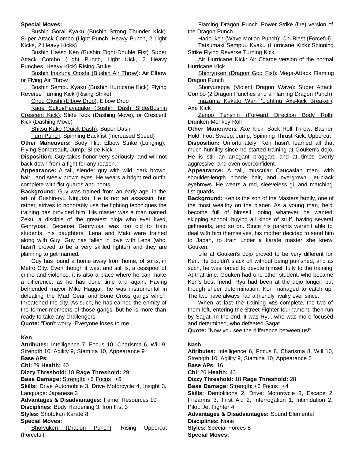#### **Special Moves:**

Bushin Gorai Kyaku (Bushin Strong Thunder Kick): Super Attack Combo (Light Punch, Heavy Punch, 2 Light Kicks, 2 Heavy Kicks)

Bushin Hasso Ken (Bushin Eight-Double Fist): Super Attack Combo (Light Punch, Light Kick, 2 Heavy Punches, Heavy Kick) Rising Strike

Bushin Inazuna Otoshi (Bushin Air Throw): Air Elbow or Flying Air Throw

Bushin Sempu Kyaku (Bushin Hurricane Kick): Flying Reverse Turning Kick (Rising Strike)

Chuu Otoshi (Elbow Drop): Elbow Drop

Kage Sukui/Hayagake (Bushin Dash Slide/Bushin Crescent Kick): Slide Kick (Dashing Move), or Crescent Kick (Dashing Move)

Shitsu Kake (Quick Dash): Super Dash

Turn Punch: Spinning Backfist (Increased Speed)

**Other Maneuvers:** Body Flip, Elbow Strike (Lunging), Flying Somersault, Jump, Slide Kick

**Disposition:** Guy takes honor very seriously, and will not back down from a fight for any reason.

**Appearance:** A tall, slender guy with wild, dark brown hair, and steely brown eyes. He wears a bright red outfit, complete with fist guards and boots.

**Background:** Guy was trained from an early age in the art of Bushin-ryu Ninjutsu. He is not an assassin, but rather, strives to honorably use the fighting techniques the training has provided him. His master was a man named Zeku, a disciple of the greatest ninja who ever lived, Genryusai. Because Genryusai was too old to train students, his daughters, Lena and Maki were trained along with Guy. Guy has fallen in love with Lena (who hasn't proved to be a very skilled fighter) and they are planning to get married.

Guy has found a home away from home, of sorts, in Metro City. Even though it was, and still is, a cesspool of crime and violence, it is also a place where he can make a difference, as he has done time and again. Having befriended mayor Mike Haggar, he was instrumental in defeating the Mad Gear and Bone Cross gangs which threatened the city. As such, he has earned the enmity of the former members of those gangs, but he is more than ready to take any challengers.

**Quote:** "Don't worry. Everyone loses to me."

#### **Ken**

**Attributes:** Intelligence 7, Focus 10, Charisma 6, Will 9, Strength 10, Agility 9, Stamina 10, Appearance 9 **Base APs: Chi:** 29 **Health:** 40 **Dizzy Threshold:** 18 **Rage Threshold:** 29 **Base Damage:** Strength: +6 Focus: +6 **Skills:** Drive Automobile 3, Drive Motorcycle 4, Insight 3, Language: Japanese 3 **Advantages & Disadvantages:** Fame, Resources 10 **Disciplines:** Body Hardening 3, Iron Fist 3 **Styles:** Shotokan Karate 8 **Special Moves:** Shoryuken (Dragon Punch): Rising Uppercut (Forceful)

Flaming Dragon Punch: Power Strike (fire) version of the Dragon Punch.

Hadouken (Wave Motion Punch): Chi Blast (Forceful)

Tatsumaki Sempuu Kyaku (Hurricane Kick): Spinning Strike Flying Reverse Turning Kick

Air Hurricane Kick: Air Charge version of the normal Hurricane Kick.

Shinryuken (Dragon God Fist): Mega-Attack Flaming Dragon Punch

Shoryureppa (Violent Dragon Wave): Super Attack Combo (2 Dragon Punches and a Flaming Dragon Punch)

Inazuma Kakato Wari (Lighting Axe-kick Breaker): Axe Kick

Zenpo Tenshin (Forward Direction Body Roll): Drunken Monkey Roll

**Other Maneuvers:** Axe Kick, Back Roll Throw, Basher Hold, Foot Sweep, Jump, Spinning Thrust Kick, Uppercut **Disposition:** Unfortunately, Ken hasn't learned all that much humility since he started training at Gouken's dojo. He is still an arrogant braggart, and at times overly aggressive, and even overconfident.

**Appearance:** A tall, muscular Caucasian man, with shoulder-length blonde hair, and overgrown, jet-black eyebrows. He wears a red, sleeveless gi, and matching fist guards.

**Background:** Ken is the son of the Masters family, one of the most wealthy on the planet. As a young man, he'd become full of himself, doing whatever he wanted; skipping school, buying all kinds of stuff, having several girlfriends, and so on. Since his parents weren't able to deal with him themselves, his mother decided to send him to Japan, to train under a karate master she knew; Gouken.

Life at Gouken's dojo proved to be very different for Ken. He couldn't slack off without being punished, and as such, he was forced to devote himself fully to the training. At that time, Gouken had one other student, who became Ken's best friend. Ryu had been at the dojo longer, but though sheer determination, Ken managed to catch up. The two have always had a friendly rivalry ever since.

When at last the training was complete, the two of them left, entering the Street Fighter tournament, then run by Sagat. In the end, it was Ryu, who was more focused and determined, who defeated Sagat.

**Quote:** "Now you see the difference between us!"

#### **Nash**

**Attributes:** Intelligence 6, Focus 8, Charisma 8, Will 10, Strength 10, Agility 9, Stamina 10, Appearance 6 **Base APs:** 16 **Chi:** 26 **Health:** 40 **Dizzy Threshold:** 18 **Rage Threshold:** 28 **Base Damage:** Strength: +6 Focus: +4 **Skills:** Demolitions 2, Drive: Motorcycle 3, Escape 2, Firearms 3, First Aid 2, Interrogation 1, Intimidation 2, Pilot: Jet Fighter 4 **Advantages & Disadvantages:** Sound Elemental **Disciplines:** None **Styles:** Special Forces 8 **Special Moves:**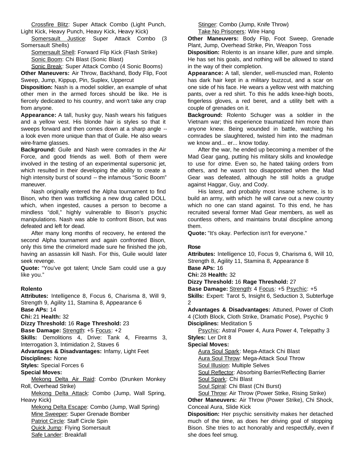Crossfire Blitz: Super Attack Combo (Light Punch, Light Kick, Heavy Punch, Heavy Kick, Heavy Kick)

Somersault Justice: Super Attack Combo (3 Somersault Shells)

Somersault Shell: Forward Flip Kick (Flash Strike) Sonic Boom: Chi Blast (Sonic Blast)

Sonic Break: Super Attack Combo (4 Sonic Booms) **Other Maneuvers:** Air Throw, Backhand, Body Flip, Foot Sweep, Jump, Kippup, Pin, Suplex, Uppercut

**Disposition:** Nash is a model soldier, an example of what other men in the armed forces should be like. He is fiercely dedicated to his country, and won't take any crap from anyone.

**Appearance:** A tall, husky guy, Nash wears his fatigues and a yellow vest. His blonde hair is styles so that it sweeps forward and then comes down at a sharp angle - a look even more unique than that of Guile. He also wears wire-frame glasses.

**Background:** Guile and Nash were comrades in the Air Force, and good friends as well. Both of them were involved in the testing of an experimental supersonic jet, which resulted in their developing the ability to create a high intensity burst of sound -- the infamous "Sonic Boom" maneuver.

Nash originally entered the Alpha tournament to find Bison, who then was trafficking a new drug called DOLL which, when ingested, causes a person to become a mindless "doll," highly vulnerable to Bison's psychic manipulations. Nash was able to confront Bison, but was defeated and left for dead.

After many long months of recovery, he entered the second Alpha tournament and again confronted Bison, only this time the crimelord made sure he finished the job, having an assassin kill Nash. For this, Guile would later seek revenge.

**Quote:** "You've got talent; Uncle Sam could use a guy like you."

#### **Rolento**

**Attributes:** Intelligence 8, Focus 6, Charisma 8, Will 9, Strength 9, Agility 11, Stamina 8, Appearance 6 **Base APs:** 14 **Chi:** 21 **Health:** 32 **Dizzy Threshold:** 16 **Rage Threshold:** 23 **Base Damage:** Strength: +5 Focus: +2 **Skills:** Demolitions 4, Drive: Tank 4, Firearms 3, Interrogation 3, Intimidation 2, Staves 6 **Advantages & Disadvantages:** Infamy, Light Feet **Disciplines:** None **Styles:** Special Forces 6 **Special Moves:** Mekong Delta Air Raid: Combo (Drunken Monkey Roll, Overhead Strike) Mekong Delta Attack: Combo (Jump, Wall Spring, Heavy Kick) Mekong Delta Escape: Combo (Jump, Wall Spring) Mine Sweeper: Super Grenade Bomber Patriot Circle: Staff Circle Spin Quick Jump: Flying Somersault Safe Lander: Breakfall

Stinger: Combo (Jump, Knife Throw) Take No Prisoners: Wire Hang

**Other Maneuvers:** Body Flip, Foot Sweep, Grenade Plant, Jump, Overhead Strike, Pin, Weapon Toss

**Disposition:** Rolento is an insane killer, pure and simple. He has set his goals, and nothing will be allowed to stand in the way of their completion.

**Appearance:** A tall, slender, well-muscled man, Rolento has dark hair kept in a military buzzcut, and a scar on one side of his face. He wears a yellow vest with matching pants, over a red shirt. To this he adds knee-high boots, fingerless gloves, a red beret, and a utility belt with a couple of grenades on it.

**Background:** Rolento Schuger was a soldier in the Vietnam war; this experience traumatized him more than anyone knew. Being wounded in battle, watching his comrades be slaughtered, twisted him into the madman we know and... er... know today.

After the war, he ended up becoming a member of the Mad Gear gang, putting his military skills and knowledge to use for crime. Even so, he hated taking orders from others, and he wasn't too disappointed when the Mad Gear was defeated, although he still holds a grudge against Haggar, Guy, and Cody.

His latest, and probably most insane scheme, is to build an army, with which he will carve out a new country which no one can stand against. To this end, he has recruited several former Mad Gear members, as well as countless others, and maintains brutal discipline among them.

**Quote:** "It's okay. Perfection isn't for everyone."

#### **Rose**

**Attributes:** Intelligence 10, Focus 9, Charisma 6, Will 10, Strength 8, Agility 11, Stamina 8, Appearance 8 **Base APs:** 16

**Chi:** 28 **Health:** 32

**Dizzy Threshold:** 16 **Rage Threshold:** 27

**Base Damage:** Strength: 4 Focus: +5 Psychic: +5 **Skills:** Expert: Tarot 5, Insight 6, Seduction 3, Subterfuge 2

**Advantages & Disadvantages:** Attuned, Power of Cloth 4 (Cloth Block, Cloth Strike, Dramatic Pose), Psychic 9 **Disciplines:** Meditation 5

Psychic: Astral Power 4, Aura Power 4, Telepathy 3 **Styles:** Ler Drit 8

#### **Special Moves:**

Aura Soul Spark: Mega-Attack Chi Blast

Aura Soul Throw: Mega-Attack Soul Throw

Soul Illusion: Multiple Selves

Soul Reflector: Absorbing Barrier/Reflecting Barrier

Soul Spark: Chi Blast

Soul Spiral: Chi Blast (Chi Burst)

Soul Throw: Air Throw (Power Strike, Rising Strike) **Other Maneuvers:** Air Throw (Power Strike), Chi Shock, Conceal Aura, Slide Kick

**Disposition:** Her psychic sensitivity makes her detached much of the time, as does her driving goal of stopping Bison. She tries to act honorably and respectfully, even if she does feel smug.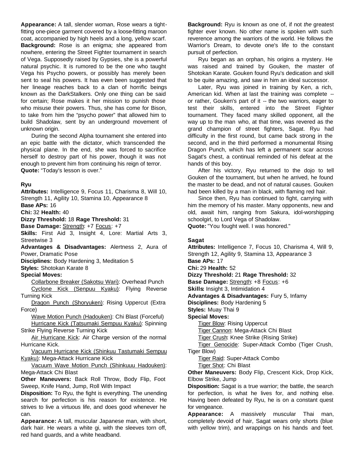**Appearance:** A tall, slender woman, Rose wears a tightfitting one-piece garment covered by a loose-fitting maroon coat, accompanied by high heels and a long, yellow scarf. **Background:** Rose is an enigma; she appeared from nowhere, entering the Street Fighter tournament in search of Vega. Supposedly raised by Gypsies, she is a powerful natural psychic. It is rumored to be the one who taught Vega his Psycho powers, or possibly has merely been sent to seal his powers. It has even been suggested that her lineage reaches back to a clan of horrific beings known as the DarkStalkers. Only one thing can be said for certain; Rose makes it her mission to punish those who misuse their powers. Thus, she has come for Bison, to take from him the "psycho power" that allowed him to build Shadolaw, sent by an underground movement of unknown origin.

During the second Alpha tournament she entered into an epic battle with the dictator, which transcended the physical plane. In the end, she was forced to sacrifice herself to destroy part of his power, though it was not enough to prevent him from continuing his reign of terror. **Quote:** "Today's lesson is over."

#### **Ryu**

**Attributes:** Intelligence 9, Focus 11, Charisma 8, Will 10, Strength 11, Agility 10, Stamina 10, Appearance 8

**Base APs:** 16

**Chi:** 32 **Health:** 40

**Dizzy Threshold:** 18 **Rage Threshold:** 31

**Base Damage:** Strength: +7 Focus: +7

**Skills:** First Aid 3, Insight 4, Lore: Martial Arts 3, Streetwise 3

**Advantages & Disadvantages:** Alertness 2, Aura of Power, Dramatic Pose

**Disciplines:** Body Hardening 3, Meditation 5

**Styles:** Shotokan Karate 8

#### **Special Moves:**

Collarbone Breaker (Sakotsu Wari): Overhead Punch Cyclone Kick (Senpuu Kyaku): Flying Reverse Turning Kick

Dragon Punch (Shoryuken): Rising Uppercut (Extra Force)

Wave Motion Punch (Hadouken): Chi Blast (Forceful) Hurricane Kick (Tatsumaki Sempuu Kyaku): Spinning Strike Flying Reverse Turning Kick

Air Hurricane Kick: Air Charge version of the normal Hurricane Kick.

Vacuum Hurricane Kick (Shinkuu Tastumaki Sempuu Kyaku): Mega-Attack Hurricane Kick

Vacuum Wave Motion Punch (Shinkuuu Hadouken): Mega-Attack Chi Blast

**Other Maneuvers:** Back Roll Throw, Body Flip, Foot Sweep, Knife Hand, Jump, Roll With Impact

**Disposition:** To Ryu, the fight is everything. The unending search for perfection is his reason for existence. He strives to live a virtuous life, and does good whenever he can.

**Appearance:** A tall, muscular Japanese man, with short, dark hair. He wears a white gi, with the sleeves torn off, red hand guards, and a white headband.

**Background:** Ryu is known as one of, if not *the* greatest fighter ever known. No other name is spoken with such reverence among the warriors of the world. He follows the Warrior's Dream, to devote one's life to the constant pursuit of perfection.

Ryu began as an orphan, his origins a mystery. He was raised and trained by Gouken, the master of Shotokan Karate. Gouken found Ryu's dedication and skill to be quite amazing, and saw in him an ideal successor.

Later, Ryu was joined in training by Ken, a rich, American kid. When at last the training was complete - or rather, Gouken's part of it -- the two warriors, eager to test their skills, entered into the Street Fighter tournament. They faced many skilled opponent, all the way up to the man who, at that time, was revered as the grand champion of street fighters, Sagat. Ryu had difficulty in the first round, but came back strong in the second, and in the third performed a monumental Rising Dragon Punch, which has left a permanent scar across Sagat's chest, a continual reminded of his defeat at the hands of this boy.

After his victory, Ryu returned to the dojo to tell Gouken of the tournament, but when he arrived, he found the master to be dead, and not of natural causes. Gouken had been killed by a man in black, with flaming red hair.

Since then, Ryu has continued to fight, carrying with him the memory of his master. Many opponents, new and old, await him, ranging from Sakura, idol-worshipping schoolgirl, to Lord Vega of Shadolaw.

**Quote:** "You fought well. I was honored."

#### **Sagat**

**Attributes:** Intelligence 7, Focus 10, Charisma 4, Will 9, Strength 12, Agility 9, Stamina 13, Appearance 3 **Base APs:** 17 **Chi:** 29 **Health:** 52 **Dizzy Threshold:** 21 **Rage Threshold:** 32 **Base Damage:** Strength: +8 Focus: +6 **Skills:** Insight 3, Intimidation 4 **Advantages & Disadvantages:** Fury 5, Infamy **Disciplines:** Body Hardening 5 **Styles:** Muay Thai 9 **Special Moves:** Tiger Blow: Rising Uppercut Tiger Cannon: Mega-Attack Chi Blast Tiger Crush: Knee Strike (Rising Strike) Tiger Genocide: Super-Attack Combo (Tiger Crush, Tiger Blow) Tiger Raid: Super-Attack Combo Tiger Shot: Chi Blast **Other Maneuvers:** Body Flip, Crescent Kick, Drop Kick,

Elbow Strike, Jump **Disposition:** Sagat is a true warrior; the battle, the search for perfection, is what he lives for, and nothing else. Having been defeated by Ryu, he is on a constant quest

for vengeance. **Appearance:** A massively muscular Thai man, completely devoid of hair, Sagat wears only shorts (blue with yellow trim), and wrappings on his hands and feet.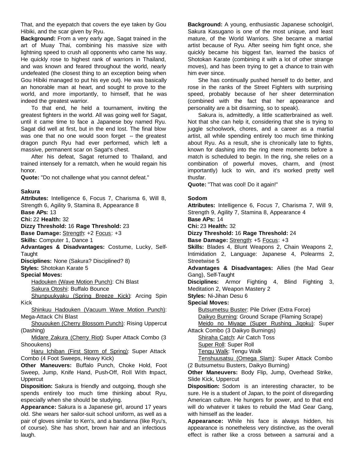That, and the eyepatch that covers the eye taken by Gou Hibiki, and the scar given by Ryu.

**Background:** From a very early age, Sagat trained in the art of Muay Thai, combining his massive size with lightning speed to crush all opponents who came his way. He quickly rose to highest rank of warriors in Thailand, and was known and feared throughout the world, nearly undefeated (the closest thing to an exception being when Gou Hibiki managed to put his eye out). He was basically an honorable man at heart, and sought to prove to the world, and more importantly, to himself, that he was indeed the greatest warrior.

To that end, he held a tournament, inviting the greatest fighters in the world. All was going well for Sagat, until it came time to face a Japanese boy named Ryu. Sagat did well at first, but in the end lost. The final blow was one that no one would soon forget -- the greatest dragon punch Ryu had ever performed, which left a massive, permanent scar on Sagat's chest.

After his defeat, Sagat returned to Thailand, and trained intensely for a rematch, when he would regain his honor.

**Quote:** "Do not challenge what you cannot defeat."

#### **Sakura**

**Attributes:** Intelligence 6, Focus 7, Charisma 6, Will 8, Strength 6, Agility 9, Stamina 8, Appearance 8

**Base APs:** 13

**Chi:** 22 **Health:** 32

**Dizzy Threshold:** 16 **Rage Threshold:** 23

**Base Damage:** Strength: +2 Focus: +3

**Skills:** Computer 1, Dance 1

**Advantages & Disadvantages:** Costume, Lucky, Self-**Taught** 

**Disciplines:** None (Sakura? Disciplined? 8)

**Styles:** Shotokan Karate 5

#### **Special Moves:**

Hadouken (Wave Motion Punch): Chi Blast Sakura Otoshi: Buffalo Bounce

Shunpuukyaku (Spring Breeze Kick): Arcing Spin Kick

Shinkuu Hadouken (Vacuum Wave Motion Punch): Mega-Attack Chi Blast

Shououken (Cherry Blossom Punch): Rising Uppercut (Dashing)

Midare Zakura (Cherry Riot): Super Attack Combo (3 Shooukens)

Haru Ichiban (First Storm of Spring): Super Attack Combo (4 Foot Sweeps, Heavy Kick)

**Other Maneuvers:** Buffalo Punch, Choke Hold, Foot Sweep, Jump, Knife Hand, Push-Off, Roll With Impact, **Uppercut** 

**Disposition:** Sakura is friendly and outgoing, though she spends entirely too much time thinking about Ryu, especially when she should be studying.

**Appearance:** Sakura is a Japanese girl, around 17 years old. She wears her sailor-suit school uniform, as well as a pair of gloves similar to Ken's, and a bandanna (like Ryu's, of course). She has short, brown hair and an infectious laugh.

**Background:** A young, enthusiastic Japanese schoolgirl, Sakura Kasugano is one of the most unique, and least mature, of the World Warriors. She became a martial artist because of Ryu. After seeing him fight once, she quickly became his biggest fan, learned the basics of Shotokan Karate (combining it with a lot of other strange moves), and has been trying to get a chance to train with him ever since.

She has continually pushed herself to do better, and rose in the ranks of the Street Fighters with surprising speed, probably because of her sheer determination (combined with the fact that her appearance and personality are a bit disarming, so to speak).

Sakura is, admittedly, a little scatterbrained as well. Not that she can help it, considering that she is trying to juggle schoolwork, chores, and a career as a martial artist, all while spending entirely too much time thinking about Ryu. As a result, she is chronically late to fights, known for dashing into the ring mere moments before a match is scheduled to begin. In the ring, she relies on a combination of powerful moves, charm, and (most importantly) luck to win, and it's worked pretty well thusfar.

**Quote:** "That was cool! Do it again!"

#### **Sodom**

**Attributes:** Intelligence 6, Focus 7, Charisma 7, Will 9, Strength 9, Agility 7, Stamina 8, Appearance 4 **Base APs:** 14 **Chi:** 23 **Health:** 32 **Dizzy Threshold:** 16 **Rage Threshold:** 24 **Base Damage:** Strength: +5 Focus: +3 **Skills:** Blades 4, Blunt Weapons 2, Chain Weapons 2, Intimidation 2, Language: Japanese 4, Polearms 2, Streetwise 5

**Advantages & Disadvantages:** Allies (the Mad Gear Gang), Self-Taught

**Disciplines:** Armor Fighting 4, Blind Fighting 3, Meditation 2, Weapon Mastery 2

**Styles:** Ni-Jihan Desu 6

#### **Special Moves:**

Butsumetsu Buster: Pile Driver (Extra Force) Daikyo Burning: Ground Scrape (Flaming Scrape) Meido no Miyage (Super Rushing Jigoku): Super

Attack Combo (3 Daikyo Burnings)

Shiraha Catch: Air Catch Toss Super Roll: Super Roll

Tengu Walk: Tengu Walk

Tenshuusatsu (Omega Slam): Super Attack Combo (2 Butsumetsu Busters, Daikyo Burning)

**Other Maneuvers:** Body Flip, Jump, Overhead Strike, Slide Kick, Uppercut

**Disposition:** Sodom is an interesting character, to be sure. He is a student of Japan, to the point of disregarding American culture. He hungers for power, and to that end will do whatever it takes to rebuild the Mad Gear Gang, with himself as the leader.

**Appearance:** While his face is always hidden, his appearance is nonetheless very distinctive, as the overall effect is rather like a cross between a samurai and a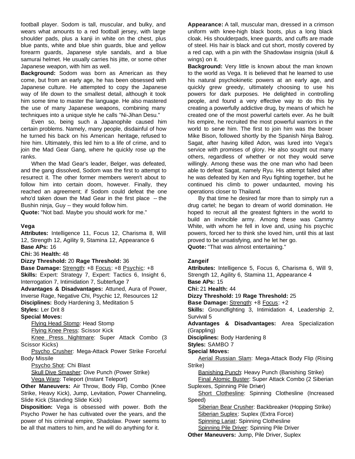football player. Sodom is tall, muscular, and bulky, and wears what amounts to a red football jersey, with large shoulder pads, plus a kanji in white on the chest, plus blue pants, white and blue shin guards, blue and yellow forearm guards, Japanese style sandals, and a blue samurai helmet. He usually carries his jitte, or some other Japanese weapon, with him as well.

**Background:** Sodom was born as American as they come, but from an early age, he has been obsessed with Japanese culture. He attempted to copy the Japanese way of life down to the smallest detail, although it took him some time to master the language. He also mastered the use of many Japanese weapons, combining many techniques into a unique style he calls "Ni-Jihan Desu."

Even so, being such a Japanophile caused him certain problems. Namely, many people, disdainful of how he turned his back on his American heritage, refused to hire him. Ultimately, this led him to a life of crime, and to join the Mad Gear Gang, where he quickly rose up the ranks.

When the Mad Gear's leader, Belger, was defeated, and the gang dissolved, Sodom was the first to attempt to resurrect it. The other former members weren't about to follow him into certain doom, however. Finally, they reached an agreement; if Sodom could defeat the one who'd taken down the Mad Gear in the first place -- the Bushin ninja, Guy -- they would follow him.

**Quote:** "Not bad. Maybe you should work for me."

#### **Vega**

**Attributes:** Intelligence 11, Focus 12, Charisma 8, Will 12, Strength 12, Agility 9, Stamina 12, Appearance 6 **Base APs:** 16 **Chi:** 36 **Health:** 48

**Dizzy Threshold:** 20 **Rage Threshold:** 36

**Base Damage:** Strength: +8 Focus: +8 Psychic: +8 **Skills:** Expert: Strategy 7, Expert: Tactics 6, Insight 6, Interrogation 7, Intimidation 7, Subterfuge 7

**Advantages & Disadvantages:** Attuned, Aura of Power, Inverse Rage, Negative Chi, Psychic 12, Resources 12

**Disciplines:** Body Hardening 3, Meditation 5

**Styles:** Ler Drit 8

#### **Special Moves:**

Flying Head Stomp: Head Stomp Flying Knee Press: Scissor Kick

Knee Press Nightmare: Super Attack Combo (3 Scissor Kicks)

Psycho Crusher: Mega-Attack Power Strike Forceful Body Missile

Psycho Shot: Chi Blast

Skull Dive Smasher: Dive Punch (Power Strike) Vega Warp: Teleport (Instant Teleport)

**Other Maneuvers:** Air Throw, Body Flip, Combo (Knee Strike, Heavy Kick), Jump, Levitation, Power Channeling, Slide Kick (Standing Slide Kick)

**Disposition:** Vega is obsessed with power. Both the Psycho Power he has cultivated over the years, and the power of his criminal empire, Shadolaw. Power seems to be all that matters to him, and he will do anything for it.

**Appearance:** A tall, muscular man, dressed in a crimson uniform with knee-high black boots, plus a long black cloak. His shoulderpads, knee guards, and cuffs are made of steel. His hair is black and cut short, mostly covered by a red cap, with a pin with the Shadowlaw insignia (skull & wings) on it.

**Background:** Very little is known about the man known to the world as Vega. It is believed that he learned to use his natural psychokinetic powers at an early age, and quickly grew greedy, ultimately choosing to use his powers for dark purposes. He delighted in controlling people, and found a very effective way to do this by creating a powerfully addictive drug, by means of which he created one of the most powerful cartels ever. As he built his empire, he recruited the most powerful warriors in the world to serve him. The first to join him was the boxer Mike Bison, followed shortly by the Spanish Ninja Balrog. Sagat, after having killed Adon, was lured into Vega's service with promises of glory. He also sought out many others, regardless of whether or not they would serve willingly. Among these was the one man who had been able to defeat Sagat, namely Ryu. His attempt failed after he was defeated by Ken and Ryu fighting together, but he continued his climb to power undaunted, moving his operations closer to Thailand.

By that time he desired far more than to simply run a drug cartel; he began to dream of world domination. He hoped to recruit all the greatest fighters in the world to build an invincible army. Among these was Cammy White, with whom he fell in love and, using his psychic powers, forced her to think she loved him, until this at last proved to be unsatisfying, and he let her go. **Quote:** "That was almost entertaining."

#### **Zangeif**

**Attributes:** Intelligence 5, Focus 6, Charisma 6, Will 9, Strength 12, Agility 6, Stamina 11, Appearance 4 **Base APs:** 15 **Chi:** 21 **Health:** 44 **Dizzy Threshold:** 19 **Rage Threshold:** 25 **Base Damage:** Strength: +8 Focus: +2 **Skills:** Groundfighting 3, Intimidation 4, Leadership 2, Survival 5 **Advantages & Disadvantages:** Area Specialization (Grappling) **Disciplines:** Body Hardening 8 **Styles:** SAMBO 7 **Special Moves:** Aerial Russian Slam: Mega-Attack Body Flip (Rising Strike) Banishing Punch: Heavy Punch (Banishing Strike) Final Atomic Buster: Super Attack Combo (2 Siberian Suplexes, Spinning Pile Driver) Short Clothesline: Spinning Clothesline (Increased Speed) Siberian Bear Crusher: Backbreaker (Hopping Strike) Siberian Suplex: Suplex (Extra Force) Spinning Lariat: Spinning Clothesline Spinning Pile Driver: Spinning Pile Driver

**Other Maneuvers:** Jump, Pile Driver, Suplex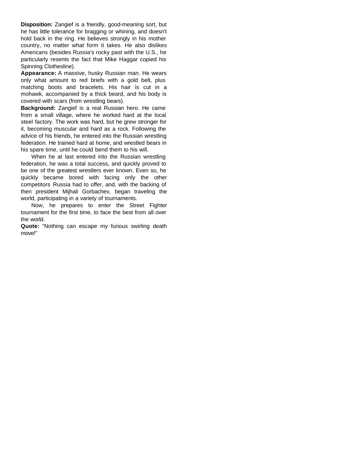**Disposition:** Zangief is a friendly, good-meaning sort, but he has little tolerance for bragging or whining, and doesn't hold back in the ring. He believes strongly in his mother country, no matter what form it takes. He also dislikes Americans (besides Russia's rocky past with the U.S., he particularly resents the fact that Mike Haggar copied his Spinning Clothesline).

**Appearance:** A massive, husky Russian man. He wears only what amount to red briefs with a gold belt, plus matching boots and bracelets. His hair is cut in a mohawk, accompanied by a thick beard, and his body is covered with scars (from wrestling bears).

**Background:** Zangief is a real Russian hero. He came from a small village, where he worked hard at the local steel factory. The work was hard, but he grew stronger for it, becoming muscular and hard as a rock. Following the advice of his friends, he entered into the Russian wrestling federation. He trained hard at home, and wrestled bears in his spare time, until he could bend them to his will.

When he at last entered into the Russian wrestling federation, he was a total success, and quickly proved to be one of the greatest wrestlers ever known. Even so, he quickly became bored with facing only the other competitors Russia had to offer, and, with the backing of then president Mijhali Gorbachev, began traveling the world, participating in a variety of tournaments.

Now, he prepares to enter the Street Fighter tournament for the first time, to face the best from all over the world.

**Quote:** "Nothing can escape my furious swirling death move!"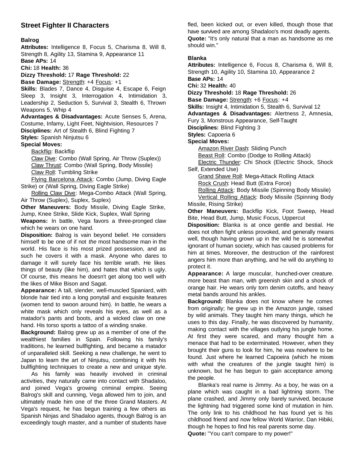# **Street Fighter II Characters**

#### **Balrog**

**Attributes:** Intelligence 8, Focus 5, Charisma 8, Will 8, Strength 8, Agility 13, Stamina 9, Appearance 11

**Base APs:** 14

**Chi:** 18 **Health:** 36

**Dizzy Threshold:** 17 **Rage Threshold:** 22

**Base Damage:** Strength: +4 Focus: +1

**Skills:** Blades 7, Dance 4, Disguise 4, Escape 6, Feign Sleep 3, Insight 3, Interrogation 4, Intimidation 3, Leadership 2, Seduction 5, Survival 3, Stealth 6, Thrown Weapons 5, Whip 4

**Advantages & Disadvantages:** Acute Senses 5, Arena, Costume, Infamy, Light Feet, Nightvision, Resources 7 **Disciplines:** Art of Stealth 6, Blind Fighting 7

**Styles:** Spanish Ninjutsu 6

**Special Moves:**

Backflip: Backflip

Claw Dive: Combo (Wall Spring, Air Throw (Suplex)) Claw Thrust: Combo (Wall Spring, Body Missile) Claw Roll: Tumbling Strike

Flying Barcelona Attack: Combo (Jump, Diving Eagle Strike) or (Wall Spring, Diving Eagle Strike)

Rolling Claw Dive: Mega-Combo Attack (Wall Spring, Air Throw (Suplex), Suplex, Suplex)

**Other Maneuvers:** Body Missile, Diving Eagle Strike, Jump, Knee Strike, Slide Kick, Suplex, Wall Spring

**Weapons:** In battle, Vega favors a three-pronged claw which he wears on one hand.

**Disposition:** Balrog is vain beyond belief. He considers himself to be one of if not *the* most handsome man in the world. His face is his most prized possession, and as such he covers it with a mask. Anyone who dares to damage it will surely face his terrible wrath. He likes things of beauty (like him), and hates that which is ugly. Of course, this means he doesn't get along too well with the likes of Mike Bison and Sagat.

**Appearance:** A tall, slender, well-muscled Spaniard, with blonde hair tied into a long ponytail and exquisite features (women tend to swoon around him). In battle, he wears a white mask which only reveals his eyes, as well as a matador's pants and boots, and a wicked claw on one hand. His torso sports a tattoo of a winding snake.

**Background:** Balrog grew up as a member of one of the wealthiest families in Spain. Following his family's traditions, he learned bullfighting, and became a matador of unparalleled skill. Seeking a new challenge, he went to Japan to learn the art of Ninjutsu, combining it with his bullfighting techniques to create a new and unique style.

As his family was heavily involved in criminal activities, they naturally came into contact with Shadaloo, and joined Vega's growing criminal empire. Seeing Balrog's skill and cunning, Vega allowed him to join, and ultimately made him one of the three Grand Masters. At Vega's request, he has begun training a few others as Spanish Ninjas and Shadaloo agents, though Balrog is an exceedingly tough master, and a number of students have

fled, been kicked out, or even killed, though those that have survived are among Shadaloo's most deadly agents. **Quote:** "It's only natural that a man as handsome as me should win."

#### **Blanka**

**Attributes:** Intelligence 6, Focus 8, Charisma 6, Will 8, Strength 10, Agility 10, Stamina 10, Appearance 2 **Base APs:** 14

**Chi:** 32 **Health:** 40

**Dizzy Threshold:** 18 **Rage Threshold:** 26

**Base Damage:** Strength: +6 Focus: +4

**Skills:** Insight 4, Intimidation 5, Stealth 6, Survival 12

**Advantages & Disadvantages:** Alertness 2, Amnesia,

Fury 3, Monstrous Appearance, Self-Taught

**Disciplines:** Blind Fighting 3

**Styles:** Capoeria 6

#### **Special Moves:**

Amazon River Dash: Sliding Punch

Beast Roll: Combo (Dodge to Rolling Attack)

Electric Thunder: Chi Shock (Electric Shock, Shock Self, Extended Use)

Grand Shave Roll: Mega-Attack Rolling Attack

Rock Crush: Head Butt (Extra Force)

Rolling Attack: Body Missile (Spinning Body Missile)

Vertical Rolling Attack: Body Missile (Spinning Body Missile, Rising Strike)

**Other Maneuvers:** Backflip Kick, Foot Sweep, Head Bite, Head Butt, Jump, Music Focus, Uppercut

**Disposition:** Blanka is at once gentle and bestial. He does not often fight unless provoked, and generally means well, though having grown up in the wild he is somewhat ignorant of human society, which has caused problems for him at times. Moreover, the destruction of the rainforest angers him more than anything, and he will do anything to protect it.

**Appearance:** A large muscular, hunched-over creature. more beast than man, with greenish skin and a shock of orange hair. He wears only torn denim cutoffs, and heavy metal bands around his ankles.

**Background:** Blanka does not know where he comes from originally; he grew up in the Amazon jungle, raised by wild animals. They taught him many things, which he uses to this day. Finally, he was discovered by humanity, making contact with the villages outlying his jungle home. At first they were scared, and many thought him a menace that had to be exterminated. However, when they brought their guns to look for him, he was nowhere to be found. Just where he learned Capoeira (which he mixes with what the creatures of the jungle taught him) is unknown, but he has begun to gain acceptance among the people.

Blanka's real name is Jimmy. As a boy, he was on a plane which was caught in a bad lightning storm. The plane crashed, and Jimmy only barely survived, because the lightning had triggered some kind of mutation in him. The only link to his childhood he has found yet is his childhood friend and now fellow World Warrior, Dan Hibiki, though he hopes to find his real parents some day. **Quote:** "You can't compare to my power!"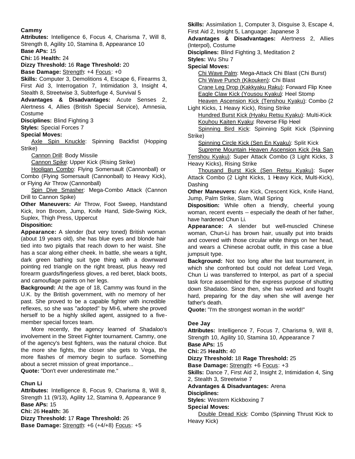#### **Cammy**

**Attributes:** Intelligence 6, Focus 4, Charisma 7, Will 8, Strength 8, Agility 10, Stamina 8, Appearance 10

**Base APs:** 15 **Chi:** 16 **Health:** 24

**Dizzy Threshold:** 16 **Rage Threshold:** 20

**Base Damage:** Strength: +4 Focus: +0

**Skills:** Computer 3, Demolitions 4, Escape 6, Firearms 3, First Aid 3, Interrogation 7, Intimidation 3, Insight 4, Stealth 8, Streetwise 3, Subterfuge 4, Survival 5

**Advantages & Disadvantages:** Acute Senses 2, Alertness 4, Allies (British Special Service), Amnesia, Costume

**Disciplines:** Blind Fighting 3

**Styles:** Special Forces 7

**Special Moves:**

Axle Spin Knuckle: Spinning Backfist (Hopping Strike)

Cannon Drill: Body Missile

Cannon Spike: Upper Kick (Rising Strike)

Hooligan Combo: Flying Somersault (Cannonball) or Combo (Flying Somersault (Cannonball) to Heavy Kick), or Flying Air Throw (Cannonball)

Spin Dive Smasher: Mega-Combo Attack (Cannon Drill to Cannon Spike)

**Other Maneuvers:** Air Throw, Foot Sweep, Handstand Kick, Iron Broom, Jump, Knife Hand, Side-Swing Kick, Suplex, Thigh Press, Uppercut

**Disposition:**

**Appearance:** A slender (but very toned) British woman (about 19 years old), she has blue eyes and blonde hair tied into two pigtails that reach down to her waist. She has a scar along either cheek. In battle, she wears a tight, dark green bathing suit type thing with a downward pointing red triangle on the right breast, plus heavy red forearm guards/fingerless gloves, a red beret, black boots, and camouflage paints on her legs.

**Background:** At the age of 18, Cammy was found in the U.K. by the British government, with no memory of her past. She proved to be a capable fighter with incredible reflexes, so she was "adopted" by MI-6, where she proved herself to be a highly skilled agent, assigned to a fivemember special forces team.

More recently, the agency learned of Shadaloo's involvement in the Street Fighter tournament. Cammy, one of the agency's best fighters, was the natural choice. But the more she fights, the closer she gets to Vega, the more flashes of memory begin to surface. Something about a secret mission of great importance... **Quote:** "Don't ever underestimate me."

**Chun Li**

**Attributes:** Intelligence 8, Focus 9, Charisma 8, Will 8, Strength 11 (9/13), Agility 12, Stamina 9, Appearance 9 **Base APs:** 15 **Chi:** 26 **Health:** 36 **Dizzy Threshold:** 17 **Rage Threshold:** 26 **Base Damage:** Strength: +6 (+4/+8) Focus: +5

**Skills:** Assimilation 1, Computer 3, Disguise 3, Escape 4, First Aid 2, Insight 5, Language: Japanese 3

**Advantages & Disadvantages:** Alertness 2, Allies (Interpol), Costume

**Disciplines:** Blind Fighting 3, Meditation 2

**Styles:** Wu Shu 7

#### **Special Moves:**

Chi Wave Palm: Mega-Attack Chi Blast (Chi Burst) Chi Wave Punch (Kikouken): Chi Blast

Crane Leg Drop (Kakkyaku Raku): Forward Flip Knee Eagle Claw Kick (Yousou Kyaku): Heel Stomp

Heaven Ascension Kick (Tenshou Kyaku): Combo (2 Light Kicks, 1 Heavy Kick), Rising Strike

Hundred Burst Kick (Hyaku Retsu Kyaku): Multi-Kick Kouhou Kaiten Kyaku: Reverse Flip Heel

Spinning Bird Kick: Spinning Split Kick (Spinning Strike)

Spinning Circle Kick (Sen En Kyaku): Split Kick

Supreme Mountain Heaven Ascension Kick (Ha San Tenshou Kyaku): Super Attack Combo (3 Light Kicks, 3 Heavy Kicks), Rising Strike

Thousand Burst Kick (Sen Retsu Kyaku): Super Attack Combo (2 Light Kicks, 1 Heavy Kick, Multi-Kick), Dashing

**Other Maneuvers:** Axe Kick, Crescent Kick, Knife Hand, Jump, Palm Strike, Slam, Wall Spring

**Disposition:** While often a friendly, cheerful young woman, recent events -- especially the death of her father, have hardened Chun Li.

**Appearance:** A slender but well-muscled Chinese woman, Chun-Li has brown hair, usually put into braids and covered with those circular white things on her head, and wears a Chinese acrobat outfit, in this case a blue jumpsuit type.

**Background:** Not too long after the last tournament, in which she confronted but could not defeat Lord Vega, Chun Li was transferred to Interpol, as part of a special task force assembled for the express purpose of shutting down Shadaloo. Since then, she has worked and fought hard, preparing for the day when she will avenge her father's death.

**Quote:** "I'm the strongest woman in the world!"

#### **Dee Jay**

**Attributes:** Intelligence 7, Focus 7, Charisma 9, Will 8, Strength 10, Agility 10, Stamina 10, Appearance 7 **Base APs:** 15 **Chi:** 25 **Health:** 40 **Dizzy Threshold:** 18 **Rage Threshold:** 25 **Base Damage:** Strength: +6 Focus: +3 **Skills:** Dance 7, First Aid 2, Insight 2, Intimidation 4, Sing 2, Stealth 3, Streetwise 7 **Advantages & Disadvantages:** Arena **Disciplines:**

**Styles:** Western Kickboxing 7

#### **Special Moves:**

Double Dread Kick: Combo (Spinning Thrust Kick to Heavy Kick)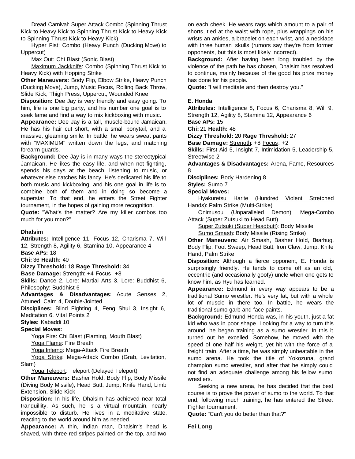Dread Carnival: Super Attack Combo (Spinning Thrust Kick to Heavy Kick to Spinning Thrust Kick to Heavy Kick to Spinning Thrust Kick to Heavy Kick)

Hyper Fist: Combo (Heavy Punch (Ducking Move) to Uppercut)

Max Out: Chi Blast (Sonic Blast)

Maximum Jackknife: Combo (Spinning Thrust Kick to Heavy Kick) with Hopping Strike

**Other Maneuvers:** Body Flip, Elbow Strike, Heavy Punch (Ducking Move), Jump, Music Focus, Rolling Back Throw, Slide Kick, Thigh Press, Uppercut, Wounded Knee

**Disposition:** Dee Jay is very friendly and easy going. To him, life is one big party, and his number one goal is to seek fame and find a way to mix kickboxing with music.

**Appearance:** Dee Jay is a tall, muscle-bound Jamaican. He has his hair cut short, with a small ponytail, and a massive, gleaming smile. In battle, he wears sweat pants with "MAXIMUM" written down the legs, and matching forearm guards.

**Background:** Dee Jay is in many ways the stereotypical Jamaican. He likes the easy life, and when not fighting, spends his days at the beach, listening to music, or whatever else catches his fancy. He's dedicated his life to both music and kickboxing, and his one goal in life is to combine both of them and in doing so become a superstar. To that end, he enters the Street Fighter tournament, in the hopes of gaining more recognition.

**Quote:** "What's the matter? Are my killer combos too much for you mon?"

#### **Dhalsim**

**Attributes:** Intelligence 11, Focus 12, Charisma 7, Will 12, Strength 8, Agility 6, Stamina 10, Appearance 4 **Base APs:** 18

**Chi:** 36 **Health:** 40

**Dizzy Threshold:** 18 **Rage Threshold:** 34

**Base Damage:** Strength: +4 Focus: +8

**Skills:** Dance 2, Lore: Martial Arts 3, Lore: Buddhist 6, Philosophy: Buddhist 6

**Advantages & Disadvantages:** Acute Senses 2, Attuned, Calm 4, Double-Jointed

**Disciplines:** Blind Fighting 4, Feng Shui 3, Insight 6, Meditation 6, Vital Points 2

**Styles:** Kabaddi 10

#### **Special Moves:**

Yoga Fire: Chi Blast (Flaming, Mouth Blast) Yoga Flame: Fire Breath

Yoga Inferno: Mega-Attack Fire Breath

Yoga Strike: Mega-Attack Combo (Grab, Levitation, Slam)

Yoga Teleport: Teleport (Delayed Teleport)

**Other Maneuvers:** Basher Hold, Body Flip, Body Missile (Diving Body Missile), Head Butt, Jump, Knife Hand, Limb Extension, Slide Kick

**Disposition:** In his life, Dhalsim has achieved near total tranquillity. As such, he is a virtual mountain, nearly impossible to disturb. He lives in a meditative state, reacting to the world around him as needed.

**Appearance:** A thin, Indian man, Dhalsim's head is shaved, with three red stripes painted on the top, and two

on each cheek. He wears rags which amount to a pair of shorts, tied at the waist with rope, plus wrappings on his wrists an ankles, a bracelet on each wrist, and a necklace with three human skulls (rumors say they're from former opponents, but this is most likely incorrect).

**Background:** After having been long troubled by the violence of the path he has chosen, Dhalsim has resolved to continue, mainly because of the good his prize money has done for his people.

**Quote:** "I will meditate and then destroy you."

#### **E. Honda**

**Attributes:** Intelligence 8, Focus 6, Charisma 8, Will 9, Strength 12, Agility 8, Stamina 12, Appearance 6 **Base APs:** 15

**Chi:** 21 **Health:** 48

**Dizzy Threshold:** 20 **Rage Threshold:** 27

**Base Damage:** Strength: +8 Focus: +2

**Skills:** First Aid 5, Insight 7, Intimidation 5, Leadership 5, Streetwise 2

**Advantages & Disadvantages:** Arena, Fame, Resources 8

**Disciplines:** Body Hardening 8

**Styles:** Sumo 7

**Special Moves:**

Hyakuretsu Harite (Hundred Violent Stretched Hands): Palm Strike (Multi-Strike)

Onimusou (Unparalleled Demon): Mega-Combo Attack (Super Zutsuki to Head Butt)

Super Zutsuki (Super Headbutt): Body Missile Sumo Smash: Body Missile (Rising Strike)

**Other Maneuvers:** Air Smash, Basher Hold, Bearhug, Body Flip, Foot Sweep, Head Butt, Iron Claw, Jump. Knife Hand, Palm Strike

**Disposition:** Although a fierce opponent, E. Honda is surprisingly friendly. He tends to come off as an old, eccentric (and occasionally goofy) uncle when one gets to know him, as Ryu has learned.

**Appearance:** Edmund in every way appears to be a traditional Sumo wrestler. He's very fat, but with a whole lot of muscle in there too. In battle, he wears the traditional sumo garb and face paints.

**Background:** Edmund Honda was, in his youth, just a fat kid who was in poor shape. Looking for a way to turn this around, he began training as a sumo wrestler. In this it turned out he excelled. Somehow, he moved with the speed of one half his weight, yet hit with the force of a freight train. After a time, he was simply unbeatable in the sumo arena. He took the title of Yokozuna, grand champion sumo wrestler, and after that he simply could not find an adequate challenge among his fellow sumo wrestlers.

Seeking a new arena, he has decided that the best course is to prove the power of sumo to the world. To that end, following much training, he has entered the Street Fighter tournament.

**Quote:** "Can't you do better than that?"

**Fei Long**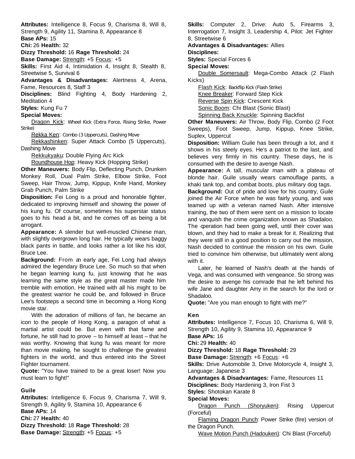**Attributes:** Intelligence 8, Focus 9, Charisma 8, Will 8, Strength 9, Agility 11, Stamina 8, Appearance 8

**Base APs:** 15

**Chi:** 26 **Health:** 32

**Dizzy Threshold:** 16 **Rage Threshold:** 24

**Base Damage:** Strength: +5 Focus: +5

**Skills:** First Aid 4, Intimidation 4, Insight 8, Stealth 8, Streetwise 5, Survival 6

**Advantages & Disadvantages:** Alertness 4, Arena, Fame, Resources 8, Staff 3

**Disciplines:** Blind Fighting 4, Body Hardening 2, Meditation 4

**Styles:** Kung Fu 7

#### **Special Moves:**

Dragon Kick: Wheel Kick (Extra Force, Rising Strike, Power Strike)

Rekka Ken: Combo (3 Uppercuts), Dashing Move

Rekkashinken: Super Attack Combo (5 Uppercuts), Dashing Move

Rekkukyaku: Double Flying Arc Kick

Roundhouse Hop: Heavy Kick (Hopping Strike)

**Other Maneuvers:** Body Flip, Deflecting Punch, Drunken Monkey Roll, Dual Palm Strike, Elbow Strike, Foot Sweep, Hair Throw, Jump, Kippup, Knife Hand, Monkey Grab Punch, Palm Strike

**Disposition:** Fei Long is a proud and honorable fighter, dedicated to improving himself and showing the power of his kung fu. Of course, sometimes his superstar status goes to his head a bit, and he comes off as being a bit arrogant.

**Appearance:** A slender but well-muscled Chinese man, with slightly overgrown long hair. He typically wears baggy black pants in battle, and looks rather a lot like his idol, Bruce Lee.

**Background:** From an early age, Fei Long had always admired the legendary Bruce Lee. So much so that when he began learning kung fu, just knowing that he was learning the same style as the great master made him tremble with emotion. He trained with all his might to be the greatest warrior he could be, and followed in Bruce Lee's footsteps a second time in becoming a Hong Kong movie star.

With the adoration of millions of fan, he became an icon to the people of Hong Kong, a paragon of what a martial artist could be. But even with that fame and fortune, he still had to prove – to himself at least – that he was worthy. Knowing that kung fu was meant for more than movie making, he sought to challenge the greatest fighters in the world, and thus entered into the Street Fighter tournament.

**Quote:** "You have trained to be a great loser! Now you must learn to fight!"

#### **Guile**

**Attributes:** Intelligence 6, Focus 9, Charisma 7, Will 9, Strength 9, Agility 9, Stamina 10, Appearance 6 **Base APs:** 14 **Chi:** 27 **Health:** 40 **Dizzy Threshold:** 18 **Rage Threshold:** 28 **Base Damage:** Strength: +5 Focus: +5

**Skills:** Computer 2, Drive: Auto 5, Firearms 3, Interrogation 7, Insight 3, Leadership 4, Pilot: Jet Fighter 8, Streetwise 6

**Advantages & Disadvantages:** Allies

**Disciplines:**

**Styles:** Special Forces 6

**Special Moves:**

Double Somersault: Mega-Combo Attack (2 Flash Kicks)

Flash Kick: Backflip Kick (Flash Strike) Knee Breaker: Forward Step Kick Reverse Spin Kick: Crescent Kick Sonic Boom: Chi Blast (Sonic Blast)

Spinning Back Knuckle: Spinning Backfist

**Other Maneuvers:** Air Throw, Body Flip, Combo (2 Foot Sweeps), Foot Sweep, Jump, Kippup, Knee Strike, Suplex, Uppercut

**Disposition:** William Guile has been through a lot, and it shows in his steely eyes. He's a patriot to the last, and believes very firmly in his country. These days, he is consumed with the desire to avenge Nash.

**Appearance:** A tall, muscular man with a plateau of blonde hair. Guile usually wears camouflage pants, a khaki tank top, and combat boots, plus military dog tags.

**Background:** Out of pride and love for his country, Guile joined the Air Force when he was fairly young, and was teamed up with a veteran named Nash. After intensive training, the two of them were sent on a mission to locate and vanquish the crime organization known as Shadaloo. The operation had been going well, until their cover was blown, and they had to make a break for it. Realizing that they were still in a good position to carry out the mission, Nash decided to continue the mission on his own. Guile tried to convince him otherwise, but ultimately went along with it.

Later, he learned of Nash's death at the hands of Vega, and was consumed with vengeance. So strong was the desire to avenge his comrade that he left behind his wife Jane and daughter Amy in the search for the lord or Shadaloo.

**Quote:** "Are you man enough to fight with me?"

#### **Ken**

**Attributes:** Intelligence 7, Focus 10, Charisma 6, Will 9, Strength 10, Agility 9, Stamina 10, Appearance 9 **Base APs:** 16 **Chi:** 29 **Health:** 40 **Dizzy Threshold:** 18 **Rage Threshold:** 29 **Base Damage:** Strength: +6 Focus: +6 **Skills:** Drive Automobile 3, Drive Motorcycle 4, Insight 3, Language: Japanese 3 **Advantages & Disadvantages:** Fame, Resources 11 **Disciplines:** Body Hardening 3, Iron Fist 3 **Styles:** Shotokan Karate 8 **Special Moves:** Dragon Punch (Shoryuken): Rising Uppercut (Forceful) Flaming Dragon Punch: Power Strike (fire) version of the Dragon Punch.

Wave Motion Punch (Hadouken): Chi Blast (Forceful)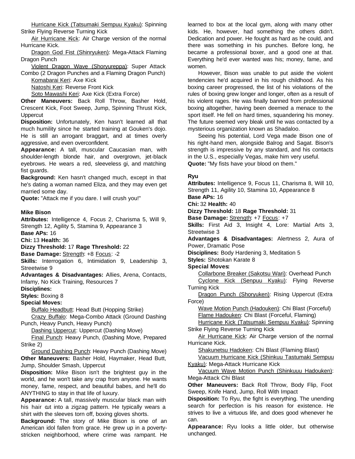Hurricane Kick (Tatsumaki Sempuu Kyaku): Spinning Strike Flying Reverse Turning Kick

Air Hurricane Kick: Air Charge version of the normal Hurricane Kick.

Dragon God Fist (Shinryuken): Mega-Attack Flaming Dragon Punch

Violent Dragon Wave (Shoryureppa): Super Attack Combo (2 Dragon Punches and a Flaming Dragon Punch)

Komabarai Keri: Axe Kick

Natoshi Keri: Reverse Front Kick

Soto Mawashi Keri: Axe Kick (Extra Force)

**Other Maneuvers:** Back Roll Throw, Basher Hold, Crescent Kick, Foot Sweep, Jump, Spinning Thrust Kick, **Uppercut** 

**Disposition:** Unfortunately, Ken hasn't learned all that much humility since he started training at Gouken's dojo. He is still an arrogant braggart, and at times overly aggressive, and even overconfident.

**Appearance:** A tall, muscular Caucasian man, with shoulder-length blonde hair, and overgrown, jet-black eyebrows. He wears a red, sleeveless gi, and matching fist guards.

**Background:** Ken hasn't changed much, except in that he's dating a woman named Eliza, and they may even get married some day.

**Quote:** "Attack me if you dare. I will crush you!"

#### **Mike Bison**

**Attributes:** Intelligence 4, Focus 2, Charisma 5, Will 9, Strength 12, Agility 5, Stamina 9, Appearance 3 **Base APs:** 16

**Chi:** 13 **Health:** 36

#### **Dizzy Threshold:** 17 **Rage Threshold:** 22

**Base Damage:** Strength: +8 Focus: -2

**Skills:** Interrogation 6, Intimidation 9, Leadership 3, Streetwise 9

**Advantages & Disadvantages:** Allies, Arena, Contacts, Infamy, No Kick Training, Resources 7

**Disciplines:**

# **Styles:** Boxing 8

**Special Moves:**

Buffalo Headbutt: Head Butt (Hopping Strike)

Crazy Buffalo: Mega-Combo Attack (Ground Dashing Punch, Heavy Punch, Heavy Punch)

Dashing Uppercut: Uppercut (Dashing Move)

Final Punch: Heavy Punch, (Dashing Move, Prepared Strike 2)

Ground Dashing Punch: Heavy Punch (Dashing Move) **Other Maneuvers:** Basher Hold, Haymaker, Head Butt, Jump, Shoulder Smash, Uppercut

**Disposition:** Mike Bison isn't the brightest guy in the world, and he won't take any crap from anyone. He wants money, fame, respect, and beautiful babes, and he'll do ANYTHING to stay in that life of luxury.

**Appearance:** A tall, massively muscular black man with his hair cut into a zigzag pattern. He typically wears a shirt with the sleeves torn off, boxing gloves shorts.

**Background:** The story of Mike Bison is one of an American idol fallen from grace. He grew up in a povertystricken neighborhood, where crime was rampant. He

learned to box at the local gym, along with many other kids. He, however, had something the others didn't. Dedication and power. He fought as hard as he could, and there was something in his punches. Before long, he became a professional boxer, and a good one at that. Everything he'd ever wanted was his; money, fame, and women.

However, Bison was unable to put aside the violent tendencies he'd acquired in his rough childhood. As his boxing career progressed, the list of his violations of the rules of boxing grew longer and longer, often as a result of his violent rages. He was finally banned from professional boxing altogether, having been deemed a menace to the sport itself. He fell on hard times, squandering his money. The future seemed very bleak until he was contacted by a mysterious organization known as Shadaloo.

Seeing his potential, Lord Vega made Bison one of his right-hand men, alongside Balrog and Sagat. Bison's strength is impressive by any standard, and his contacts in the U.S., especially Vegas, make him very useful. **Quote:** "My fists have your blood on them."

#### **Ryu**

**Attributes:** Intelligence 9, Focus 11, Charisma 8, Will 10, Strength 11, Agility 10, Stamina 10, Appearance 8 **Base APs:** 16 **Chi:** 32 **Health:** 40 **Dizzy Threshold:** 18 **Rage Threshold:** 31 **Base Damage:** Strength: +7 Focus: +7 **Skills:** First Aid 3, Insight 4, Lore: Martial Arts 3, Streetwise 3 **Advantages & Disadvantages:** Alertness 2, Aura of Power, Dramatic Pose **Disciplines:** Body Hardening 3, Meditation 5 **Styles:** Shotokan Karate 8 **Special Moves:** Collarbone Breaker (Sakotsu Wari): Overhead Punch Cyclone Kick (Senpuu Kyaku): Flying Reverse Turning Kick Dragon Punch (Shoryuken): Rising Uppercut (Extra Force) Wave Motion Punch (Hadouken): Chi Blast (Forceful) Flame Hadouken: Chi Blast (Forceful, Flaming) Hurricane Kick (Tatsumaki Sempuu Kyaku): Spinning Strike Flying Reverse Turning Kick Air Hurricane Kick: Air Charge version of the normal Hurricane Kick. Shakunetsu Hadoken: Chi Blast (Flaming Blast) Vacuum Hurricane Kick (Shinkuu Tastumaki Sempuu Kyaku): Mega-Attack Hurricane Kick Vacuum Wave Motion Punch (Shinkuuu Hadouken):

Mega-Attack Chi Blast

**Other Maneuvers:** Back Roll Throw, Body Flip, Foot Sweep, Knife Hand, Jump, Roll With Impact

**Disposition:** To Ryu, the fight is everything. The unending search for perfection is his reason for existence. He strives to live a virtuous life, and does good whenever he can.

**Appearance:** Ryu looks a little older, but otherwise unchanged.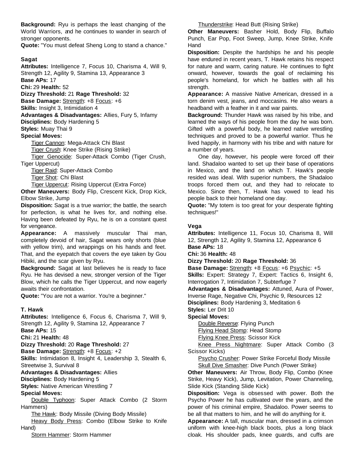**Background:** Ryu is perhaps the least changing of the World Warriors, and he continues to wander in search of stronger opponents.

**Quote:** "You must defeat Sheng Long to stand a chance."

#### **Sagat**

**Attributes:** Intelligence 7, Focus 10, Charisma 4, Will 9, Strength 12, Agility 9, Stamina 13, Appearance 3 **Base APs:** 17

**Chi:** 29 **Health:** 52

**Dizzy Threshold:** 21 **Rage Threshold:** 32

**Base Damage:** Strength: +8 Focus: +6

**Skills:** Insight 3, Intimidation 4

**Advantages & Disadvantages:** Allies, Fury 5, Infamy

**Disciplines:** Body Hardening 5

**Styles:** Muay Thai 9

#### **Special Moves:**

Tiger Cannon: Mega-Attack Chi Blast Tiger Crush: Knee Strike (Rising Strike) Tiger Genocide: Super-Attack Combo (Tiger Crush,

Tiger Uppercut)

Tiger Raid: Super-Attack Combo

Tiger Shot: Chi Blast

Tiger Uppercut: Rising Uppercut (Extra Force)

**Other Maneuvers:** Body Flip, Crescent Kick, Drop Kick, Elbow Strike, Jump

**Disposition:** Sagat is a true warrior; the battle, the search for perfection, is what he lives for, and nothing else. Having been defeated by Ryu, he is on a constant quest for vengeance.

**Appearance:** A massively muscular Thai man, completely devoid of hair, Sagat wears only shorts (blue with yellow trim), and wrappings on his hands and feet. That, and the eyepatch that covers the eye taken by Gou Hibiki, and the scar given by Ryu.

**Background:** Sagat at last believes he is ready to face Ryu. He has devised a new, stronger version of the Tiger Blow, which he calls the Tiger Uppercut, and now eagerly awaits their confrontation.

**Quote:** "You are not a warrior. You're a beginner."

#### **T. Hawk**

**Attributes:** Intelligence 6, Focus 6, Charisma 7, Will 9, Strength 12, Agility 9, Stamina 12, Appearance 7 **Base APs:** 15

**Chi:** 21 **Health:** 48

**Dizzy Threshold:** 20 **Rage Threshold:** 27

**Base Damage:** Strength: +8 Focus: +2

**Skills:** Intimidation 8, Insight 4, Leadership 3, Stealth 6, Streetwise 3, Survival 8

**Advantages & Disadvantages:** Allies

**Disciplines:** Body Hardening 5

**Styles:** Native American Wrestling 7

#### **Special Moves:**

Double Typhoon: Super Attack Combo (2 Storm Hammers)

The Hawk: Body Missile (Diving Body Missile)

Heavy Body Press: Combo (Elbow Strike to Knife Hand)

Storm Hammer: Storm Hammer

Thunderstrike: Head Butt (Rising Strike)

**Other Maneuvers:** Basher Hold, Body Flip, Buffalo Punch, Ear Pop, Foot Sweep, Jump, Knee Strike, Knife Hand

**Disposition:** Despite the hardships he and his people have endured in recent years, T. Hawk retains his respect for nature and warm, caring nature. He continues to fight onward, however, towards the goal of reclaiming his people's homeland, for which he battles with all his strength.

**Appearance:** A massive Native American, dressed in a torn denim vest, jeans, and moccasins. He also wears a headband with a feather in it and war paints.

**Background:** Thunder Hawk was raised by his tribe, and learned the ways of his people from the day he was born. Gifted with a powerful body, he learned native wrestling techniques and proved to be a powerful warrior. Thus he lived happily, in harmony with his tribe and with nature for a number of years.

One day, however, his people were forced off their land. Shadaloo wanted to set up their base of operations in Mexico, and the land on which T. Hawk's people resided was ideal. With superior numbers, the Shadaloo troops forced them out, and they had to relocate to Mexico. Since then, T. Hawk has vowed to lead his people back to their homeland one day.

**Quote:** "My totem is too great for your desperate fighting techniques!"

#### **Vega**

**Attributes:** Intelligence 11, Focus 10, Charisma 8, Will 12, Strength 12, Agility 9, Stamina 12, Appearance 6 **Base APs:** 18

**Chi:** 36 **Health:** 48

**Dizzy Threshold:** 20 **Rage Threshold:** 36

**Base Damage:** Strength: +8 Focus: +6 Psychic: +5 **Skills:** Expert: Strategy 7, Expert: Tactics 6, Insight 6, Interrogation 7, Intimidation 7, Subterfuge 7

**Advantages & Disadvantages:** Attuned, Aura of Power, Inverse Rage, Negative Chi, Psychic 9, Resources 12

**Disciplines:** Body Hardening 3, Meditation 6

**Styles:** Ler Drit 10

#### **Special Moves:**

Double Reverse: Flying Punch

Flying Head Stomp: Head Stomp

Flying Knee Press: Scissor Kick

Knee Press Nightmare: Super Attack Combo (3 Scissor Kicks)

Psycho Crusher: Power Strike Forceful Body Missile Skull Dive Smasher: Dive Punch (Power Strike)

**Other Maneuvers:** Air Throw, Body Flip, Combo (Knee Strike, Heavy Kick), Jump, Levitation, Power Channeling, Slide Kick (Standing Slide Kick)

**Disposition:** Vega is obsessed with power. Both the Psycho Power he has cultivated over the years, and the power of his criminal empire, Shadaloo. Power seems to be all that matters to him, and he will do anything for it.

**Appearance:** A tall, muscular man, dressed in a crimson uniform with knee-high black boots, plus a long black cloak. His shoulder pads, knee guards, and cuffs are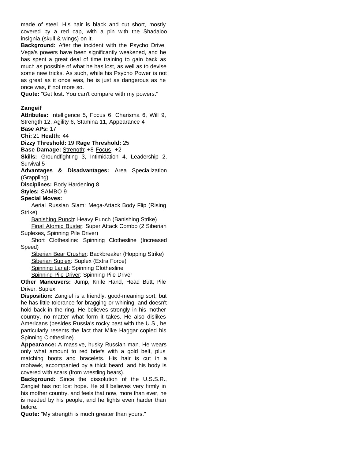made of steel. His hair is black and cut short, mostly covered by a red cap, with a pin with the Shadaloo insignia (skull & wings) on it.

**Background:** After the incident with the Psycho Drive, Vega's powers have been significantly weakened, and he has spent a great deal of time training to gain back as much as possible of what he has lost, as well as to devise some new tricks. As such, while his Psycho Power is not as great as it once was, he is just as dangerous as he once was, if not more so.

**Quote:** "Get lost. You can't compare with my powers."

#### **Zangeif**

**Attributes:** Intelligence 5, Focus 6, Charisma 6, Will 9, Strength 12, Agility 6, Stamina 11, Appearance 4

**Base APs:** 17

**Chi:** 21 **Health:** 44

#### **Dizzy Threshold:** 19 **Rage Threshold:** 25

**Base Damage:** Strength: +8 Focus: +2

**Skills:** Groundfighting 3, Intimidation 4, Leadership 2, Survival 5

**Advantages & Disadvantages:** Area Specialization (Grappling)

**Disciplines:** Body Hardening 8

**Styles:** SAMBO 9

#### **Special Moves:**

Aerial Russian Slam: Mega-Attack Body Flip (Rising Strike)

Banishing Punch: Heavy Punch (Banishing Strike) Final Atomic Buster: Super Attack Combo (2 Siberian Suplexes, Spinning Pile Driver)

Short Clothesline: Spinning Clothesline (Increased Speed)

Siberian Bear Crusher: Backbreaker (Hopping Strike) Siberian Suplex: Suplex (Extra Force) Spinning Lariat: Spinning Clothesline Spinning Pile Driver: Spinning Pile Driver

**Other Maneuvers:** Jump, Knife Hand, Head Butt, Pile Driver, Suplex

**Disposition:** Zangief is a friendly, good-meaning sort, but he has little tolerance for bragging or whining, and doesn't hold back in the ring. He believes strongly in his mother country, no matter what form it takes. He also dislikes Americans (besides Russia's rocky past with the U.S., he particularly resents the fact that Mike Haggar copied his Spinning Clothesline).

**Appearance:** A massive, husky Russian man. He wears only what amount to red briefs with a gold belt, plus matching boots and bracelets. His hair is cut in a mohawk, accompanied by a thick beard, and his body is covered with scars (from wrestling bears).

**Background:** Since the dissolution of the U.S.S.R., Zangief has not lost hope. He still believes very firmly in his mother country, and feels that now, more than ever, he is needed by his people, and he fights even harder than before.

**Quote:** "My strength is much greater than yours."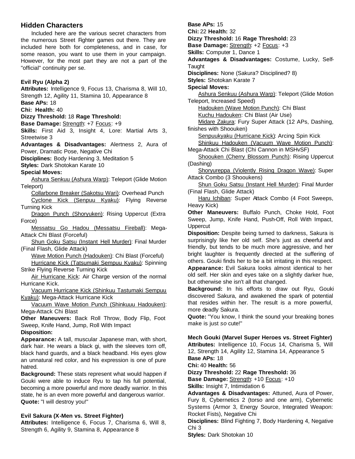## **Hidden Characters**

Included here are the various secret characters from the numerous Street Fighter games out there. They are included here both for completeness, and in case, for some reason, you want to use them in your campaign. However, for the most part they are not a part of the "official" continuity per se.

#### **Evil Ryu (Alpha 2)**

**Attributes:** Intelligence 9, Focus 13, Charisma 8, Will 10, Strength 12, Agility 11, Stamina 10, Appearance 8 **Base APs:** 18

**Chi: Health:** 40

# **Dizzy Threshold:** 18 **Rage Threshold:**

**Base Damage:** Strength: +7 Focus: +9

**Skills:** First Aid 3, Insight 4, Lore: Martial Arts 3, Streetwise 3

**Advantages & Disadvantages:** Alertness 2, Aura of Power, Dramatic Pose, Negative Chi

**Disciplines:** Body Hardening 3, Meditation 5

**Styles:** Dark Shotokan Karate 10

#### **Special Moves:**

Ashura Senkuu (Ashura Warp): Teleport (Glide Motion Teleport)

Collarbone Breaker (Sakotsu Wari): Overhead Punch

Cyclone Kick (Senpuu Kyaku): Flying Reverse Turning Kick

Dragon Punch (Shoryuken): Rising Uppercut (Extra Force)

Messatsu Go Hadou (Messatsu Fireball): Mega-Attack Chi Blast (Forceful)

Shun Goku Satsu (Instant Hell Murder): Final Murder (Final Flash, Glide Attack)

Wave Motion Punch (Hadouken): Chi Blast (Forceful)

Hurricane Kick (Tatsumaki Sempuu Kyaku): Spinning Strike Flying Reverse Turning Kick

Air Hurricane Kick: Air Charge version of the normal Hurricane Kick.

Vacuum Hurricane Kick (Shinkuu Tastumaki Sempuu Kyaku): Mega-Attack Hurricane Kick

Vacuum Wave Motion Punch (Shinkuuu Hadouken): Mega-Attack Chi Blast

**Other Maneuvers:** Back Roll Throw, Body Flip, Foot Sweep, Knife Hand, Jump, Roll With Impact **Disposition:**

**Appearance:** A tall, muscular Japanese man, with short, dark hair. He wears a black gi, with the sleeves torn off, black hand guards, and a black headband. His eyes glow an unnatural red color, and his expression is one of pure hatred.

**Background:** These stats represent what would happen if Gouki were able to induce Ryu to tap his full potential, becoming a more powerful and more deadly warrior. In this state, he is an even more powerful and dangerous warrior. **Quote:** "I will destroy you!"

#### **Evil Sakura (X-Men vs. Street Fighter)**

**Attributes:** Intelligence 6, Focus 7, Charisma 6, Will 8, Strength 6, Agility 9, Stamina 8, Appearance 8

**Base APs:** 15 **Chi:** 22 **Health:** 32 **Dizzy Threshold:** 16 **Rage Threshold:** 23 **Base Damage:** Strength: +2 Focus: +3 **Skills:** Computer 1, Dance 1 **Advantages & Disadvantages:** Costume, Lucky, Self-**Taught Disciplines:** None (Sakura? Disciplined? 8) **Styles:** Shotokan Karate 7 **Special Moves:** Ashura Senkuu (Ashura Warp): Teleport (Glide Motion Teleport, Increased Speed) Hadouken (Wave Motion Punch): Chi Blast Kuchu Hadouken: Chi Blast (Air Use) Midare Zakura: Fury Super Attack (12 APs, Dashing, finishes with Shoouken) Senpuukyaku (Hurricane Kick): Arcing Spin Kick Shinkuu Hadouken (Vacuum Wave Motion Punch): Mega-Attack Chi Blast (Chi Cannon in MSHvSF) Shoouken (Cherry Blossom Punch): Rising Uppercut (Dashing) Shoryureppa (Violently Rising Dragon Wave): Super Attack Combo (3 Shooukens) Shun Goku Satsu (Instant Hell Murder): Final Murder (Final Flash, Glide Attack) Haru Ichiban: Super Attack Combo (4 Foot Sweeps, Heavy Kick) **Other Maneuvers:** Buffalo Punch, Choke Hold, Foot Sweep, Jump, Knife Hand, Push-Off, Roll With Impact, **Uppercut Disposition:** Despite being turned to darkness, Sakura is surprisingly like her old self. She's just as cheerful and friendly, but tends to be much more aggressive, and her bright laughter is frequently directed at the suffering of others. Gouki finds her to be a bit irritating in this respect. **Appearance:** Evil Sakura looks almost identical to her

old self. Her skin and eyes take on a slightly darker hue, but otherwise she isn't all that changed.

**Background:** In his efforts to draw out Ryu, Gouki discovered Sakura, and awakened the spark of potential that resides within her. The result is a more powerful, more deadly Sakura.

**Quote:** "You know, I think the sound your breaking bones make is just *so* cute!"

**Mech Gouki (Marvel Super Heroes vs. Street Fighter) Attributes:** Intelligence 10, Focus 14, Charisma 5, Will 12, Strength 14, Agility 12, Stamina 14, Appearance 5 **Base APs:** 18

**Chi:** 40 **Health:** 56

**Dizzy Threshold:** 22 **Rage Threshold:** 36

**Base Damage:** Strength: +10 Focus: +10 **Skills:** Insight 7, Intimidation 6

**Advantages & Disadvantages:** Attuned, Aura of Power, Fury 8, Cybernetics 2 (torso and one arm), Cybernetic Systems (Armor 3, Energy Source, Integrated Weapon: Rocket Fists), Negative Chi

**Disciplines:** Blind Fighting 7, Body Hardening 4, Negative Chi 3

**Styles:** Dark Shotokan 10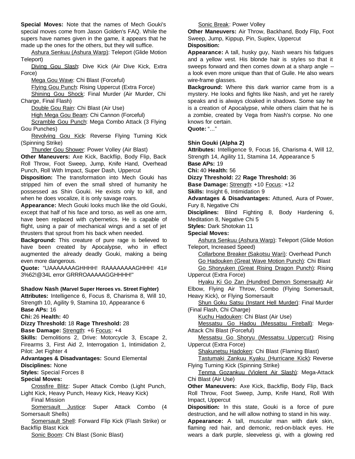**Special Moves:** Note that the names of Mech Gouki's special moves come from Jason Golden's FAQ. While the supers have names given in the game, it appears that he made up the ones for the others, but they will suffice.

Ashura Senkuu (Ashura Warp): Teleport (Glide Motion Teleport)

Diving Gou Slash: Dive Kick (Air Dive Kick, Extra Force)

Mega Gou Wave: Chi Blast (Forceful)

Flying Gou Punch: Rising Uppercut (Extra Force)

Shining Gou Shock: Final Murder (Air Murder, Chi Charge, Final Flash)

Double Gou Rain: Chi Blast (Air Use)

High Mega Gou Beam: Chi Cannon (Forceful)

Scramble Gou Punch: Mega Combo Attack (3 Flying Gou Punches)

Revolving Gou Kick: Reverse Flying Turning Kick (Spinning Strike)

Thunder Gou Shower: Power Volley (Air Blast)

**Other Maneuvers:** Axe Kick, Backflip, Body Flip, Back Roll Throw, Foot Sweep, Jump, Knife Hand, Overhead Punch, Roll With Impact, Super Dash, Uppercut

**Disposition:** The transformation into Mech Gouki has stripped him of even the small shred of humanity he possessed as Shin Gouki. He exists only to kill, and when he does vocalize, it is only savage roars.

**Appearance:** Mech Gouki looks much like the old Gouki, except that half of his face and torso, as well as one arm, have been replaced with cybernetics. He is capable of flight, using a pair of mechanical wings and a set of jet thrusters that sprout from his back when needed.

**Background:** This creature of pure rage is believed to have been created by Apocalypse, who in effect augmented the already deadly Gouki, making a being even more dangerous.

**Quote:** "UAAAAAAAGHHHH! RAAAAAAAAGHHH! 41# 3%62!@34L error GRRROAAAAAGGHHHH!"

#### **Shadow Nash (Marvel Super Heroes vs. Street Fighter)**

**Attributes:** Intelligence 6, Focus 8, Charisma 8, Will 10, Strength 10, Agility 9, Stamina 10, Appearance 6 **Base APs:** 16

**Chi:** 26 **Health:** 40

**Dizzy Threshold:** 18 **Rage Threshold:** 28

**Base Damage:** Strength: +6 Focus: +4

**Skills:** Demolitions 2, Drive: Motorcycle 3, Escape 2, Firearms 3, First Aid 2, Interrogation 1, Intimidation 2, Pilot: Jet Fighter 4

**Advantages & Disadvantages:** Sound Elemental **Disciplines:** None

**Styles:** Special Forces 8

## **Special Moves:**

Crossfire Blitz: Super Attack Combo (Light Punch, Light Kick, Heavy Punch, Heavy Kick, Heavy Kick)

Final Mission

Somersault Justice: Super Attack Combo (4 Somersault Shells)

Somersault Shell: Forward Flip Kick (Flash Strike) or Backflip Blast Kick

Sonic Boom: Chi Blast (Sonic Blast)

Sonic Break: Power Volley

**Other Maneuvers:** Air Throw, Backhand, Body Flip, Foot Sweep, Jump, Kippup, Pin, Suplex, Uppercut

**Disposition:**

**Appearance:** A tall, husky guy, Nash wears his fatigues and a yellow vest. His blonde hair is styles so that it sweeps forward and then comes down at a sharp angle - a look even more unique than that of Guile. He also wears wire-frame glasses.

**Background:** Where this dark warrior came from is a mystery. He looks and fights like Nash, and yet he rarely speaks and is always cloaked in shadows. Some say he is a creation of Apocalypse, while others claim that he is a zombie, created by Vega from Nash's corpse. No one knows for certain.

**Quote:** "..."

### **Shin Gouki (Alpha 2)**

**Attributes:** Intelligence 9, Focus 16, Charisma 4, Will 12, Strength 14, Agility 11, Stamina 14, Appearance 5 **Base APs:** 19

**Chi:** 40 **Health:** 56

**Dizzy Threshold:** 22 **Rage Threshold:** 36

**Base Damage:** Strength: +10 Focus: +12

**Skills:** Insight 6, Intimidation 9

**Advantages & Disadvantages:** Attuned, Aura of Power, Fury 8, Negative Chi

**Disciplines:** Blind Fighting 8, Body Hardening 6, Meditation 8, Negative Chi 5

**Styles:** Dark Shotokan 11

**Special Moves:**

Ashura Senkuu (Ashura Warp): Teleport (Glide Motion Teleport, Increased Speed)

Collarbone Breaker (Sakotsu Wari): Overhead Punch Go Hadouken (Great Wave Motion Punch): Chi Blast

Go Shoryuken (Great Rising Dragon Punch): Rising Uppercut (Extra Force)

Hyaku Ki Go Zan (Hundred Demon Somersault): Air Elbow, Flying Air Throw, Combo (Flying Somersault, Heavy Kick), or Flying Somersault

Shun Goku Satsu (Instant Hell Murder): Final Murder (Final Flash, Chi Charge)

Kuchu Hadouken: Chi Blast (Air Use)

Messatsu Go Hadou (Messatsu Fireball): Mega-Attack Chi Blast (Forceful)

Messatsu Go Shoryu (Messatsu Uppercut): Rising Uppercut (Extra Force)

Shakunetsu Hadoken: Chi Blast (Flaming Blast)

Tastumaki Zankuu Kyaku (Hurricane Kick): Reverse Flying Turning Kick (Spinning Strike)

Tenma Gozankuu (Violent Air Slash): Mega-Attack Chi Blast (Air Use)

**Other Maneuvers:** Axe Kick, Backflip, Body Flip, Back Roll Throw, Foot Sweep, Jump, Knife Hand, Roll With Impact, Uppercut

**Disposition:** In this state, Gouki is a force of pure destruction, and he will allow nothing to stand in his way.

**Appearance:** A tall, muscular man with dark skin, flaming red hair, and demonic, red-on-black eyes. He wears a dark purple, sleeveless gi, with a glowing red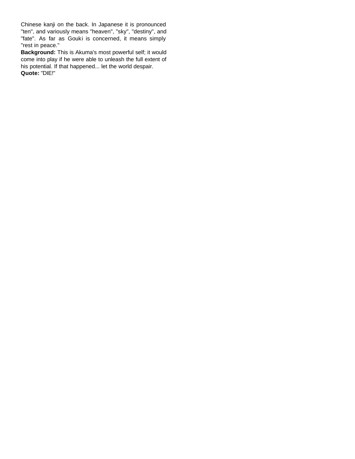Chinese kanji on the back. In Japanese it is pronounced "ten", and variously means "heaven", "sky", "destiny", and "fate". As far as Gouki is concerned, it means simply "rest in peace."

**Background:** This is Akuma's most powerful self; it would come into play if he were able to unleash the full extent of his potential. If that happened... let the world despair. **Quote:** "DIE!"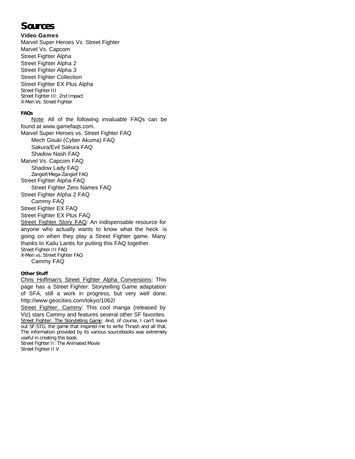# **Sources**

#### **Video Games**

Marvel Super Heroes Vs. Street Fighter Marvel Vs. Capcom Street Fighter Alpha Street Fighter Alpha 2 Street Fighter Alpha 3 Street Fighter Collection Street Fighter EX Plus Alpha Street Fighter III Street Fighter III: 2nd Impact X-Men Vs. Street Fighter

#### **FAQs**

Note: All of the following invaluable FAQs can be found at www.gamefaqs.com. Marvel Super Heroes vs. Street Fighter FAQ Mech Gouki (Cyber Akuma) FAQ Sakura/Evil Sakura FAQ Shadow Nash FAQ Marvel Vs. Capcom FAQ Shadow Lady FAQ Zangief/Mega-Zangief FAQ Street Fighter Alpha FAQ Street Fighter Zero Names FAQ Street Fighter Alpha 2 FAQ Cammy FAQ Street Fighter EX FAQ Street Fighter EX Plus FAQ Street Fighter Story FAQ: An indispensable resource for anyone who actually wants to know what the heck is going on when they play a Street Fighter game. Many thanks to Kailu Lantis for putting this FAQ together. Street Fighter III FAQ X-Men vs. Street Fighter FAQ Cammy FAQ

#### **Other Stuff**

Chris Hoffman's Street Fighter Alpha Conversions: This page has a Street Fighter: Storytelling Game adaptation of SFA, still a work in progress, but very well done. http://www.geocities.com/tokyo/1062/

Street Fighter: Cammy: This cool manga (released by Viz) stars Cammy and features several other SF favorites. Street Fighter: The Storytelling Game: And, of course, I can't leave out SF:STG, the game that inspired me to write Thrash and all that. The information provided by its various sourcebooks was extremely useful in creating this book.

Street Fighter II: The Animated Movie Street Fighter II V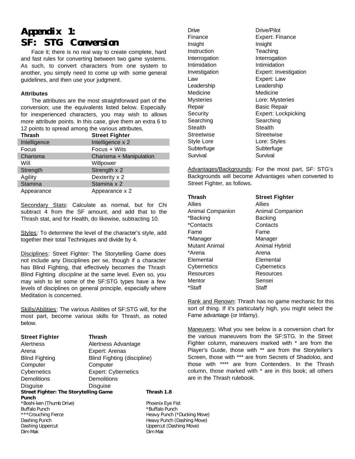# **Appendix 1: SF: STG Conversion**

Face it; there is no real way to create complete, hard and fast rules for converting between two game systems. As such, to convert characters from one system to another, you simply need to come up with some general guidelines, and then use your judgment.

#### **Attributes**

The attributes are the most straightforward part of the conversion; use the equivalents listed below. Especially for inexperienced characters, you may wish to allows more attribute points. In this case, give them an extra 6 to 12 points to spread among the various attributes.

| <b>Thrash</b> | <b>Street Fighter</b>   |
|---------------|-------------------------|
| Intelligence  | Intelligence x 2        |
| Focus         | Focus + Wits            |
| Charisma      | Charisma + Manipulation |
| Will          | Willpower               |
| Strength      | Strength x 2            |
| Agility       | Dexterity x 2           |
| Stamina       | Stamina x 2             |
| Appearance    | Appearance x 2          |

Secondary Stats: Calculate as normal, but for Chi subtract 4 from the SF amount, and add that to the Thrash stat, and for Health, do likewise, subtracting 10.

Styles: To determine the level of the character's style, add together their total Techniques and divide by 4.

Disciplines: Street Fighter: The Storytelling Game does not include any Disciplines per se, though if a character has Blind Fighting, that effectively becomes the Thrash Blind Fighting *discipline* at the same level. Even so, you may wish to let some of the SF:STG types have a few levels of disciplines on general principle, especially where Meditation is concerned.

Skills/Abilities: The various Abilities of SF:STG will, for the most part, become various skills for Thrash, as noted below.

| <b>Street Fighter</b>                        | <b>Thrash</b>               |                  |
|----------------------------------------------|-----------------------------|------------------|
| Alertness                                    | Alertness Advantage         |                  |
| Arena                                        | Expert: Arenas              |                  |
| <b>Blind Fighting</b>                        | Blind Fighting (discipline) |                  |
| Computer                                     | Computer                    |                  |
| Cybernetics                                  | <b>Expert: Cybernetics</b>  |                  |
| <b>Demolitions</b>                           | <b>Demolitions</b>          |                  |
| Disguise                                     | Disguise                    |                  |
| <b>Street Fighter: The Storytelling Game</b> |                             | Thrash 1.8       |
| Punch                                        |                             |                  |
| *Boshi-ken (Thumb Drive)                     |                             | Phoenix Eye Fist |
| <b>Buffalo Punch</b>                         |                             | *Buffalo Punch   |
| *** Crouching Fierce                         |                             | Heavy Punch (*I  |
| Dashing Punch                                |                             | Heavy Punch (Da  |
| Dashing Uppercut                             |                             | Uppercut (Dashi  |
| Dim Mak                                      |                             | Dim Mak          |

Drive Drive/Pilot Insight Insight Instruction Teaching Interrogation Interrogation Intimidation Intimidation Law Expert: Law Leadership Leadership Medicine Medicine Repair **Basic Repair** Searching Searching Stealth Stealth Streetwise Streetwise Style Lore **Lore:** Styles Subterfuge Subterfuge Survival Survival

Finance Expert: Finance Investigation Expert: Investigation Mysteries Lore: Mysteries Security Expert: Lockpicking

Advantages/Backgrounds: For the most part, SF: STG's Backgrounds will become Advantages when converted to Street Fighter, as follows.

| Thrash           | <b>Street Fighter</b> |
|------------------|-----------------------|
| Allies           | Allies                |
| Animal Companion | Animal Companion      |
| *Backing         | Backing               |
| *Contacts        | Contacts              |
| Fame             | Fame                  |
| *Manager         | Manager               |
| Mutant Animal    | Animal Hybrid         |
| *Arena           | Arena                 |
| Elemental        | Elemental             |
| Cybernetics      | Cybernetics           |
| Resources        | Resources             |
| Mentor           | Sensei                |
| *Staff           | Staff                 |

Rank and Renown: Thrash has no game mechanic for this sort of thing. If it's particularly high, you might select the Fame advantage (or Infamy).

Maneuvers: What you see below is a conversion chart for the various maneuvers from the SF:STG. In the Street Fighter column, maneuvers marked with \* are from the Player's Guide, those with \*\* are from the Storyteller's Screen, those with \*\*\* are from Secrets of Shadoloo, and those with \*\*\*\* are from Contenders. In the Thrash column, those marked with \* are in this book; all others are in the Thrash rulebook.

'unch (\*Ducking Move) unch (Dashing Move) It (Dashing Move)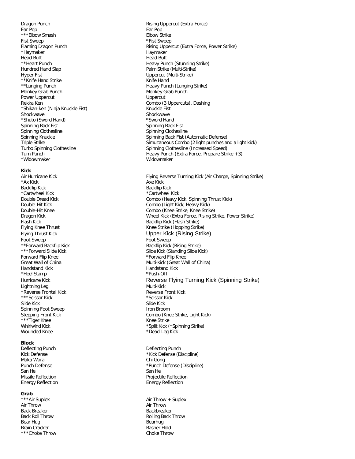Dragon Punch **Rising Uppercut (Extra Force)** Rising Uppercut (Extra Force) Ear Pop Ear Pop \*\*\*Elbow Smash Elbow Strike Fist Sweep  $*$ Fist Sweep \*Haymaker Haymaker Haymaker Haymaker Head Butt **Head Butt Head Butt** \*\*Heart Punch **Heavy Punch (Stunning Strike)** Hundred Hand Slap Palm Strike (Multi-Strike) Hyper Fist Uppercut (Multi-Strike) \*\*Knife Hand Strike Knife Hand \*\*Lunging Punch **Figure 2018** Heavy Punch (Lunging Strike) Monkey Grab Punch Monkey Grab Punch Power Uppercut Deprecut Uppercut Uppercut Rekka Ken Combo (3 Uppercuts), Dashing \*Shikan-ken (Ninja Knuckle Fist) Knuckle Fist Shockwave Shockwave Shockwave \*Shuto (Sword Hand) \*Sword Hand Spinning Back Fist Spinning Back Fist Spinning Clothesline Spinning Clothesline \*Widowmaker **Widowmaker** Widowmaker

#### **Kick**

\*Ax Kick Axe Kick Axe Kick Axe Kick Backflip Kick **Backflip Kick** \*Cartwheel Kick \*Cartwheel Kick Foot Sweep Foot Sweep Forward Flip Knee \*Forward Flip Knee Handstand Kick Handstand Kick \*Heel Stamp  $*Push-Off$ Lightning Leg and the Community of the Multi-Kick \*Reverse Frontal Kick Reverse Front Kick Reverse Front Kick Reverse Front Kick Reverse Front Kick And American<br>\*\*\*Scissor Kick And American Reverse And American American American American American American American Americ \*\*\*Scissor Kick Slide Kick Slide Kick Spinning Foot Sweep **Iron Broom** \*\*\*Tiger Knee Knee Knee Strike Wounded Knee \*Dead-Leg Kick

#### **Block**

Deflecting Punch Deflecting Punch Maka Wara San He San He San He San He San He San He San He San He San He San He San He San He Energy Reflection **Energy Reflection** 

#### **Grab**

Air Throw Air Throw Back Breaker **Backbreaker** Backbreaker Bear Hug Bearhug Bearhug Bearhug Bearhug Bearhug Bearhug Bearhug Bearhug Bearhug Bearhug Bearhug Bearhug Bearhug Bearhug Bearhug Bearhug Bearhug Bearhug Bearhug Bearhug Bearhug Bearhug Bearhug Bearhug Bearhug Bearhug Bearh Brain Cracker **Basher Hold** \*\*\*Choke Throw Choke Throw Choke Throw

Flaming Dragon Punch **Rising Uppercut (Extra Force, Power Strike)** Rising Uppercut (Extra Force, Power Strike) Spinning Knuckle Spinning Back Fist (Automatic Defense) Triple Strike Simultaneous Combo (2 light punches and a light kick) Turbo Spinning Clothesline Spinning Clothesline (Increased Speed) Turn Punch Heavy Punch (Extra Force, Prepare Strike +3)

Air Hurricane Kick Flying Reverse Turning Kick (Air Charge, Spinning Strike) Double Dread Kick Combo (Heavy Kick, Spinning Thrust Kick) Double-Hit Kick Combo (Light Kick, Heavy Kick) Double-Hit Knee Combo (Knee Strike, Knee Strike) Dragon Kick Wheel Kick (Extra Force, Rising Strike, Power Strike) Flash Kick **Backflip Kick (Flash Strike)** Backflip Kick (Flash Strike) Flying Knee Thrust **Knee Strike** (Hopping Strike) Flying Thrust Kick **No. 2018** Control Company May 19 Upper Kick (Rising Strike) \*\*Forward Backflip Kick and the Backflip Kick (Rising Strike)<br>\*\*\*Forward Slide Kick and the Slide Kick (Standing Slide Kick) Slide Kick (Standing Slide Kick) Great Wall of China **Multi-Kick (Great Wall of China**) Multi-Kick (Great Wall of China) Hurricane Kick Reverse Flying Turning Kick (Spinning Strike) Stepping Front Kick Combo (Knee Strike, Light Kick) Whirlwind Kick \*Split Kick (\*Spinning Strike)

Kick Defense \*Kick Defense (Discipline) Punch Defense \*Punch Defense \*Punch Defense (Discipline) Missile Reflection **Projection** Projectile Reflection

\*\*\*Air Suplex **Air Throw + Suplex** Air Throw + Suplex Back Roll Throw **Rolling Back Throw** Rolling Back Throw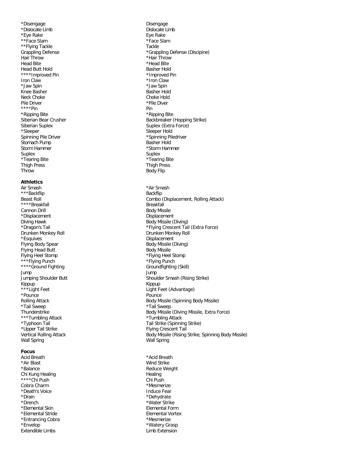\*Disengage **Disengage Disengage** \*Dislocate Limb Dislocate Limb \*Eye Rake Eye Rake Eye Rake Eye Rake \*\*Face Slam  $*$   $*$ Face Slam \*\*Flying Tackle Tackle Tackle Hair Throw \*Hair Throw \*Hair Throw \*Hair Throw \*Hair Throw \*Hair Throw \*Hair Throw \*Head Bite Head Butt Hold Basher Hold \*\*\*\*Improved Pin \*\*\*\*Improved Pin Iron Claw  $*$ Iron Claw \*Jaw Spin \*Jaw Spin Knee Basher **Basher Hold** Neck Choke **Choke** Choke Hold Pile Driver \*Pile Diver \*\*\*\*Pin Pin \*Ripping Bite \*Ripping Bite \*Sleeper Nold<br>
Spinning Pile Driver Nold Spinning Pile<br>
Spinning Pile Driver Nold Spinning Pile Stomach Pump Basher Hold Storm Hammer \*Storm Hammer Suplex Suplex Suplex Suplex Suplex Suplex Suplex Suplex Suplex Suplex Suplex Suplex Suplex Suplex Suplex Suplex Suplex Suplex  $\sim$ \*Tearing Bite \*Tearing Bite Thigh Press Thigh Press Throw Body Flip

#### **Athletics**

Air Smash \*Air Smash \*\*\*Backflip Backflip \*\*\*\*Breakfall Breakfall Breakfall Cannon Drill **Body Missile** \*Displacement Displacement Diving Hawk **Body Missile (Diving)** Drunken Monkey Roll \*Esquives Displacement Flying Body Spear **Body Missile (Diving)** Body Missile (Diving) Flying Head Butt **Body Missile** Flying Heel Stomp \*Flying Heel Stomp \*\*\*Flying Punch **\*\*\*Flying Punch** \*\*\*\*Flying Punch \*\*\*\*Ground Fighting Groundfighting (Skill) Jump Jump Kippup Kippup Kippup Kippup Kippup Kippup Kippup Kippup Kippup Kippup Kippup Kippup Kippup Kippup Kippup Kippup Kippup Kippup Kippup Kippup Kippup Kippup Kippup Kippup Kippup Kippup Kippup Kippup Kippup Kippup Kippup Kippu \*Pounce Pounce Pounce \*Tail Sweep \*Tail Sweep \*\*\*Tumbling Attack \*\*\*Tumbling Attack \*Upper Tail Strike **Flying Crescent Tail** Wall Spring Wall Spring Wall Spring

#### **Focus**

Acid Breath **Acid Breath** \*Acid Breath **\*Acid Breath** \*Air Blast Wind Strike \*Balance **Reduce Weight Reduce Weight** Chi Kung Healing<br>
\*\*\*\*Chi Push News Control of the Chi Push Chi Push News Chi Push Chi Push News Chi Push News Chi Push News Chi Push News Chi Push News Chi Push News Chi Push News Chi Push News Chi Push News Chi Push News \*\*\*\*Chi Push Cobra Charm  $*$ Mesmerize \*Death's Voice **Induce Fear** \*Drain \*Dehydrate \*Elemental Skin Elemental Form \*Elemental Stride Elemental Vortex \*Entrancing Cobra **\*Mesmerize** \*Envelop \*Watery Grasp Extendible Limbs **Limb Extension** 

Grappling Defense **\*Grappling Defense** \*Grappling Defense (Discipine) \*Head Bite Siberian Bear Crusher **Backbreaker** (Hopping Strike) Siberian Suplex **Suplex** Suplex (Extra Force) \*Spinning Piledriver Beast Roll **Combo (Displacement, Rolling Attack)** Combo (Displacement, Rolling Attack) \*Dragon's Tail \*Flying Crescent Tail (Extra Force) Jumping Shoulder Butt Shoulder Smash (Rising Strike) \*\*\*Light Feet **Light Feet** (Advantage) Rolling Attack **Body Missile (Spinning Body Missile**) Thunderstrike Body Missile (Diving Missile, Extra Force) \*Typhoon Tail Strike (Spinning Strike) Vertical Rolling Attack Body Missile (Rising Strike, Spinning Body Missile)

\*Water Strike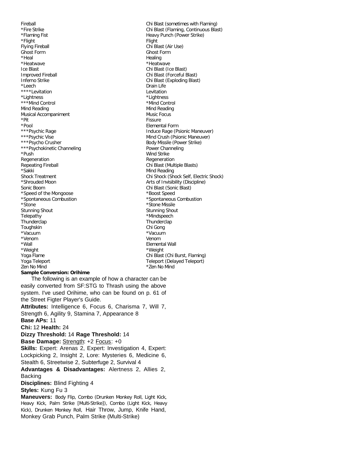Fireball Chi Blast (sometimes with Flaming) \*Fire Strike Chi Blast (Flaming, Continuous Blast) \*Flaming Fist **Heavy Punch (Power Strike)** \*Flight Flight Flying Fireball **Chi Blast** (Air Use) Ghost Form Ghost Form \*Heal **Healing** \*Heatwave \*Heatwave Ice Blast Chi Blast (Ice Blast) Improved Fireball **Chi Blast** (Forceful Blast) Inferno Strike Chi Blast (Exploding Blast) \*Leech Drain Life \*\*\*\*Levitation **Lexitation** \*Lightness \*Lightness \*\*\*Mind Control  $\ddot{\hspace{1cm}}$  \*Mind Control Mind Reading Mind Reading Musical Accompaniment Music Focus \*Pit Fissure \*Pool Elemental Form \*\*\*Psychic Rage Induce Rage (Psionic Maneuver)<br>\*\*\*Psychic Vise Induce Rage (Psionic Maneuver)<br>Mind Crush (Psionic Maneuver) \*\*\*Psycho Crusher Body Missile (Power Strike) \*\*\*Psychokinetic Channeling **Power Channeling** \*Push Wind Strike Regeneration **Regeneration** Regeneration Repeating Fireball **Repeating Fireball Chi Blast (Multiple Blasts)** \*Sakki Mind Reading Shock Treatment Chi Shock (Shock Self, Electric Shock) \*Shrouded Moon **Arts of Invisibility (Discipline)** Sonic Boom Chi Blast (Sonic Blast) \*Speed of the Mongoose \*Boost Speed \*Spontaneous Combustion \*Spontaneous Combustion \*Stone \*Stone Missile Stunning Shout **Stunning Shout** Stunning Shout Telepathy **\*Mindspeech** Thunderclap Thunderclap Toughskin Chi Gong \*Vacuum \*Vacuum \*Venom Venom \*Wall Elemental Wall \*Weight \*Weight Yoga Flame Chi Blast (Chi Burst, Flaming) Yoga Teleport Teleport (Delayed Teleport) Zen No Mind \*Zen No Mind **Sample Conversion: Orihime** The following is an example of how a character can be easily converted from SF:STG to Thrash using the above system. I've used Orihime, who can be found on p. 61 of the Street Figter Player's Guide. **Attributes:** Intelligence 6, Focus 6, Charisma 7, Will 7, Strength 6, Agility 9, Stamina 7, Appearance 8 **Base APs:** 11 **Chi:** 12 **Health:** 24 **Dizzy Threshold:** 14 **Rage Threshold:** 14 **Base Damage: Strength: +2 Focus: +0 Skills:** Expert: Arenas 2, Expert: Investigation 4, Expert: Lockpicking 2, Insight 2, Lore: Mysteries 6, Medicine 6, Stealth 6, Streetwise 2, Subterfuge 2, Survival 4 **Advantages & Disadvantages:** Alertness 2, Allies 2,

Backing

**Disciplines:** Blind Fighting 4

#### **Styles:** Kung Fu 3

**Maneuvers:** Body Flip, Combo (Drunken Monkey Roll, Light Kick, Heavy Kick, Palm Strike [Multi-Strike]), Combo (Light Kick, Heavy Kick), Drunken Monkey Roll, Hair Throw, Jump, Knife Hand, Monkey Grab Punch, Palm Strike (Multi-Strike)

Mind Crush (Psionic Maneuver)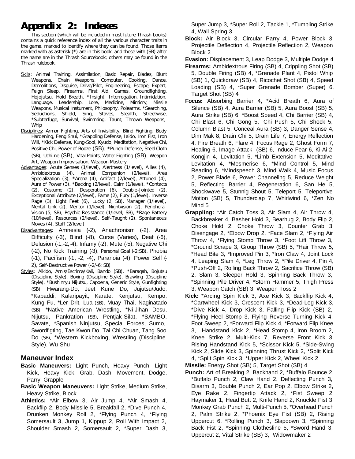# **Appendix 2: Indexes**

This section (which will be included in most future Thrash books) contains a quick reference index of all the various character traits in the game, marked to identify where they can be found. Those items marked with as asterisk (\*) are in this book, and those with (SB) after the name are in the Thrash Sourcebook; others may be found in the Thrash rulebook.

- Skills: Animal Training, Assimilation, Basic Repair, Blades, Blunt Weapons, Chain Weapons, Computer, Cooking, Dance, Demolitions, Disguise, Drive/Pilot, Engineering, Escape, Expert, Feign Sleep, Firearms, First Aid, Games, Groundfighting, Hojojutsu, Hold Breath, \*Insight, Interrogation, Intimidation, Language, Leadership, Lore, Medicine, Mimicry, Missile Weapons, Musical Instument, Philosophy, Polearms, \*Searching, Seductions, Shield, Sing, Staves, Stealth, Streetwise, \*Subterfuge, Survival, Swimming, Taunt, Thrown Weapons, Whip
- Disciplines: Armor Fighting, Arts of Invisibility, Blind Fighting, Body Hardening, Feng Shui, \*Grappling Defense, Iaido, Iron Fist, Iron Will, \*Kick Defense, Kung-Sool, Kyudo, Meditation, Negative Chi, Positive Chi, Power of Booze (SB), \*Punch Defense, Steel Cloth (SB), Uchi-ne (SB), Vital Points, Water Fighting (SB), Weapon Art, Weapon Improvisation, Weapon Mastery
- Advantages: Acute Senses (1/level), Alertness (1/level), Allies (4), Ambidextrous (4), Animal Companion (2/level), Area Specialization (3), \*Arena (4), Artifact (2/level), Attuned (4), Aura of Power (3), \*Backing (2/level), Calm (1/level), \*Contacts (2), Costume (2), Desperation (6), Double-Jointed (2), Exceptional Attribute (2/level), Fame (2), Fury (1/level), Inverse Rage (3), Light Feet (6), Lucky (2; SB), Manager (1/level), Mental Link (2), Mentor (1/level), Nightvision (2), Peripheral Vision (5; SB), Psychic Resistance (1/level; SB), \*Rage Battery (10/level), Resources (2/level), Self-Taught (2), Spontaneous Moves (4), Staff (2/level)
- Disadvantages: Amnesia (-2), Anachronism (-2), Area Difficulty (-3), Blind (-8), Curse (Varies), Deaf (-6), Delusion (-1,-2,-4), Infamy (-2), Mute (-5), Negative Chi (-2), No Kick Training (-3), Personal Goal (-2;SB), Phobia (-1), Pacifism (-1, -2, -4), Paranoia (-4), Power Self (- 2), Self-Destructive Power (-2/-6; SB)
- Styles: Aikido, Arnis/Escrima/Kali, Bando (SB), \*Baraqah, Bojutsu (Discipline Style), Boxing (Discipline Style), Brawling (Discipline Style), \*Bushinryu Nijutsu, Capoeria, Generic Style, Gunfighting (SB), Hwarang-Do, Jeet Kune Do, Jujutsu/Judo, \*Kabaddi, Kalaripayit, Karate, Kenjutsu, Kempo, Kung Fu, \*Ler Drit, Lua (SB), Muay Thai, Naginatado (SB), \*Native American Wrestling, \*Ni-Jihan Desu, Nijutsu, Pankration (SB), Pentjak-Silat, \*SAMBO, Savate, \*Spanish Ninjutsu, Special Forces, Sumo, Swordfigting, Tae Kwon Do, Tai Chi Chuan, Tang Soo Do (SB), \*Western Kickboxing, Wrestling (Discipline Style), Wu Shu

# **Maneuver Index**

- **Basic Maneuvers:** Light Punch, Heavy Punch, Light Kick, Heavy Kick, Grab, Dash, Movement, Dodge, Parry, Grapple
- **Basic Weapon Maneuvers:** Light Strike, Medium Strike, Heavy Strike, Block
- **Athletics:** \*Air Elbow 3, Air Jump 4, \*Air Smash 4, Backflip 2, Body Missile 5, Breakfall 2, \*Dive Punch 4, Drunken Monkey Roll 2, \*Flying Punch 4, \*Flying Somersault 3, Jump 1, Kippup 2, Roll With Impact 2, Shoulder Smash 2, Somersault 2, \*Super Dash 3,

Super Jump 3, \*Super Roll 2, Tackle 1, \*Tumbling Strike 4, Wall Spring 3

**Block:** Air Block 3, Circular Parry 4, Power Block 3, Projectile Deflection 4, Projectile Reflection 2, Weapon Block 2

**Evasion:** Displacement 3, Leap Dodge 3, Multiple Dodge 4

- **Firearms:** Ambidextrous Firing (SB) 4, Crippling Shot (SB) 5, Double Firing (SB) 4, \*Grenade Plant 4, Pistol Whip (SB) 1, Quickdraw (SB) 4, Ricochet Shot (SB) 4, Speed Loading (SB) 4, \*Super Grenade Bomber (Super) 6, Target Shot (SB) 4
- **Focus:** Absorbing Barrier 4, \*Acid Breath 6, Aura of Silence (SB) 4, Aura Barrier (SB) 5, Aura Boost (SB) 5, Aura Strike (SB) 6, \*Boost Speed 4, Chi Barrier (SB) 4, Chi Blast 6, Chi Gong 5, Chi Push 5, Chi Shock 5, Column Blast 5, Conceal Aura (SB) 3, Danger Sense 4, Dim Mak 8, Drain Chi 5, Drain Life 7, Energy Reflection 4, Fire Breath 6, Flare 4, Focus Rage 2, Ghost Form 7, Healing 6, Image Attack (SB) 6, Induce Fear 6, Ki-Ai 2, Kongjin 4, Levitation 5, \*Limb Extension 5, Meditative Levitation 4, \*Mesmerise 6, \*Mind Control 5, Mind Reading 6, \*Mindspeech 3, Mind Walk 4, Music Focus 2, Power Blade 6, Power Channeling 5, Reduce Weight 5, Reflecting Barrier 4, Regeneration 6, San He 5, Shockwave 5, Stunnig Shout 5, Teleport 5, Teleportive Motion (SB) 5, Thunderclap 7, Whirlwind 6, \*Zen No Mind 5
- **Grappling:** \*Air Catch Toss 3, Air Slam 4, Air Throw 4, Backbreaker 4, Basher Hold 3, Bearhug 2, Body Flip 2, Choke Hold 2, Choke Throw 3, Counter Grab 3, Disengage 2, \*Elbow Drop 2, \*Face Slam 2, \*Flying Air Throw 4, \*Flying Stomp Throw 3, \*Foot Lift Throw 3, \*Ground Scrape 3, Group Throw (SB) 5, \*Hair Throw 5, \*Head Bite 3, \*Improved Pin 3, \*Iron Claw 4, Joint Lock 4, Leaping Slam 4, \*Leg Throw 2, \*Pile Driver 4, Pin 4, \*Push-Off 2, Rolling Back Throw 2, Sacrifice Throw (SB) 2, Slam 3, Sleeper Hold 3, Spinning Back Throw 3, \*Spinning Pile Driver 4, \*Storm Hammer 5, Thigh Press 3, Weapon Catch (SB) 3, Weapon Toss 2
- **Kick:** \*Arcing Spin Kick 3, Axe Kick 3, Backflip Kick 4, \*Cartwheel Kick 3, Crescent Kick 3, \*Dead-Leg Kick 3, \*Dive Kick 4, Drop Kick 3, Falling Flip Kick (SB) 2, \*Flying Heel Stomp 3, Flying Reverse Turning Kick 4, Foot Sweep 2, \*Forward Flip Kick 4, \*Forward Flip Knee 3, Handstand Kick 2, \*Head Stomp 4, Iron Broom 2, Knee Strike 2, Multi-Kick 7, Reverse Front Kick 3, Rising Handstand Kick 5, \*Scissor Kick 5, \*Side-Swing Kick 2, Slide Kick 3, Spinning Thrust Kick 2, \*Split Kick 4, \*Split Spin Kick 3, \*Upper Kick 2, Wheel Kick 2
- **Missile:** Energy Shot (SB) 5, Target Shot (SB) 4
- **Punch:** Art of Breaking 2, Backhand 2, \*Buffalo Bounce 2, \*Buffalo Punch 2, Claw Hand 2, Deflecting Punch 3, Disarm 3, Double Punch 2, Ear Pop 2, Elbow Strike 2, Eye Rake 2, Fingertip Attack 2, \*Fist Sweep 2, Haymaker 1, Head Butt 2, Knife Hand 2, Knuckle Fist 3, Monkey Grab Punch 2, Multi-Punch 5, \*Overhead Punch 2, Palm Strike 2, \*Phoenix Eye Fist (SB) 2, Rising Uppercut 6, \*Rolling Punch 3, Slapdown 3, \*Spinning Back Fist 2, \*Spinning Clothesline 5, \*Sword Hand 3, Uppercut 2, Vital Strike (SB) 3, Widowmaker 2